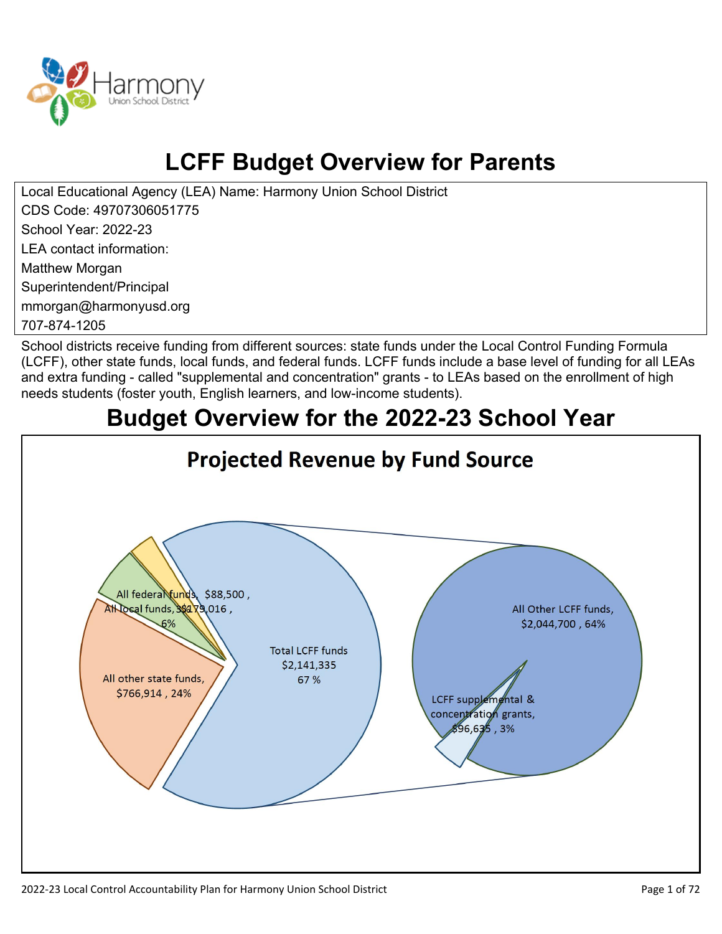

# **LCFF Budget Overview for Parents**

Local Educational Agency (LEA) Name: Harmony Union School District CDS Code: 49707306051775 School Year: 2022-23 LEA contact information: Matthew Morgan Superintendent/Principal mmorgan@harmonyusd.org

707-874-1205

School districts receive funding from different sources: state funds under the Local Control Funding Formula (LCFF), other state funds, local funds, and federal funds. LCFF funds include a base level of funding for all LEAs and extra funding - called "supplemental and concentration" grants - to LEAs based on the enrollment of high needs students (foster youth, English learners, and low-income students).

# **Budget Overview for the 2022-23 School Year**

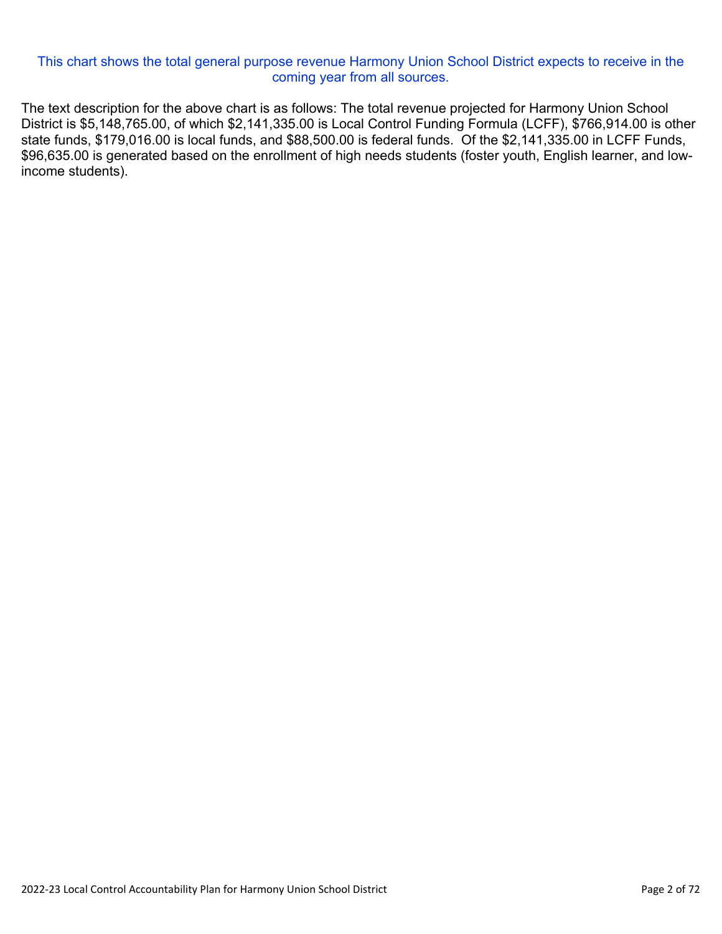#### This chart shows the total general purpose revenue Harmony Union School District expects to receive in the coming year from all sources.

The text description for the above chart is as follows: The total revenue projected for Harmony Union School District is \$5,148,765.00, of which \$2,141,335.00 is Local Control Funding Formula (LCFF), \$766,914.00 is other state funds, \$179,016.00 is local funds, and \$88,500.00 is federal funds. Of the \$2,141,335.00 in LCFF Funds, \$96,635.00 is generated based on the enrollment of high needs students (foster youth, English learner, and lowincome students).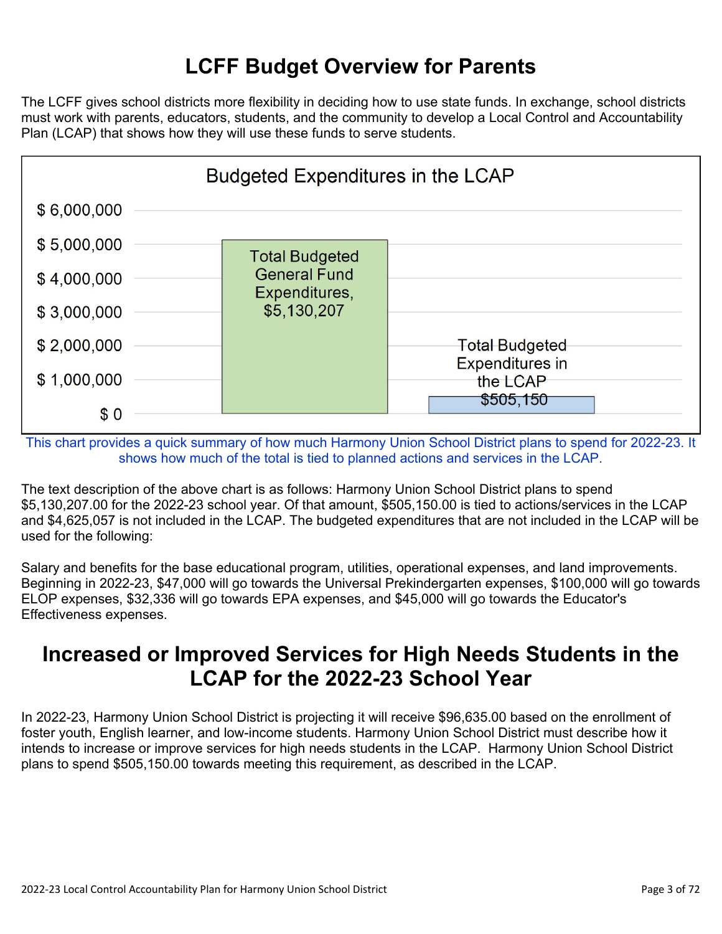## **LCFF Budget Overview for Parents**

The LCFF gives school districts more flexibility in deciding how to use state funds. In exchange, school districts must work with parents, educators, students, and the community to develop a Local Control and Accountability Plan (LCAP) that shows how they will use these funds to serve students.



This chart provides a quick summary of how much Harmony Union School District plans to spend for 2022-23. It shows how much of the total is tied to planned actions and services in the LCAP.

The text description of the above chart is as follows: Harmony Union School District plans to spend \$5,130,207.00 for the 2022-23 school year. Of that amount, \$505,150.00 is tied to actions/services in the LCAP and \$4,625,057 is not included in the LCAP. The budgeted expenditures that are not included in the LCAP will be used for the following:

Salary and benefits for the base educational program, utilities, operational expenses, and land improvements. Beginning in 2022-23, \$47,000 will go towards the Universal Prekindergarten expenses, \$100,000 will go towards ELOP expenses, \$32,336 will go towards EPA expenses, and \$45,000 will go towards the Educator's Effectiveness expenses.

### **Increased or Improved Services for High Needs Students in the LCAP for the 2022-23 School Year**

In 2022-23, Harmony Union School District is projecting it will receive \$96,635.00 based on the enrollment of foster youth, English learner, and low-income students. Harmony Union School District must describe how it intends to increase or improve services for high needs students in the LCAP. Harmony Union School District plans to spend \$505,150.00 towards meeting this requirement, as described in the LCAP.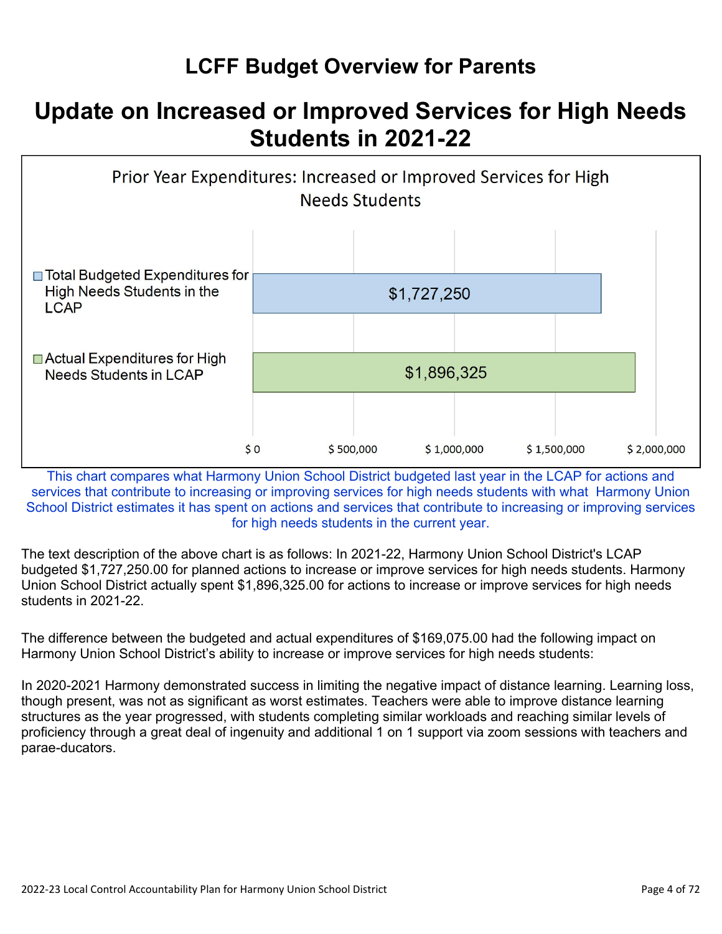# **LCFF Budget Overview for Parents**

# **Update on Increased or Improved Services for High Needs Students in 2021-22**



This chart compares what Harmony Union School District budgeted last year in the LCAP for actions and services that contribute to increasing or improving services for high needs students with what Harmony Union School District estimates it has spent on actions and services that contribute to increasing or improving services for high needs students in the current year.

The text description of the above chart is as follows: In 2021-22, Harmony Union School District's LCAP budgeted \$1,727,250.00 for planned actions to increase or improve services for high needs students. Harmony Union School District actually spent \$1,896,325.00 for actions to increase or improve services for high needs students in 2021-22.

The difference between the budgeted and actual expenditures of \$169,075.00 had the following impact on Harmony Union School District's ability to increase or improve services for high needs students:

In 2020-2021 Harmony demonstrated success in limiting the negative impact of distance learning. Learning loss, though present, was not as significant as worst estimates. Teachers were able to improve distance learning structures as the year progressed, with students completing similar workloads and reaching similar levels of proficiency through a great deal of ingenuity and additional 1 on 1 support via zoom sessions with teachers and parae-ducators.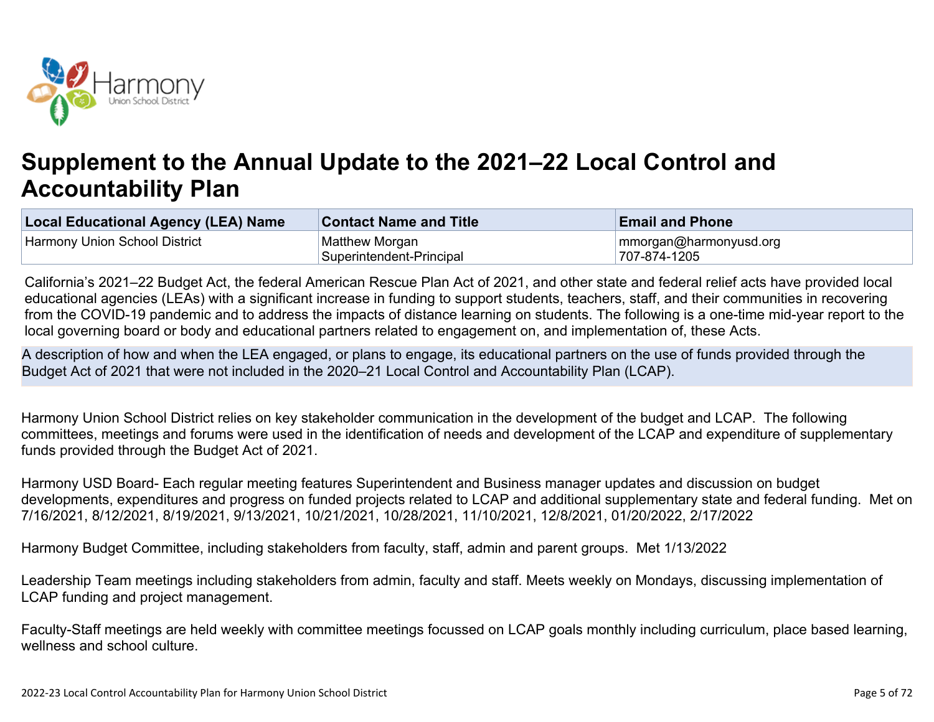

# **Supplement to the Annual Update to the 2021–22 Local Control and Accountability Plan**

| Local Educational Agency (LEA) Name | <b>Contact Name and Title</b> | <b>Email and Phone</b> |
|-------------------------------------|-------------------------------|------------------------|
| Harmony Union School District       | Matthew Morgan                | mmorgan@harmonyusd.org |
|                                     | Superintendent-Principal      | 707-874-1205           |

California's 2021–22 Budget Act, the federal American Rescue Plan Act of 2021, and other state and federal relief acts have provided local educational agencies (LEAs) with a significant increase in funding to support students, teachers, staff, and their communities in recovering from the COVID-19 pandemic and to address the impacts of distance learning on students. The following is a one-time mid-year report to the local governing board or body and educational partners related to engagement on, and implementation of, these Acts.

A description of how and when the LEA engaged, or plans to engage, its educational partners on the use of funds provided through the Budget Act of 2021 that were not included in the 2020–21 Local Control and Accountability Plan (LCAP).

Harmony Union School District relies on key stakeholder communication in the development of the budget and LCAP. The following committees, meetings and forums were used in the identification of needs and development of the LCAP and expenditure of supplementary funds provided through the Budget Act of 2021.

Harmony USD Board- Each regular meeting features Superintendent and Business manager updates and discussion on budget developments, expenditures and progress on funded projects related to LCAP and additional supplementary state and federal funding. Met on 7/16/2021, 8/12/2021, 8/19/2021, 9/13/2021, 10/21/2021, 10/28/2021, 11/10/2021, 12/8/2021, 01/20/2022, 2/17/2022

Harmony Budget Committee, including stakeholders from faculty, staff, admin and parent groups. Met 1/13/2022

Leadership Team meetings including stakeholders from admin, faculty and staff. Meets weekly on Mondays, discussing implementation of LCAP funding and project management.

Faculty-Staff meetings are held weekly with committee meetings focussed on LCAP goals monthly including curriculum, place based learning, wellness and school culture.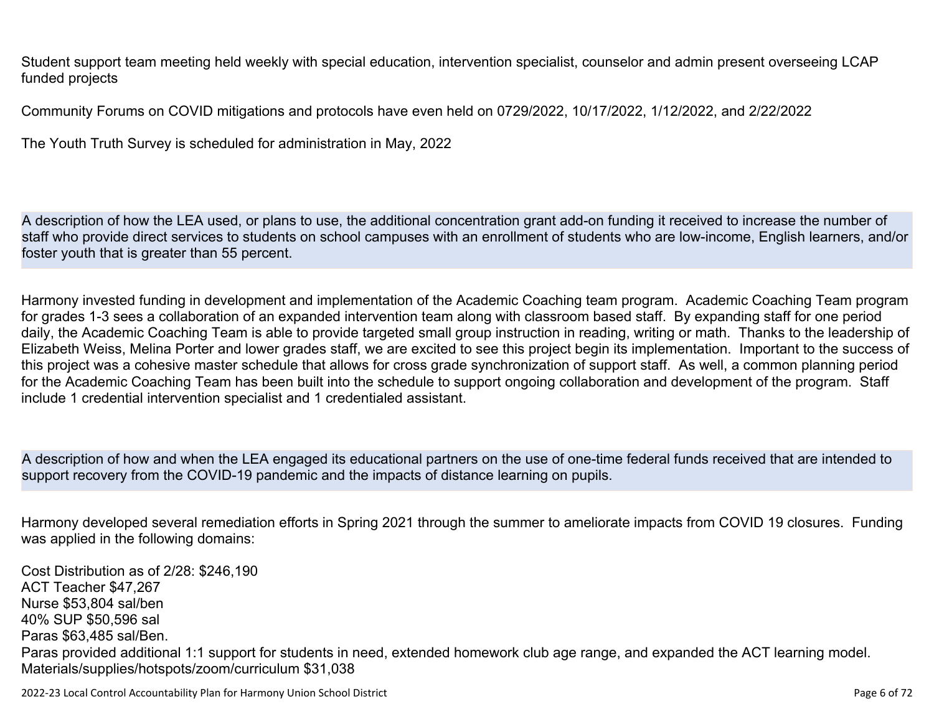Student support team meeting held weekly with special education, intervention specialist, counselor and admin present overseeing LCAP funded projects

Community Forums on COVID mitigations and protocols have even held on 0729/2022, 10/17/2022, 1/12/2022, and 2/22/2022

The Youth Truth Survey is scheduled for administration in May, 2022

A description of how the LEA used, or plans to use, the additional concentration grant add-on funding it received to increase the number of staff who provide direct services to students on school campuses with an enrollment of students who are low-income, English learners, and/or foster youth that is greater than 55 percent.

Harmony invested funding in development and implementation of the Academic Coaching team program. Academic Coaching Team program for grades 1-3 sees a collaboration of an expanded intervention team along with classroom based staff. By expanding staff for one period daily, the Academic Coaching Team is able to provide targeted small group instruction in reading, writing or math. Thanks to the leadership of Elizabeth Weiss, Melina Porter and lower grades staff, we are excited to see this project begin its implementation. Important to the success of this project was a cohesive master schedule that allows for cross grade synchronization of support staff. As well, a common planning period for the Academic Coaching Team has been built into the schedule to support ongoing collaboration and development of the program. Staff include 1 credential intervention specialist and 1 credentialed assistant.

A description of how and when the LEA engaged its educational partners on the use of one-time federal funds received that are intended to support recovery from the COVID-19 pandemic and the impacts of distance learning on pupils.

Harmony developed several remediation efforts in Spring 2021 through the summer to ameliorate impacts from COVID 19 closures. Funding was applied in the following domains:

Cost Distribution as of 2/28: \$246,190 ACT Teacher \$47,267 Nurse \$53,804 sal/ben 40% SUP \$50,596 sal Paras \$63,485 sal/Ben. Paras provided additional 1:1 support for students in need, extended homework club age range, and expanded the ACT learning model. Materials/supplies/hotspots/zoom/curriculum \$31,038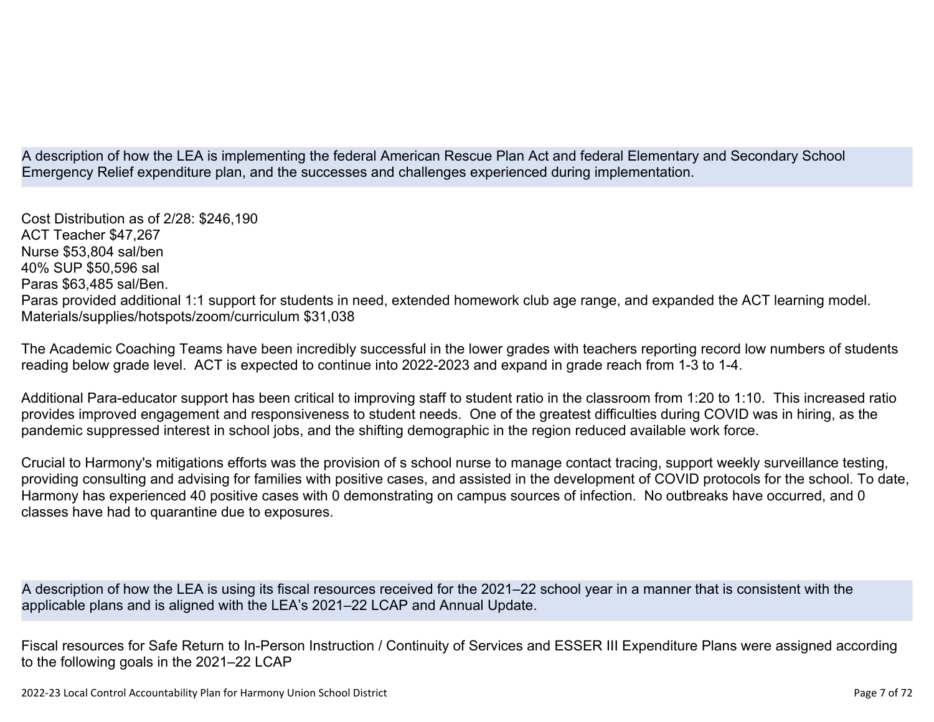A description of how the LEA is implementing the federal American Rescue Plan Act and federal Elementary and Secondary School Emergency Relief expenditure plan, and the successes and challenges experienced during implementation.

Cost Distribution as of 2/28: \$246,190 ACT Teacher \$47,267 Nurse \$53,804 sal/ben 40% SUP \$50,596 sal Paras \$63,485 sal/Ben. Paras provided additional 1:1 support for students in need, extended homework club age range, and expanded the ACT learning model. Materials/supplies/hotspots/zoom/curriculum \$31,038

The Academic Coaching Teams have been incredibly successful in the lower grades with teachers reporting record low numbers of students reading below grade level. ACT is expected to continue into 2022-2023 and expand in grade reach from 1-3 to 1-4.

Additional Para-educator support has been critical to improving staff to student ratio in the classroom from 1:20 to 1:10. This increased ratio provides improved engagement and responsiveness to student needs. One of the greatest difficulties during COVID was in hiring, as the pandemic suppressed interest in school jobs, and the shifting demographic in the region reduced available work force.

Crucial to Harmony's mitigations efforts was the provision of s school nurse to manage contact tracing, support weekly surveillance testing, providing consulting and advising for families with positive cases, and assisted in the development of COVID protocols for the school. To date, Harmony has experienced 40 positive cases with 0 demonstrating on campus sources of infection. No outbreaks have occurred, and 0 classes have had to quarantine due to exposures.

A description of how the LEA is using its fiscal resources received for the 2021–22 school year in a manner that is consistent with the applicable plans and is aligned with the LEA's 2021–22 LCAP and Annual Update.

Fiscal resources for Safe Return to In-Person Instruction / Continuity of Services and ESSER III Expenditure Plans were assigned according to the following goals in the 2021–22 LCAP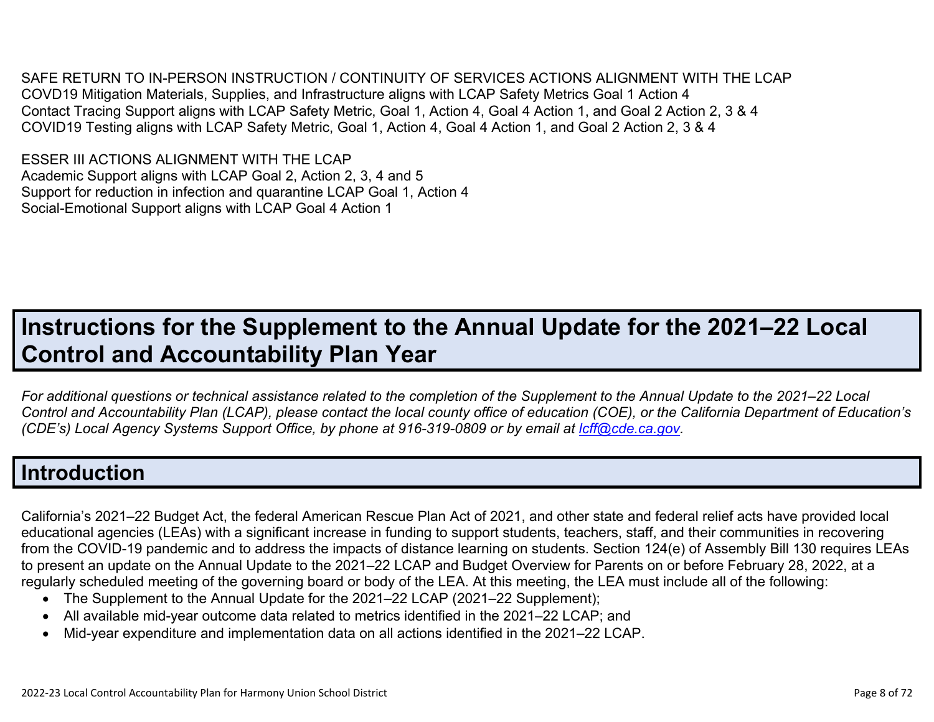SAFE RETURN TO IN-PERSON INSTRUCTION / CONTINUITY OF SERVICES ACTIONS ALIGNMENT WITH THE LCAP COVD19 Mitigation Materials, Supplies, and Infrastructure aligns with LCAP Safety Metrics Goal 1 Action 4 Contact Tracing Support aligns with LCAP Safety Metric, Goal 1, Action 4, Goal 4 Action 1, and Goal 2 Action 2, 3 & 4 COVID19 Testing aligns with LCAP Safety Metric, Goal 1, Action 4, Goal 4 Action 1, and Goal 2 Action 2, 3 & 4

ESSER III ACTIONS ALIGNMENT WITH THE LCAP Academic Support aligns with LCAP Goal 2, Action 2, 3, 4 and 5 Support for reduction in infection and quarantine LCAP Goal 1, Action 4 Social-Emotional Support aligns with LCAP Goal 4 Action 1

# **Instructions for the Supplement to the Annual Update for the 2021–22 Local Control and Accountability Plan Year**

*For additional questions or technical assistance related to the completion of the Supplement to the Annual Update to the 2021–22 Local Control and Accountability Plan (LCAP), please contact the local county office of education (COE), or the California Department of Education's (CDE's)* Local Agency Systems Support Office, by phone at 916-319-0809 or by email at *[lcff@cde.ca.gov](mailto:lcff@cde.ca.gov)*.

## **Introduction**

California's 2021–22 Budget Act, the federal American Rescue Plan Act of 2021, and other state and federal relief acts have provided local educational agencies (LEAs) with a significant increase in funding to support students, teachers, staff, and their communities in recovering from the COVID-19 pandemic and to address the impacts of distance learning on students. Section 124(e) of Assembly Bill 130 requires LEAs to present an update on the Annual Update to the 2021–22 LCAP and Budget Overview for Parents on or before February 28, 2022, at a regularly scheduled meeting of the governing board or body of the LEA. At this meeting, the LEA must include all of the following:

- The Supplement to the Annual Update for the 2021–22 LCAP (2021–22 Supplement);
- All available mid-year outcome data related to metrics identified in the 2021–22 LCAP; and
- Mid-year expenditure and implementation data on all actions identified in the 2021–22 LCAP.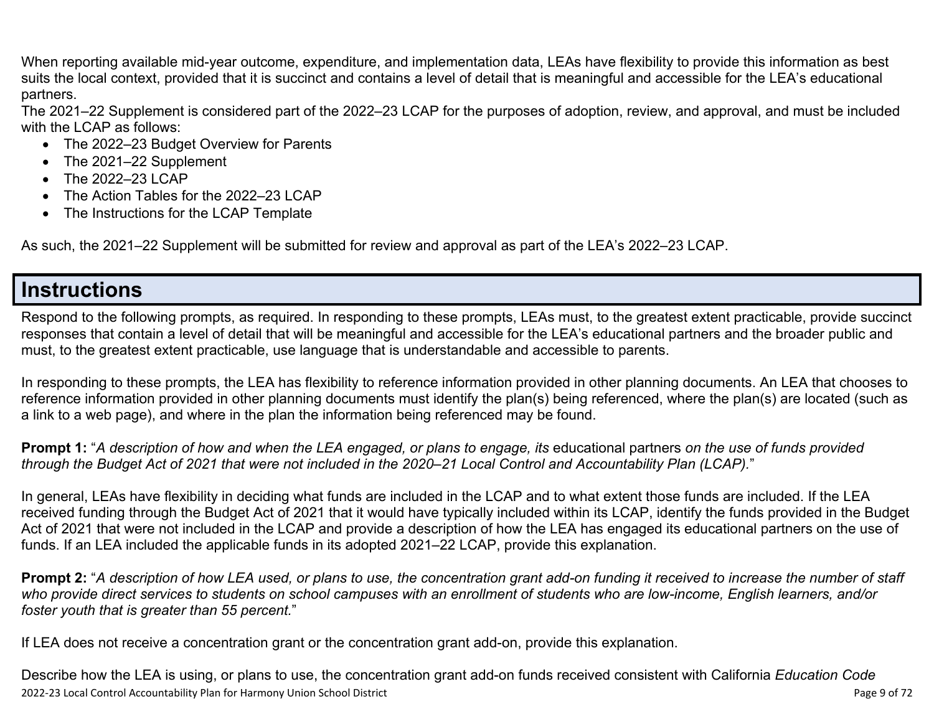When reporting available mid-year outcome, expenditure, and implementation data, LEAs have flexibility to provide this information as best suits the local context, provided that it is succinct and contains a level of detail that is meaningful and accessible for the LEA's educational partners.

The 2021–22 Supplement is considered part of the 2022–23 LCAP for the purposes of adoption, review, and approval, and must be included with the LCAP as follows:

- The 2022–23 Budget Overview for Parents
- The 2021–22 Supplement
- The 2022-23 LCAP
- The Action Tables for the 2022–23 LCAP
- The Instructions for the LCAP Template

As such, the 2021–22 Supplement will be submitted for review and approval as part of the LEA's 2022–23 LCAP.

### **Instructions**

Respond to the following prompts, as required. In responding to these prompts, LEAs must, to the greatest extent practicable, provide succinct responses that contain a level of detail that will be meaningful and accessible for the LEA's educational partners and the broader public and must, to the greatest extent practicable, use language that is understandable and accessible to parents.

In responding to these prompts, the LEA has flexibility to reference information provided in other planning documents. An LEA that chooses to reference information provided in other planning documents must identify the plan(s) being referenced, where the plan(s) are located (such as a link to a web page), and where in the plan the information being referenced may be found.

**Prompt 1:** "*A description of how and when the LEA engaged, or plans to engage, its* educational partners *on the use of funds provided through the Budget Act of 2021 that were not included in the 2020–21 Local Control and Accountability Plan (LCAP).*"

In general, LEAs have flexibility in deciding what funds are included in the LCAP and to what extent those funds are included. If the LEA received funding through the Budget Act of 2021 that it would have typically included within its LCAP, identify the funds provided in the Budget Act of 2021 that were not included in the LCAP and provide a description of how the LEA has engaged its educational partners on the use of funds. If an LEA included the applicable funds in its adopted 2021–22 LCAP, provide this explanation.

**Prompt 2:** "*A description of how LEA used, or plans to use, the concentration grant add-on funding it received to increase the number of staff who provide direct services to students on school campuses with an enrollment of students who are low-income, English learners, and/or foster youth that is greater than 55 percent.*"

If LEA does not receive a concentration grant or the concentration grant add-on, provide this explanation.

2022-23 Local Control Accountability Plan for Harmony Union School District **Page 10** of 72 Describe how the LEA is using, or plans to use, the concentration grant add-on funds received consistent with California *Education Code*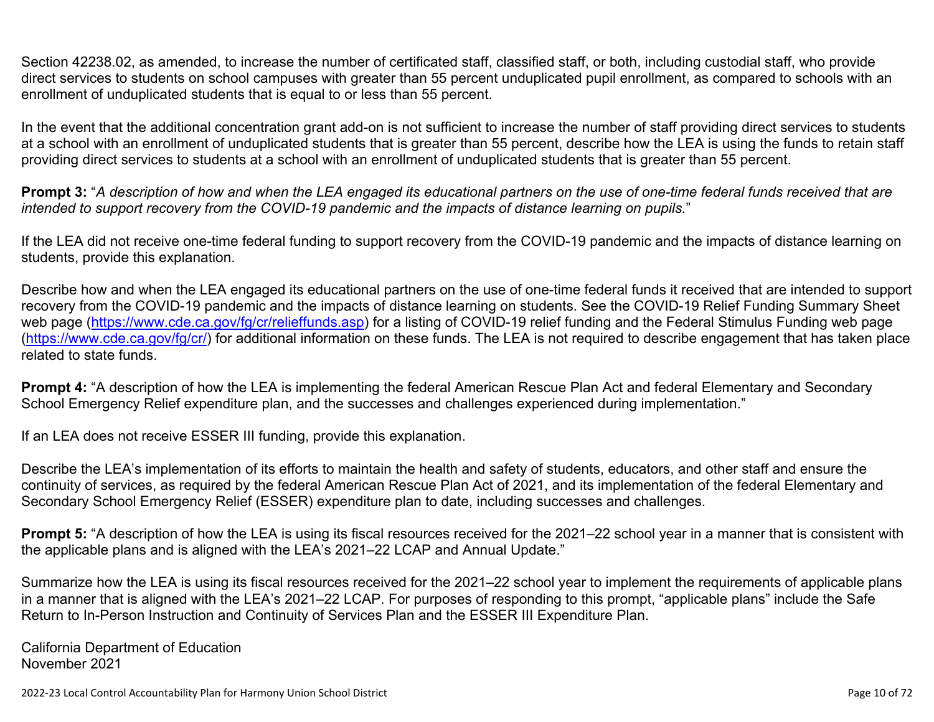Section 42238.02, as amended, to increase the number of certificated staff, classified staff, or both, including custodial staff, who provide direct services to students on school campuses with greater than 55 percent unduplicated pupil enrollment, as compared to schools with an enrollment of unduplicated students that is equal to or less than 55 percent.

In the event that the additional concentration grant add-on is not sufficient to increase the number of staff providing direct services to students at a school with an enrollment of unduplicated students that is greater than 55 percent, describe how the LEA is using the funds to retain staff providing direct services to students at a school with an enrollment of unduplicated students that is greater than 55 percent.

**Prompt 3:** "*A description of how and when the LEA engaged its educational partners on the use of one-time federal funds received that are intended to support recovery from the COVID-19 pandemic and the impacts of distance learning on pupils.*"

If the LEA did not receive one-time federal funding to support recovery from the COVID-19 pandemic and the impacts of distance learning on students, provide this explanation.

Describe how and when the LEA engaged its educational partners on the use of one-time federal funds it received that are intended to support recovery from the COVID-19 pandemic and the impacts of distance learning on students. See the COVID-19 Relief Funding Summary Sheet web page [\(https://www.cde.ca.gov/fg/cr/relieffunds.asp\)](https://www.cde.ca.gov/fg/cr/relieffunds.asp) for a listing of COVID-19 relief funding and the Federal Stimulus Funding web page (<https://www.cde.ca.gov/fg/cr/>) for additional information on these funds. The LEA is not required to describe engagement that has taken place related to state funds.

**Prompt 4:** "A description of how the LEA is implementing the federal American Rescue Plan Act and federal Elementary and Secondary School Emergency Relief expenditure plan, and the successes and challenges experienced during implementation."

If an LEA does not receive ESSER III funding, provide this explanation.

Describe the LEA's implementation of its efforts to maintain the health and safety of students, educators, and other staff and ensure the continuity of services, as required by the federal American Rescue Plan Act of 2021, and its implementation of the federal Elementary and Secondary School Emergency Relief (ESSER) expenditure plan to date, including successes and challenges.

**Prompt 5:** "A description of how the LEA is using its fiscal resources received for the 2021–22 school year in a manner that is consistent with the applicable plans and is aligned with the LEA's 2021–22 LCAP and Annual Update."

Summarize how the LEA is using its fiscal resources received for the 2021–22 school year to implement the requirements of applicable plans in a manner that is aligned with the LEA's 2021–22 LCAP. For purposes of responding to this prompt, "applicable plans" include the Safe Return to In-Person Instruction and Continuity of Services Plan and the ESSER III Expenditure Plan.

California Department of Education November 2021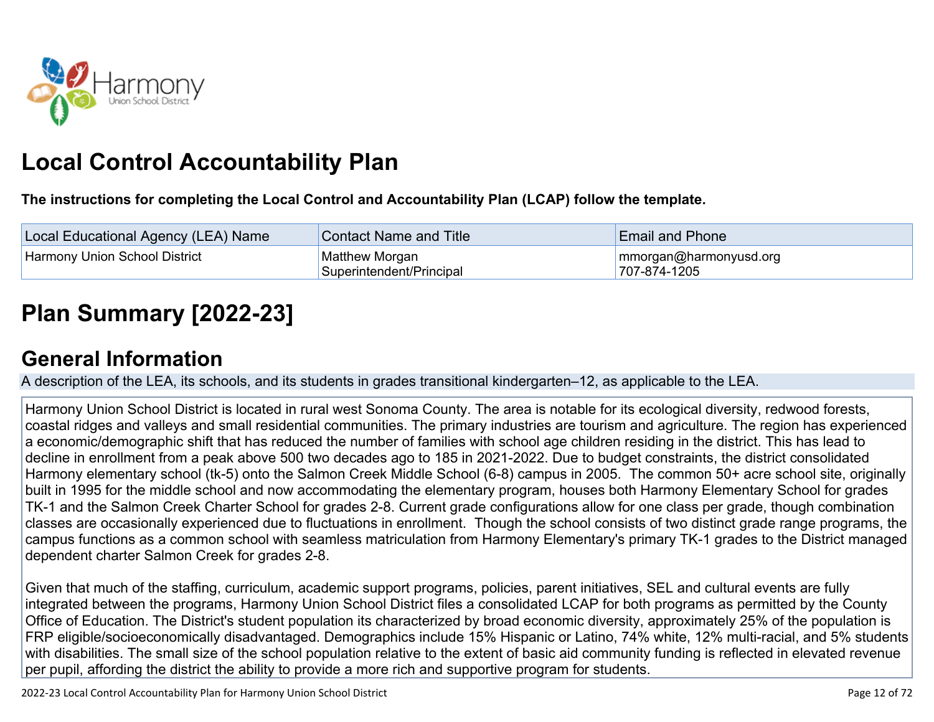

# **Local Control Accountability Plan**

**The instructions for completing the Local Control and Accountability Plan (LCAP) follow the template.**

| Local Educational Agency (LEA) Name  | <b>Contact Name and Title</b>              | <b>Email and Phone</b>                 |
|--------------------------------------|--------------------------------------------|----------------------------------------|
| <b>Harmony Union School District</b> | Matthew Morgan<br>Superintendent/Principal | mmorgan@harmonyusd.org<br>707-874-1205 |

# **[Plan Summary \[2022-23\]](http://www.doc-tracking.com/screenshots/22LCAP/Instructions/22LCAPInstructions.htm#PlanSummary)**

# **[General Information](http://www.doc-tracking.com/screenshots/22LCAP/Instructions/22LCAPInstructions.htm#generalinformation)**

A description of the LEA, its schools, and its students in grades transitional kindergarten–12, as applicable to the LEA.

Harmony Union School District is located in rural west Sonoma County. The area is notable for its ecological diversity, redwood forests, coastal ridges and valleys and small residential communities. The primary industries are tourism and agriculture. The region has experienced a economic/demographic shift that has reduced the number of families with school age children residing in the district. This has lead to decline in enrollment from a peak above 500 two decades ago to 185 in 2021-2022. Due to budget constraints, the district consolidated Harmony elementary school (tk-5) onto the Salmon Creek Middle School (6-8) campus in 2005. The common 50+ acre school site, originally built in 1995 for the middle school and now accommodating the elementary program, houses both Harmony Elementary School for grades TK-1 and the Salmon Creek Charter School for grades 2-8. Current grade configurations allow for one class per grade, though combination classes are occasionally experienced due to fluctuations in enrollment. Though the school consists of two distinct grade range programs, the campus functions as a common school with seamless matriculation from Harmony Elementary's primary TK-1 grades to the District managed dependent charter Salmon Creek for grades 2-8.

Given that much of the staffing, curriculum, academic support programs, policies, parent initiatives, SEL and cultural events are fully integrated between the programs, Harmony Union School District files a consolidated LCAP for both programs as permitted by the County Office of Education. The District's student population its characterized by broad economic diversity, approximately 25% of the population is FRP eligible/socioeconomically disadvantaged. Demographics include 15% Hispanic or Latino, 74% white, 12% multi-racial, and 5% students with disabilities. The small size of the school population relative to the extent of basic aid community funding is reflected in elevated revenue per pupil, affording the district the ability to provide a more rich and supportive program for students.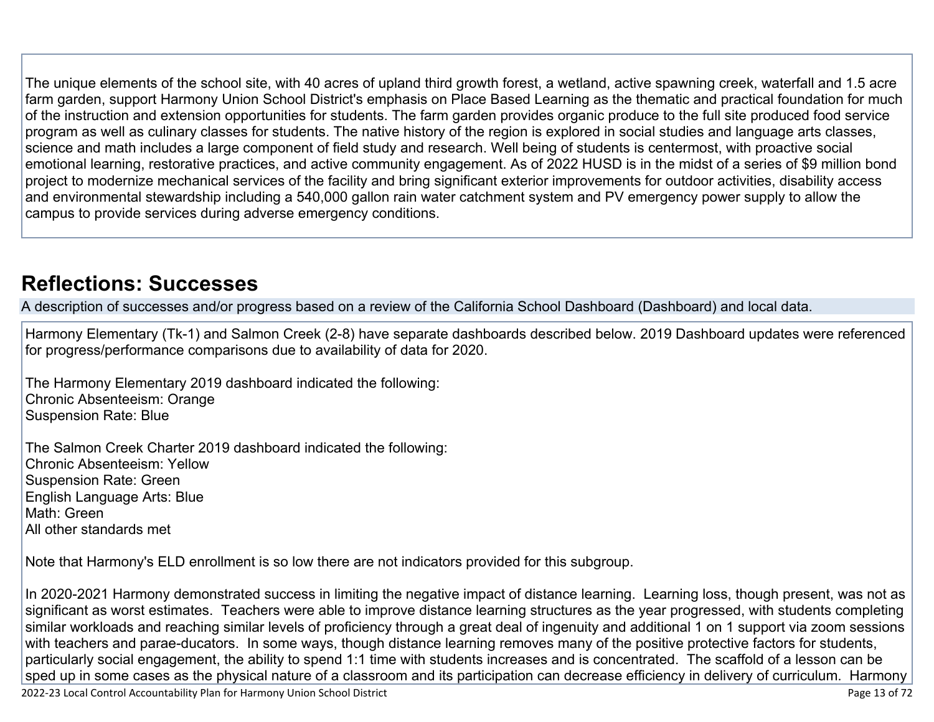The unique elements of the school site, with 40 acres of upland third growth forest, a wetland, active spawning creek, waterfall and 1.5 acre farm garden, support Harmony Union School District's emphasis on Place Based Learning as the thematic and practical foundation for much of the instruction and extension opportunities for students. The farm garden provides organic produce to the full site produced food service program as well as culinary classes for students. The native history of the region is explored in social studies and language arts classes, science and math includes a large component of field study and research. Well being of students is centermost, with proactive social emotional learning, restorative practices, and active community engagement. As of 2022 HUSD is in the midst of a series of \$9 million bond project to modernize mechanical services of the facility and bring significant exterior improvements for outdoor activities, disability access and environmental stewardship including a 540,000 gallon rain water catchment system and PV emergency power supply to allow the campus to provide services during adverse emergency conditions.

## **[Reflections: Successes](http://www.doc-tracking.com/screenshots/22LCAP/Instructions/22LCAPInstructions.htm#ReflectionsSuccesses)**

A description of successes and/or progress based on a review of the California School Dashboard (Dashboard) and local data.

Harmony Elementary (Tk-1) and Salmon Creek (2-8) have separate dashboards described below. 2019 Dashboard updates were referenced for progress/performance comparisons due to availability of data for 2020.

The Harmony Elementary 2019 dashboard indicated the following: Chronic Absenteeism: Orange Suspension Rate: Blue

The Salmon Creek Charter 2019 dashboard indicated the following: Chronic Absenteeism: Yellow Suspension Rate: Green English Language Arts: Blue Math: Green All other standards met

Note that Harmony's ELD enrollment is so low there are not indicators provided for this subgroup.

In 2020-2021 Harmony demonstrated success in limiting the negative impact of distance learning. Learning loss, though present, was not as significant as worst estimates. Teachers were able to improve distance learning structures as the year progressed, with students completing similar workloads and reaching similar levels of proficiency through a great deal of ingenuity and additional 1 on 1 support via zoom sessions with teachers and parae-ducators. In some ways, though distance learning removes many of the positive protective factors for students, particularly social engagement, the ability to spend 1:1 time with students increases and is concentrated. The scaffold of a lesson can be sped up in some cases as the physical nature of a classroom and its participation can decrease efficiency in delivery of curriculum. Harmony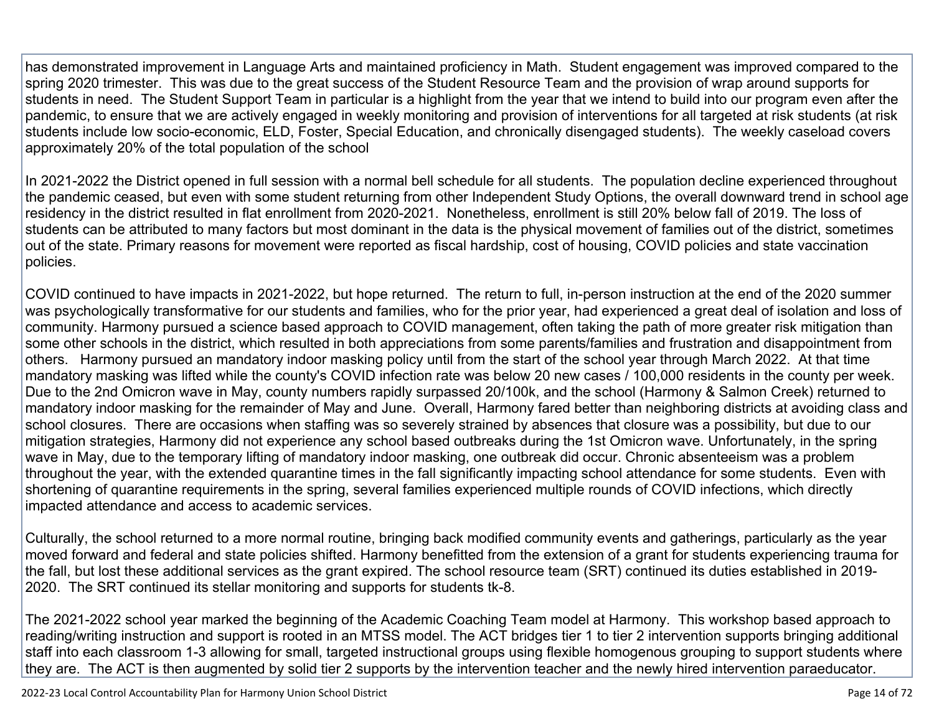has demonstrated improvement in Language Arts and maintained proficiency in Math. Student engagement was improved compared to the spring 2020 trimester. This was due to the great success of the Student Resource Team and the provision of wrap around supports for students in need. The Student Support Team in particular is a highlight from the year that we intend to build into our program even after the pandemic, to ensure that we are actively engaged in weekly monitoring and provision of interventions for all targeted at risk students (at risk students include low socio-economic, ELD, Foster, Special Education, and chronically disengaged students). The weekly caseload covers approximately 20% of the total population of the school

In 2021-2022 the District opened in full session with a normal bell schedule for all students. The population decline experienced throughout the pandemic ceased, but even with some student returning from other Independent Study Options, the overall downward trend in school age residency in the district resulted in flat enrollment from 2020-2021. Nonetheless, enrollment is still 20% below fall of 2019. The loss of students can be attributed to many factors but most dominant in the data is the physical movement of families out of the district, sometimes out of the state. Primary reasons for movement were reported as fiscal hardship, cost of housing, COVID policies and state vaccination policies.

COVID continued to have impacts in 2021-2022, but hope returned. The return to full, in-person instruction at the end of the 2020 summer was psychologically transformative for our students and families, who for the prior year, had experienced a great deal of isolation and loss of community. Harmony pursued a science based approach to COVID management, often taking the path of more greater risk mitigation than some other schools in the district, which resulted in both appreciations from some parents/families and frustration and disappointment from others. Harmony pursued an mandatory indoor masking policy until from the start of the school year through March 2022. At that time mandatory masking was lifted while the county's COVID infection rate was below 20 new cases / 100,000 residents in the county per week. Due to the 2nd Omicron wave in May, county numbers rapidly surpassed 20/100k, and the school (Harmony & Salmon Creek) returned to mandatory indoor masking for the remainder of May and June. Overall, Harmony fared better than neighboring districts at avoiding class and school closures. There are occasions when staffing was so severely strained by absences that closure was a possibility, but due to our mitigation strategies, Harmony did not experience any school based outbreaks during the 1st Omicron wave. Unfortunately, in the spring wave in May, due to the temporary lifting of mandatory indoor masking, one outbreak did occur. Chronic absenteeism was a problem throughout the year, with the extended quarantine times in the fall significantly impacting school attendance for some students. Even with shortening of quarantine requirements in the spring, several families experienced multiple rounds of COVID infections, which directly impacted attendance and access to academic services.

Culturally, the school returned to a more normal routine, bringing back modified community events and gatherings, particularly as the year moved forward and federal and state policies shifted. Harmony benefitted from the extension of a grant for students experiencing trauma for the fall, but lost these additional services as the grant expired. The school resource team (SRT) continued its duties established in 2019- 2020. The SRT continued its stellar monitoring and supports for students tk-8.

The 2021-2022 school year marked the beginning of the Academic Coaching Team model at Harmony. This workshop based approach to reading/writing instruction and support is rooted in an MTSS model. The ACT bridges tier 1 to tier 2 intervention supports bringing additional staff into each classroom 1-3 allowing for small, targeted instructional groups using flexible homogenous grouping to support students where they are. The ACT is then augmented by solid tier 2 supports by the intervention teacher and the newly hired intervention paraeducator.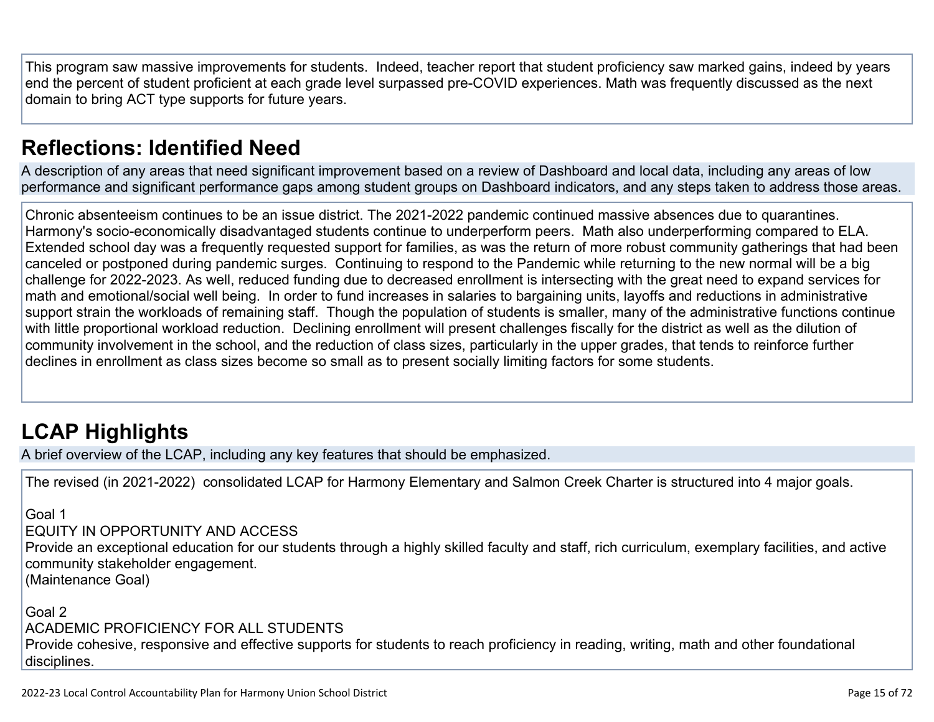This program saw massive improvements for students. Indeed, teacher report that student proficiency saw marked gains, indeed by years end the percent of student proficient at each grade level surpassed pre-COVID experiences. Math was frequently discussed as the next domain to bring ACT type supports for future years.

## **[Reflections: Identified Need](http://www.doc-tracking.com/screenshots/22LCAP/Instructions/22LCAPInstructions.htm#ReflectionsIdentifiedNeed)**

A description of any areas that need significant improvement based on a review of Dashboard and local data, including any areas of low performance and significant performance gaps among student groups on Dashboard indicators, and any steps taken to address those areas.

Chronic absenteeism continues to be an issue district. The 2021-2022 pandemic continued massive absences due to quarantines. Harmony's socio-economically disadvantaged students continue to underperform peers. Math also underperforming compared to ELA. Extended school day was a frequently requested support for families, as was the return of more robust community gatherings that had been canceled or postponed during pandemic surges. Continuing to respond to the Pandemic while returning to the new normal will be a big challenge for 2022-2023. As well, reduced funding due to decreased enrollment is intersecting with the great need to expand services for math and emotional/social well being. In order to fund increases in salaries to bargaining units, layoffs and reductions in administrative support strain the workloads of remaining staff. Though the population of students is smaller, many of the administrative functions continue with little proportional workload reduction. Declining enrollment will present challenges fiscally for the district as well as the dilution of community involvement in the school, and the reduction of class sizes, particularly in the upper grades, that tends to reinforce further declines in enrollment as class sizes become so small as to present socially limiting factors for some students.

# **[LCAP Highlights](http://www.doc-tracking.com/screenshots/22LCAP/Instructions/22LCAPInstructions.htm#LCAPHighlights)**

A brief overview of the LCAP, including any key features that should be emphasized.

The revised (in 2021-2022) consolidated LCAP for Harmony Elementary and Salmon Creek Charter is structured into 4 major goals.

Goal 1

#### EQUITY IN OPPORTUNITY AND ACCESS

Provide an exceptional education for our students through a highly skilled faculty and staff, rich curriculum, exemplary facilities, and active community stakeholder engagement.

(Maintenance Goal)

#### Goal 2 ACADEMIC PROFICIENCY FOR ALL STUDENTS

Provide cohesive, responsive and effective supports for students to reach proficiency in reading, writing, math and other foundational disciplines.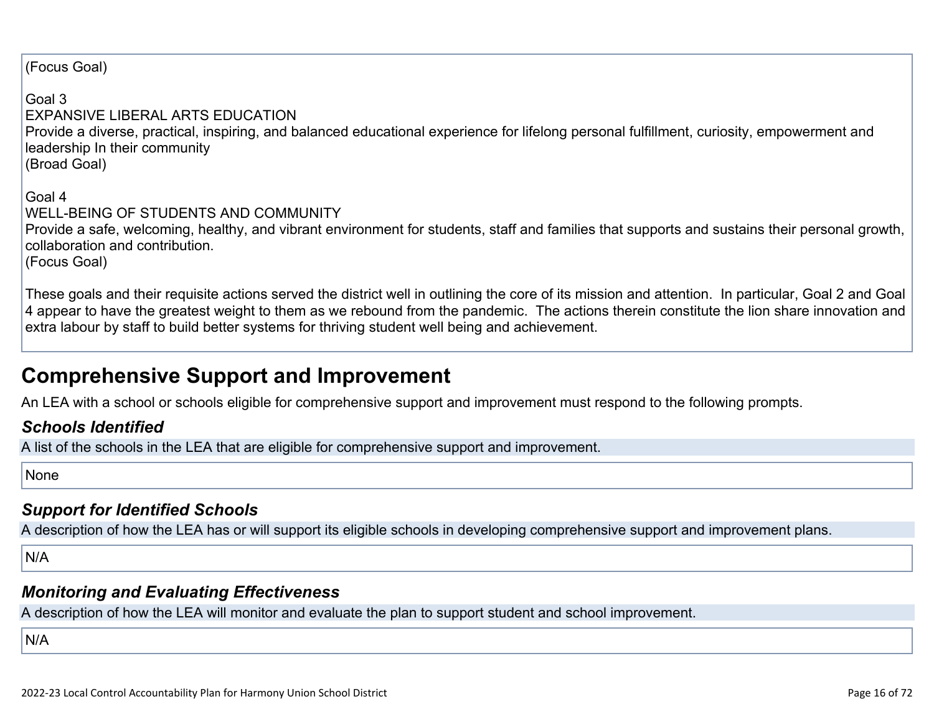(Focus Goal)

Goal 3 EXPANSIVE LIBERAL ARTS EDUCATION Provide a diverse, practical, inspiring, and balanced educational experience for lifelong personal fulfillment, curiosity, empowerment and leadership In their community (Broad Goal)

Goal 4 WELL-BEING OF STUDENTS AND COMMUNITY Provide a safe, welcoming, healthy, and vibrant environment for students, staff and families that supports and sustains their personal growth, collaboration and contribution. (Focus Goal)

These goals and their requisite actions served the district well in outlining the core of its mission and attention. In particular, Goal 2 and Goal 4 appear to have the greatest weight to them as we rebound from the pandemic. The actions therein constitute the lion share innovation and extra labour by staff to build better systems for thriving student well being and achievement.

## **Comprehensive Support and Improvement**

An LEA with a school or schools eligible for comprehensive support and improvement must respond to the following prompts.

### *[Schools Identified](http://www.doc-tracking.com/screenshots/22LCAP/Instructions/22LCAPInstructions.htm#SchoolsIdentified)*

A list of the schools in the LEA that are eligible for comprehensive support and improvement.

None

### *[Support for Identified Schools](http://www.doc-tracking.com/screenshots/22LCAP/Instructions/22LCAPInstructions.htm#SupportforIdentifiedSchools)*

A description of how the LEA has or will support its eligible schools in developing comprehensive support and improvement plans.

N/A

### *[Monitoring and Evaluating Effectiveness](http://www.doc-tracking.com/screenshots/22LCAP/Instructions/22LCAPInstructions.htm#MonitoringandEvaluatingEffectiveness)*

A description of how the LEA will monitor and evaluate the plan to support student and school improvement.

N/A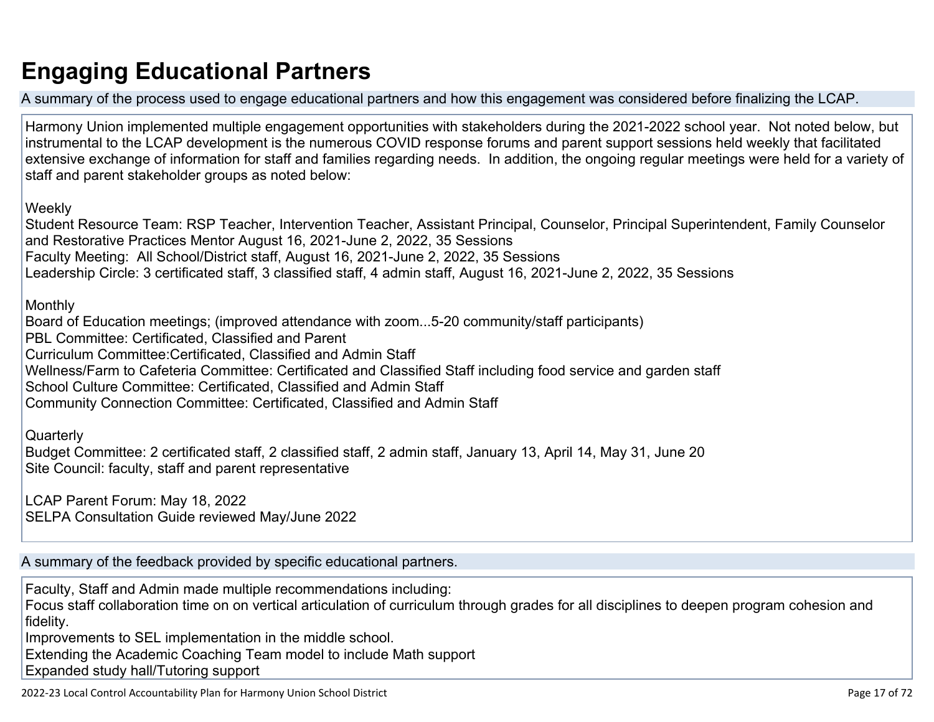# **Engaging Educational Partners**

A summary of the process used to engage educational partners and how this engagement was considered before finalizing the LCAP.

Harmony Union implemented multiple engagement opportunities with stakeholders during the 2021-2022 school year. Not noted below, but instrumental to the LCAP development is the numerous COVID response forums and parent support sessions held weekly that facilitated extensive exchange of information for staff and families regarding needs. In addition, the ongoing regular meetings were held for a variety of staff and parent stakeholder groups as noted below:

Weekly

Student Resource Team: RSP Teacher, Intervention Teacher, Assistant Principal, Counselor, Principal Superintendent, Family Counselor and Restorative Practices Mentor August 16, 2021-June 2, 2022, 35 Sessions Faculty Meeting: All School/District staff, August 16, 2021-June 2, 2022, 35 Sessions Leadership Circle: 3 certificated staff, 3 classified staff, 4 admin staff, August 16, 2021-June 2, 2022, 35 Sessions

Monthly

Board of Education meetings; (improved attendance with zoom...5-20 community/staff participants) PBL Committee: Certificated, Classified and Parent Curriculum Committee:Certificated, Classified and Admin Staff Wellness/Farm to Cafeteria Committee: Certificated and Classified Staff including food service and garden staff School Culture Committee: Certificated, Classified and Admin Staff Community Connection Committee: Certificated, Classified and Admin Staff

**Quarterly** 

Budget Committee: 2 certificated staff, 2 classified staff, 2 admin staff, January 13, April 14, May 31, June 20 Site Council: faculty, staff and parent representative

LCAP Parent Forum: May 18, 2022 SELPA Consultation Guide reviewed May/June 2022

A summary of the feedback provided by specific educational partners.

Faculty, Staff and Admin made multiple recommendations including:

Focus staff collaboration time on on vertical articulation of curriculum through grades for all disciplines to deepen program cohesion and fidelity.

Improvements to SEL implementation in the middle school.

Extending the Academic Coaching Team model to include Math support

Expanded study hall/Tutoring support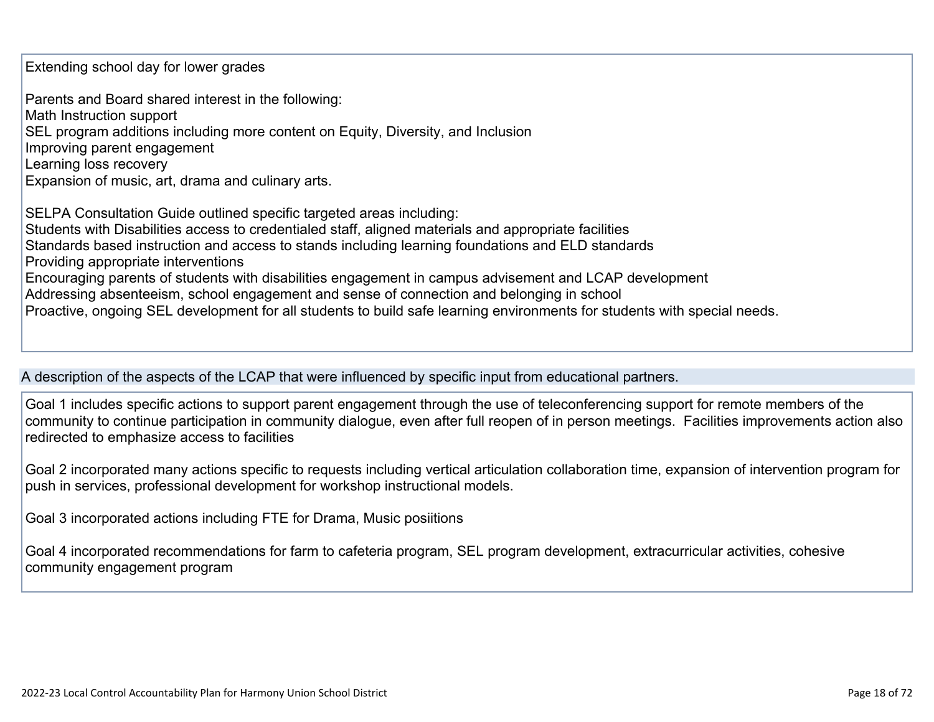Extending school day for lower grades

Parents and Board shared interest in the following: Math Instruction support SEL program additions including more content on Equity, Diversity, and Inclusion Improving parent engagement Learning loss recovery Expansion of music, art, drama and culinary arts.

SELPA Consultation Guide outlined specific targeted areas including: Students with Disabilities access to credentialed staff, aligned materials and appropriate facilities Standards based instruction and access to stands including learning foundations and ELD standards Providing appropriate interventions Encouraging parents of students with disabilities engagement in campus advisement and LCAP development Addressing absenteeism, school engagement and sense of connection and belonging in school Proactive, ongoing SEL development for all students to build safe learning environments for students with special needs.

#### A description of the aspects of the LCAP that were influenced by specific input from educational partners.

Goal 1 includes specific actions to support parent engagement through the use of teleconferencing support for remote members of the community to continue participation in community dialogue, even after full reopen of in person meetings. Facilities improvements action also redirected to emphasize access to facilities

Goal 2 incorporated many actions specific to requests including vertical articulation collaboration time, expansion of intervention program for push in services, professional development for workshop instructional models.

Goal 3 incorporated actions including FTE for Drama, Music posiitions

Goal 4 incorporated recommendations for farm to cafeteria program, SEL program development, extracurricular activities, cohesive community engagement program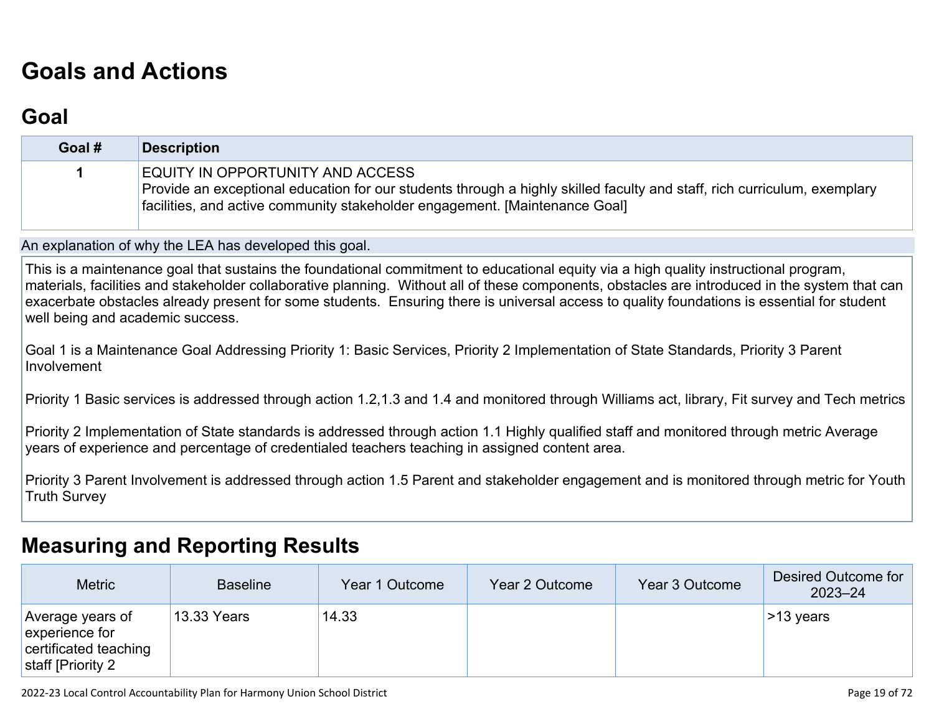# **[Goals and Actions](http://www.doc-tracking.com/screenshots/22LCAP/Instructions/22LCAPInstructions.htm#GoalsandActions)**

## **[Goal](http://www.doc-tracking.com/screenshots/22LCAP/Instructions/22LCAPInstructions.htm#goalDescription)**

| Goal # | <b>Description</b>                                                                                                                                                                                                                          |
|--------|---------------------------------------------------------------------------------------------------------------------------------------------------------------------------------------------------------------------------------------------|
|        | EQUITY IN OPPORTUNITY AND ACCESS<br>Provide an exceptional education for our students through a highly skilled faculty and staff, rich curriculum, exemplary<br>facilities, and active community stakeholder engagement. [Maintenance Goal] |

An explanation of why the LEA has developed this goal.

This is a maintenance goal that sustains the foundational commitment to educational equity via a high quality instructional program, materials, facilities and stakeholder collaborative planning. Without all of these components, obstacles are introduced in the system that can exacerbate obstacles already present for some students. Ensuring there is universal access to quality foundations is essential for student well being and academic success.

Goal 1 is a Maintenance Goal Addressing Priority 1: Basic Services, Priority 2 Implementation of State Standards, Priority 3 Parent Involvement

Priority 1 Basic services is addressed through action 1.2,1.3 and 1.4 and monitored through Williams act, library, Fit survey and Tech metrics

Priority 2 Implementation of State standards is addressed through action 1.1 Highly qualified staff and monitored through metric Average years of experience and percentage of credentialed teachers teaching in assigned content area.

Priority 3 Parent Involvement is addressed through action 1.5 Parent and stakeholder engagement and is monitored through metric for Youth Truth Survey

### **[Measuring and Reporting Results](http://www.doc-tracking.com/screenshots/22LCAP/Instructions/22LCAPInstructions.htm#MeasuringandReportingResults)**

| <b>Metric</b>                                                                    | <b>Baseline</b> | Year 1 Outcome | Year 2 Outcome | Year 3 Outcome | Desired Outcome for<br>$2023 - 24$ |
|----------------------------------------------------------------------------------|-----------------|----------------|----------------|----------------|------------------------------------|
| Average years of<br>experience for<br>certificated teaching<br>staff [Priority 2 | 13.33 Years     | 14.33          |                |                | $>13$ years                        |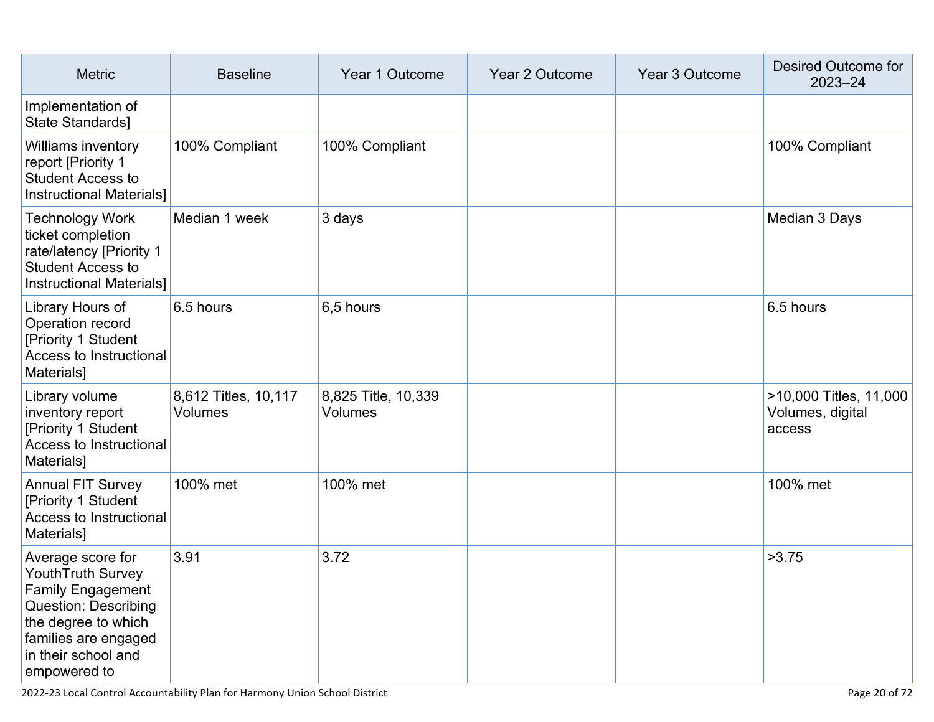| <b>Metric</b><br><b>Baseline</b>                                                                                                                                                               |                                  | Year 1 Outcome                        | Year 2 Outcome | Year 3 Outcome | Desired Outcome for<br>$2023 - 24$                   |
|------------------------------------------------------------------------------------------------------------------------------------------------------------------------------------------------|----------------------------------|---------------------------------------|----------------|----------------|------------------------------------------------------|
| Implementation of<br>State Standards]                                                                                                                                                          |                                  |                                       |                |                |                                                      |
| <b>Williams inventory</b><br>report [Priority 1<br><b>Student Access to</b><br><b>Instructional Materials]</b>                                                                                 | 100% Compliant<br>100% Compliant |                                       |                |                | 100% Compliant                                       |
| <b>Technology Work</b><br>ticket completion<br>rate/latency [Priority 1<br><b>Student Access to</b><br><b>Instructional Materials]</b>                                                         | Median 1 week                    | 3 days                                |                |                | Median 3 Days                                        |
| Library Hours of<br>Operation record<br>[Priority 1 Student<br>Access to Instructional<br>Materials]                                                                                           | 6.5 hours                        | 6,5 hours                             |                |                | 6.5 hours                                            |
| Library volume<br>inventory report<br>[Priority 1 Student<br>Access to Instructional<br>Materials]                                                                                             | 8,612 Titles, 10,117<br>Volumes  | 8,825 Title, 10,339<br><b>Volumes</b> |                |                | >10,000 Titles, 11,000<br>Volumes, digital<br>access |
| <b>Annual FIT Survey</b><br>[Priority 1 Student<br><b>Access to Instructional</b><br>Materials]                                                                                                | 100% met                         | 100% met                              |                |                | 100% met                                             |
| Average score for<br><b>YouthTruth Survey</b><br><b>Family Engagement</b><br><b>Question: Describing</b><br>the degree to which<br>families are engaged<br>in their school and<br>empowered to | 3.91                             | 3.72                                  |                |                | >3.75                                                |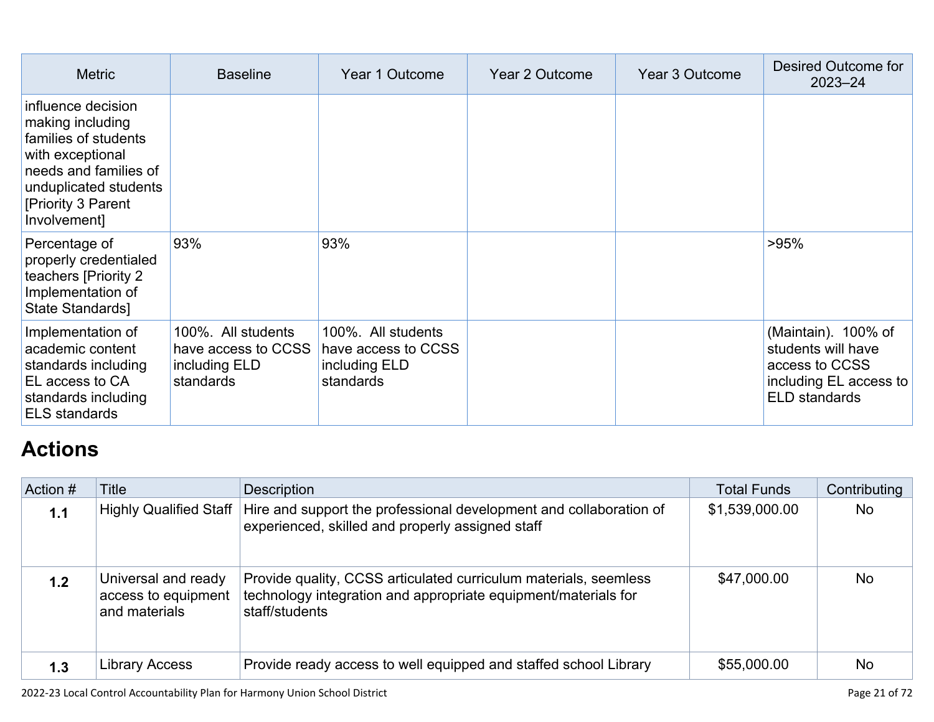| <b>Metric</b>                                                                                                                                                              | <b>Baseline</b>                                                         | Year 1 Outcome                                                          | Year 2 Outcome | Year 3 Outcome | Desired Outcome for<br>$2023 - 24$                                                                            |
|----------------------------------------------------------------------------------------------------------------------------------------------------------------------------|-------------------------------------------------------------------------|-------------------------------------------------------------------------|----------------|----------------|---------------------------------------------------------------------------------------------------------------|
| influence decision<br>making including<br>families of students<br>with exceptional<br>needs and families of<br>unduplicated students<br>[Priority 3 Parent<br>Involvement] |                                                                         |                                                                         |                |                |                                                                                                               |
| Percentage of<br>properly credentialed<br>teachers [Priority 2<br>Implementation of<br>State Standards]                                                                    | 93%                                                                     | 93%                                                                     |                |                | >95%                                                                                                          |
| Implementation of<br>academic content<br>standards including<br>EL access to CA<br>standards including<br><b>ELS standards</b>                                             | 100%. All students<br>have access to CCSS<br>including ELD<br>standards | 100%. All students<br>have access to CCSS<br>including ELD<br>standards |                |                | (Maintain). 100% of<br>students will have<br>access to CCSS<br>including EL access to<br><b>ELD</b> standards |

# **[Actions](http://www.doc-tracking.com/screenshots/22LCAP/Instructions/22LCAPInstructions.htm#actions)**

| Action # | Title                                                       | Description                                                                                                                                          | <b>Total Funds</b> | Contributing |
|----------|-------------------------------------------------------------|------------------------------------------------------------------------------------------------------------------------------------------------------|--------------------|--------------|
| 1.1      | <b>Highly Qualified Staff</b>                               | Hire and support the professional development and collaboration of<br>experienced, skilled and properly assigned staff                               | \$1,539,000.00     | <b>No</b>    |
| 1.2      | Universal and ready<br>access to equipment<br>and materials | Provide quality, CCSS articulated curriculum materials, seemless<br>technology integration and appropriate equipment/materials for<br>staff/students | \$47,000.00        | <b>No</b>    |
| 1.3      | Library Access                                              | Provide ready access to well equipped and staffed school Library                                                                                     | \$55,000.00        | <b>No</b>    |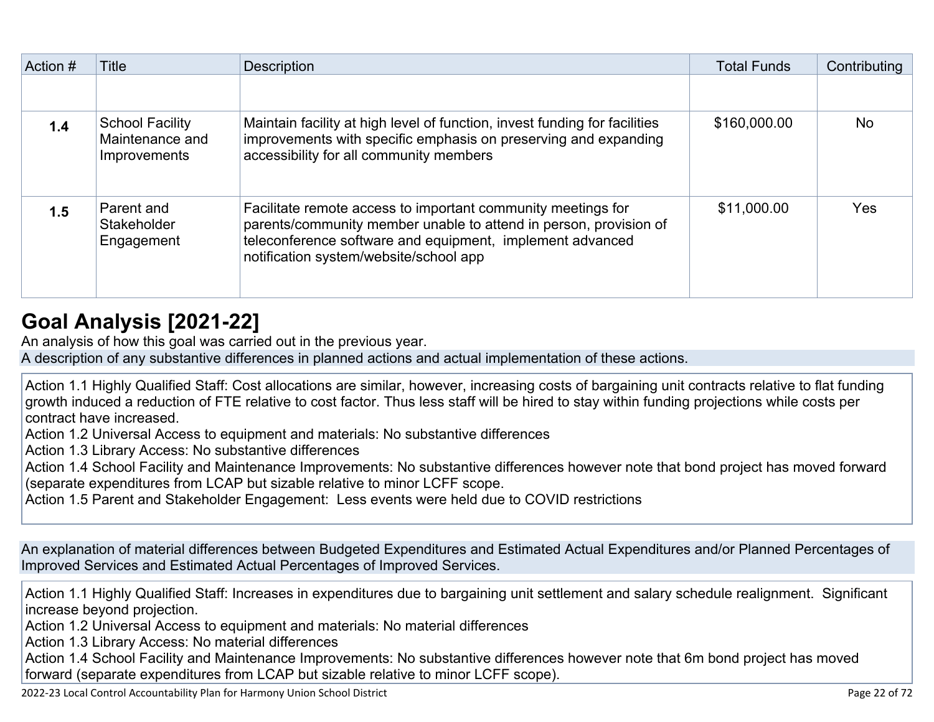| Action # | Title                                                            | <b>Description</b>                                                                                                                                                                                                                       | <b>Total Funds</b> | Contributing |
|----------|------------------------------------------------------------------|------------------------------------------------------------------------------------------------------------------------------------------------------------------------------------------------------------------------------------------|--------------------|--------------|
|          |                                                                  |                                                                                                                                                                                                                                          |                    |              |
| 1.4      | <b>School Facility</b><br>Maintenance and<br><b>Improvements</b> | Maintain facility at high level of function, invest funding for facilities<br>improvements with specific emphasis on preserving and expanding<br>accessibility for all community members                                                 | \$160,000.00       | <b>No</b>    |
| 1.5      | Parent and<br>Stakeholder<br>Engagement                          | Facilitate remote access to important community meetings for<br>parents/community member unable to attend in person, provision of<br>teleconference software and equipment, implement advanced<br>notification system/website/school app | \$11,000.00        | Yes          |

### **[Goal Analysis \[2021-22\]](http://www.doc-tracking.com/screenshots/22LCAP/Instructions/22LCAPInstructions.htm#GoalAnalysis)**

An analysis of how this goal was carried out in the previous year.

A description of any substantive differences in planned actions and actual implementation of these actions.

Action 1.1 Highly Qualified Staff: Cost allocations are similar, however, increasing costs of bargaining unit contracts relative to flat funding growth induced a reduction of FTE relative to cost factor. Thus less staff will be hired to stay within funding projections while costs per contract have increased.

Action 1.2 Universal Access to equipment and materials: No substantive differences

Action 1.3 Library Access: No substantive differences

Action 1.4 School Facility and Maintenance Improvements: No substantive differences however note that bond project has moved forward (separate expenditures from LCAP but sizable relative to minor LCFF scope.

Action 1.5 Parent and Stakeholder Engagement: Less events were held due to COVID restrictions

An explanation of material differences between Budgeted Expenditures and Estimated Actual Expenditures and/or Planned Percentages of Improved Services and Estimated Actual Percentages of Improved Services.

Action 1.1 Highly Qualified Staff: Increases in expenditures due to bargaining unit settlement and salary schedule realignment. Significant increase beyond projection.

Action 1.2 Universal Access to equipment and materials: No material differences

Action 1.3 Library Access: No material differences

Action 1.4 School Facility and Maintenance Improvements: No substantive differences however note that 6m bond project has moved forward (separate expenditures from LCAP but sizable relative to minor LCFF scope).

2022-23 Local Control Accountability Plan for Harmony Union School District **Page 21** of 72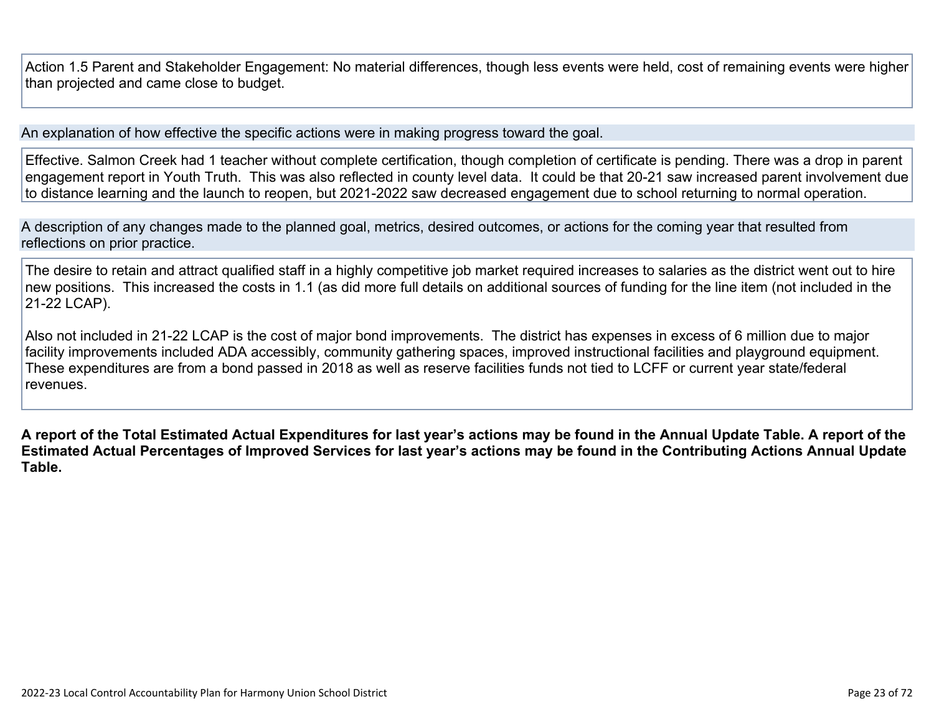Action 1.5 Parent and Stakeholder Engagement: No material differences, though less events were held, cost of remaining events were higher than projected and came close to budget.

An explanation of how effective the specific actions were in making progress toward the goal.

Effective. Salmon Creek had 1 teacher without complete certification, though completion of certificate is pending. There was a drop in parent engagement report in Youth Truth. This was also reflected in county level data. It could be that 20-21 saw increased parent involvement due to distance learning and the launch to reopen, but 2021-2022 saw decreased engagement due to school returning to normal operation.

A description of any changes made to the planned goal, metrics, desired outcomes, or actions for the coming year that resulted from reflections on prior practice.

The desire to retain and attract qualified staff in a highly competitive job market required increases to salaries as the district went out to hire new positions. This increased the costs in 1.1 (as did more full details on additional sources of funding for the line item (not included in the 21-22 LCAP).

Also not included in 21-22 LCAP is the cost of major bond improvements. The district has expenses in excess of 6 million due to major facility improvements included ADA accessibly, community gathering spaces, improved instructional facilities and playground equipment. These expenditures are from a bond passed in 2018 as well as reserve facilities funds not tied to LCFF or current year state/federal revenues.

**A report of the Total Estimated Actual Expenditures for last year's actions may be found in the Annual Update Table. A report of the Estimated Actual Percentages of Improved Services for last year's actions may be found in the Contributing Actions Annual Update Table.**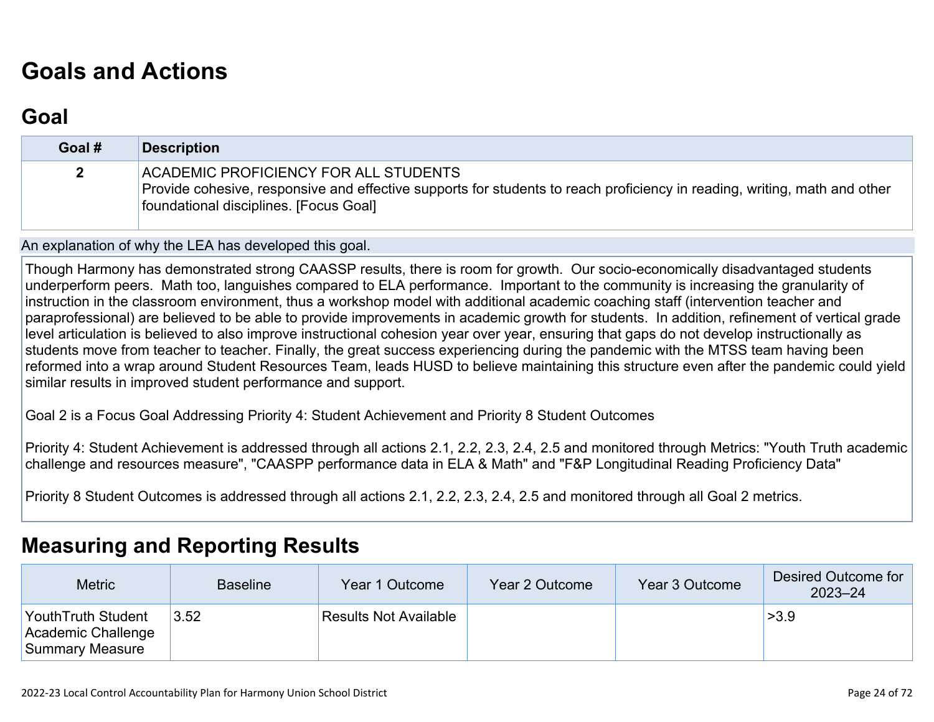# **[Goals and Actions](http://www.doc-tracking.com/screenshots/22LCAP/Instructions/22LCAPInstructions.htm#GoalsandActions)**

### **[Goal](http://www.doc-tracking.com/screenshots/22LCAP/Instructions/22LCAPInstructions.htm#goalDescription)**

| Goal #       | <b>Description</b>                                                                                                                                                                                           |
|--------------|--------------------------------------------------------------------------------------------------------------------------------------------------------------------------------------------------------------|
| $\mathbf{2}$ | ACADEMIC PROFICIENCY FOR ALL STUDENTS<br>Provide cohesive, responsive and effective supports for students to reach proficiency in reading, writing, math and other<br>foundational disciplines. [Focus Goal] |

An explanation of why the LEA has developed this goal.

Though Harmony has demonstrated strong CAASSP results, there is room for growth. Our socio-economically disadvantaged students underperform peers. Math too, languishes compared to ELA performance. Important to the community is increasing the granularity of instruction in the classroom environment, thus a workshop model with additional academic coaching staff (intervention teacher and paraprofessional) are believed to be able to provide improvements in academic growth for students. In addition, refinement of vertical grade level articulation is believed to also improve instructional cohesion year over year, ensuring that gaps do not develop instructionally as students move from teacher to teacher. Finally, the great success experiencing during the pandemic with the MTSS team having been reformed into a wrap around Student Resources Team, leads HUSD to believe maintaining this structure even after the pandemic could yield similar results in improved student performance and support.

Goal 2 is a Focus Goal Addressing Priority 4: Student Achievement and Priority 8 Student Outcomes

Priority 4: Student Achievement is addressed through all actions 2.1, 2.2, 2.3, 2.4, 2.5 and monitored through Metrics: "Youth Truth academic challenge and resources measure", "CAASPP performance data in ELA & Math" and "F&P Longitudinal Reading Proficiency Data"

Priority 8 Student Outcomes is addressed through all actions 2.1, 2.2, 2.3, 2.4, 2.5 and monitored through all Goal 2 metrics.

### **[Measuring and Reporting Results](http://www.doc-tracking.com/screenshots/22LCAP/Instructions/22LCAPInstructions.htm#MeasuringandReportingResults)**

| <b>Metric</b>                                                | <b>Baseline</b> | Year 1 Outcome               | Year 2 Outcome | Year 3 Outcome | Desired Outcome for<br>$2023 - 24$ |
|--------------------------------------------------------------|-----------------|------------------------------|----------------|----------------|------------------------------------|
| Youth Truth Student<br>Academic Challenge<br>Summary Measure | 3.52            | <b>Results Not Available</b> |                |                | >3.9                               |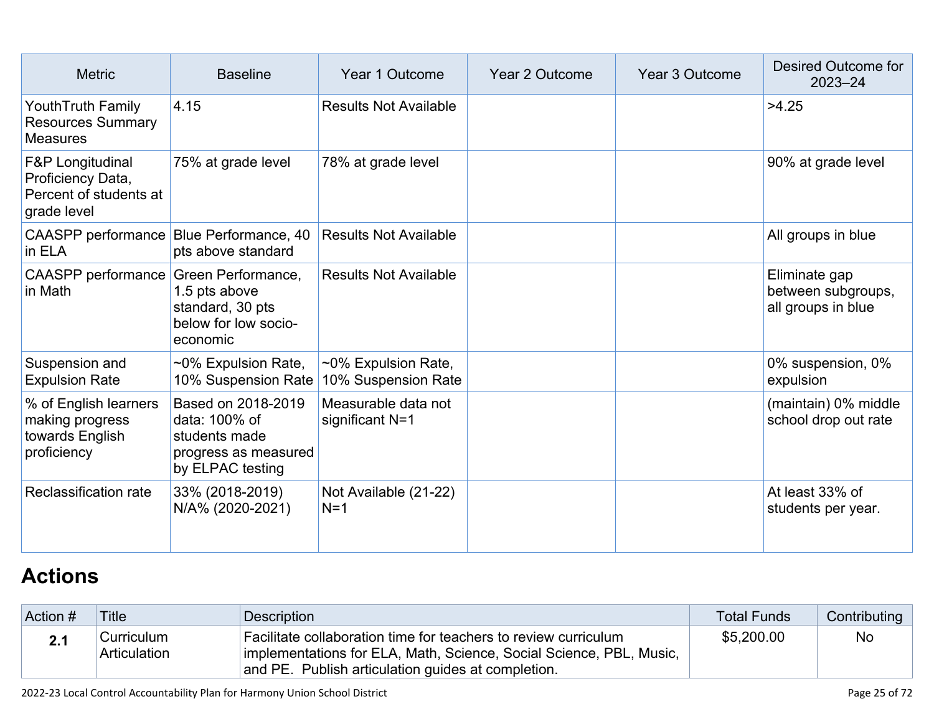| <b>Metric</b><br><b>Baseline</b>                                                                                           |                                                                                                  | Year 1 Outcome                             | Year 2 Outcome | <b>Year 3 Outcome</b> | Desired Outcome for<br>$2023 - 24$                        |
|----------------------------------------------------------------------------------------------------------------------------|--------------------------------------------------------------------------------------------------|--------------------------------------------|----------------|-----------------------|-----------------------------------------------------------|
| Youth Truth Family<br><b>Resources Summary</b><br><b>Measures</b>                                                          | 4.15                                                                                             | <b>Results Not Available</b>               |                |                       | >4.25                                                     |
| 78% at grade level<br>F&P Longitudinal<br>75% at grade level<br>Proficiency Data,<br>Percent of students at<br>grade level |                                                                                                  |                                            |                | 90% at grade level    |                                                           |
| CAASPP performance Blue Performance, 40<br>in ELA                                                                          | pts above standard                                                                               | <b>Results Not Available</b>               |                |                       | All groups in blue                                        |
| CAASPP performance Green Performance,<br>in Math                                                                           | 1.5 pts above<br>standard, 30 pts<br>below for low socio-<br>economic                            | <b>Results Not Available</b>               |                |                       | Eliminate gap<br>between subgroups,<br>all groups in blue |
| Suspension and<br><b>Expulsion Rate</b>                                                                                    | ~0% Expulsion Rate,<br>10% Suspension Rate                                                       | ~0% Expulsion Rate,<br>10% Suspension Rate |                |                       | 0% suspension, 0%<br>expulsion                            |
| % of English learners<br>making progress<br>towards English<br>proficiency                                                 | Based on 2018-2019<br>data: 100% of<br>students made<br>progress as measured<br>by ELPAC testing | Measurable data not<br>significant N=1     |                |                       | (maintain) 0% middle<br>school drop out rate              |
| Reclassification rate                                                                                                      | 33% (2018-2019)<br>N/A% (2020-2021)                                                              | Not Available (21-22)<br>$N=1$             |                |                       | At least 33% of<br>students per year.                     |

# **[Actions](http://www.doc-tracking.com/screenshots/22LCAP/Instructions/22LCAPInstructions.htm#actions)**

| Action # | <b>Title</b>               | Description                                                                                                                                                                                  | <b>Total Funds</b> | Contributing |
|----------|----------------------------|----------------------------------------------------------------------------------------------------------------------------------------------------------------------------------------------|--------------------|--------------|
|          | Curriculum<br>Articulation | Facilitate collaboration time for teachers to review curriculum<br>implementations for ELA, Math, Science, Social Science, PBL, Music,<br>and PE. Publish articulation guides at completion. | \$5,200.00         | <b>No</b>    |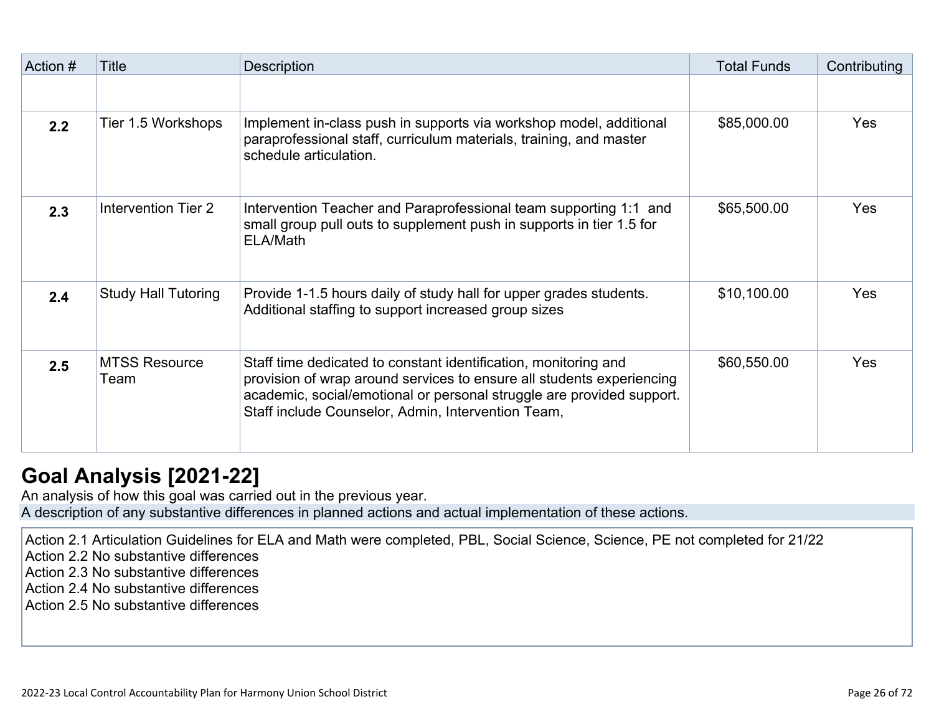| Action # | Title                        | <b>Description</b>                                                                                                                                                                                                                                                      | <b>Total Funds</b> | Contributing |
|----------|------------------------------|-------------------------------------------------------------------------------------------------------------------------------------------------------------------------------------------------------------------------------------------------------------------------|--------------------|--------------|
|          |                              |                                                                                                                                                                                                                                                                         |                    |              |
| 2.2      | Tier 1.5 Workshops           | Implement in-class push in supports via workshop model, additional<br>paraprofessional staff, curriculum materials, training, and master<br>schedule articulation.                                                                                                      | \$85,000.00        | <b>Yes</b>   |
| 2.3      | Intervention Tier 2          | Intervention Teacher and Paraprofessional team supporting 1:1 and<br>small group pull outs to supplement push in supports in tier 1.5 for<br>ELA/Math                                                                                                                   | \$65,500.00        | Yes          |
| 2.4      | <b>Study Hall Tutoring</b>   | Provide 1-1.5 hours daily of study hall for upper grades students.<br>Additional staffing to support increased group sizes                                                                                                                                              | \$10,100.00        | Yes          |
| 2.5      | <b>MTSS Resource</b><br>Team | Staff time dedicated to constant identification, monitoring and<br>provision of wrap around services to ensure all students experiencing<br>academic, social/emotional or personal struggle are provided support.<br>Staff include Counselor, Admin, Intervention Team, | \$60,550.00        | <b>Yes</b>   |

## **[Goal Analysis \[2021-22\]](http://www.doc-tracking.com/screenshots/22LCAP/Instructions/22LCAPInstructions.htm#GoalAnalysis)**

An analysis of how this goal was carried out in the previous year. A description of any substantive differences in planned actions and actual implementation of these actions.

Action 2.1 Articulation Guidelines for ELA and Math were completed, PBL, Social Science, Science, PE not completed for 21/22

Action 2.2 No substantive differences

Action 2.3 No substantive differences

Action 2.4 No substantive differences

Action 2.5 No substantive differences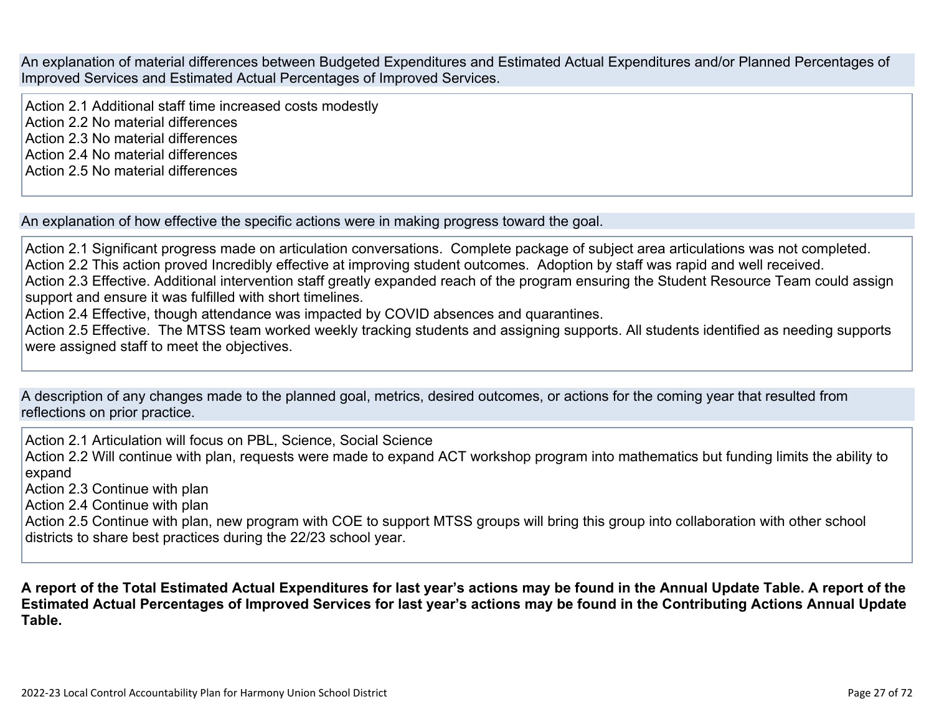An explanation of material differences between Budgeted Expenditures and Estimated Actual Expenditures and/or Planned Percentages of Improved Services and Estimated Actual Percentages of Improved Services.

Action 2.1 Additional staff time increased costs modestly Action 2.2 No material differences Action 2.3 No material differences Action 2.4 No material differences Action 2.5 No material differences

An explanation of how effective the specific actions were in making progress toward the goal.

Action 2.1 Significant progress made on articulation conversations. Complete package of subject area articulations was not completed. Action 2.2 This action proved Incredibly effective at improving student outcomes. Adoption by staff was rapid and well received. Action 2.3 Effective. Additional intervention staff greatly expanded reach of the program ensuring the Student Resource Team could assign support and ensure it was fulfilled with short timelines. Action 2.4 Effective, though attendance was impacted by COVID absences and quarantines.

Action 2.5 Effective. The MTSS team worked weekly tracking students and assigning supports. All students identified as needing supports were assigned staff to meet the objectives.

A description of any changes made to the planned goal, metrics, desired outcomes, or actions for the coming year that resulted from reflections on prior practice.

Action 2.1 Articulation will focus on PBL, Science, Social Science Action 2.2 Will continue with plan, requests were made to expand ACT workshop program into mathematics but funding limits the ability to expand

Action 2.3 Continue with plan

Action 2.4 Continue with plan

Action 2.5 Continue with plan, new program with COE to support MTSS groups will bring this group into collaboration with other school districts to share best practices during the 22/23 school year.

**A report of the Total Estimated Actual Expenditures for last year's actions may be found in the Annual Update Table. A report of the Estimated Actual Percentages of Improved Services for last year's actions may be found in the Contributing Actions Annual Update Table.**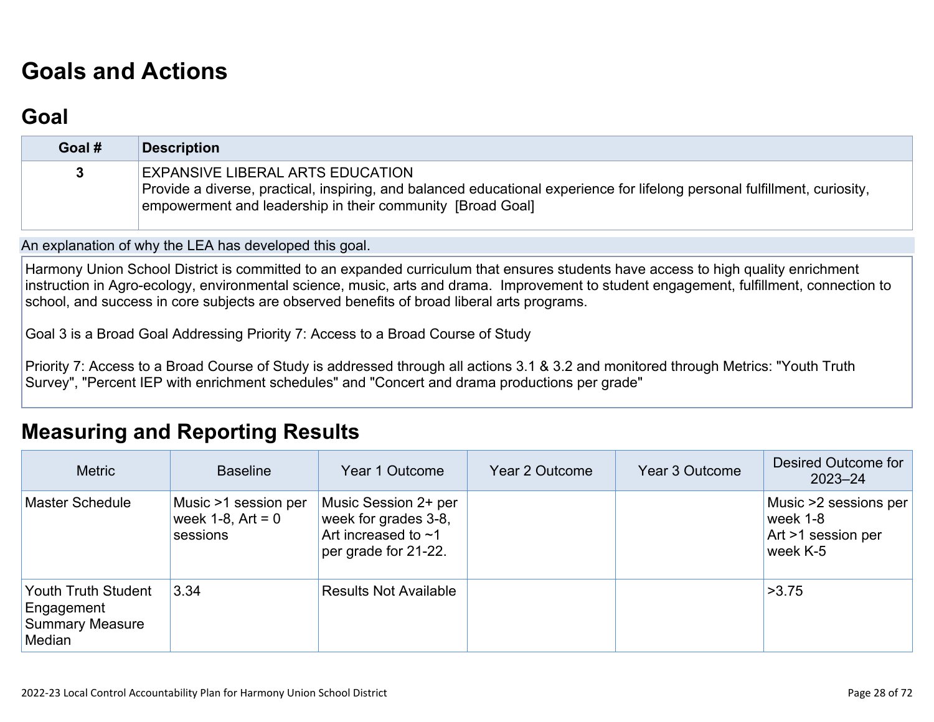# **[Goals and Actions](http://www.doc-tracking.com/screenshots/22LCAP/Instructions/22LCAPInstructions.htm#GoalsandActions)**

## **[Goal](http://www.doc-tracking.com/screenshots/22LCAP/Instructions/22LCAPInstructions.htm#goalDescription)**

| Goal # | <b>Description</b>                                                                                                                                                                                                                  |
|--------|-------------------------------------------------------------------------------------------------------------------------------------------------------------------------------------------------------------------------------------|
|        | <b>EXPANSIVE LIBERAL ARTS EDUCATION</b><br>Provide a diverse, practical, inspiring, and balanced educational experience for lifelong personal fulfillment, curiosity,<br>empowerment and leadership in their community [Broad Goal] |

An explanation of why the LEA has developed this goal.

Harmony Union School District is committed to an expanded curriculum that ensures students have access to high quality enrichment instruction in Agro-ecology, environmental science, music, arts and drama. Improvement to student engagement, fulfillment, connection to school, and success in core subjects are observed benefits of broad liberal arts programs.

Goal 3 is a Broad Goal Addressing Priority 7: Access to a Broad Course of Study

Priority 7: Access to a Broad Course of Study is addressed through all actions 3.1 & 3.2 and monitored through Metrics: "Youth Truth Survey", "Percent IEP with enrichment schedules" and "Concert and drama productions per grade"

### **[Measuring and Reporting Results](http://www.doc-tracking.com/screenshots/22LCAP/Instructions/22LCAPInstructions.htm#MeasuringandReportingResults)**

| <b>Metric</b>                                                         | <b>Baseline</b>                                            | Year 1 Outcome                                                                                    | Year 2 Outcome | Year 3 Outcome | Desired Outcome for<br>$2023 - 24$                                  |
|-----------------------------------------------------------------------|------------------------------------------------------------|---------------------------------------------------------------------------------------------------|----------------|----------------|---------------------------------------------------------------------|
| <b>Master Schedule</b>                                                | Music >1 session per<br>week $1-8$ , $Art = 0$<br>sessions | Music Session 2+ per<br>week for grades 3-8,<br>Art increased to $\sim$ 1<br>per grade for 21-22. |                |                | Music >2 sessions per<br>week 1-8<br>Art >1 session per<br>week K-5 |
| Youth Truth Student<br>Engagement<br><b>Summary Measure</b><br>Median | 3.34                                                       | <b>Results Not Available</b>                                                                      |                |                | >3.75                                                               |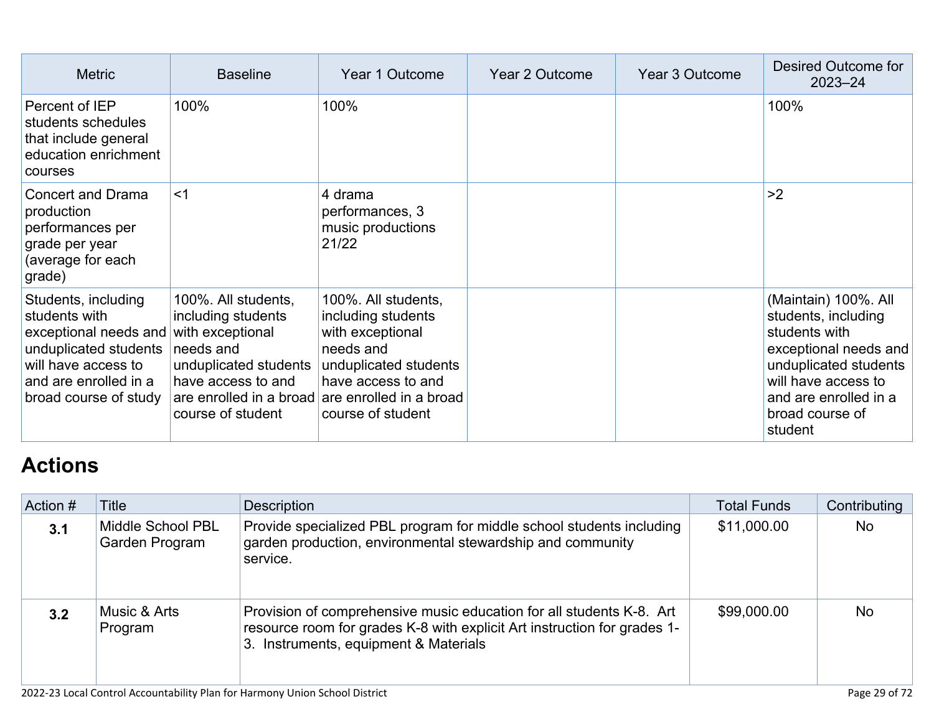| <b>Metric</b>                                                                                                                                                   | <b>Baseline</b>                                                                                                                                | Year 1 Outcome                                                                                                                                                                                    | <b>Year 2 Outcome</b> | Year 3 Outcome | Desired Outcome for<br>$2023 - 24$                                                                                                                                                           |
|-----------------------------------------------------------------------------------------------------------------------------------------------------------------|------------------------------------------------------------------------------------------------------------------------------------------------|---------------------------------------------------------------------------------------------------------------------------------------------------------------------------------------------------|-----------------------|----------------|----------------------------------------------------------------------------------------------------------------------------------------------------------------------------------------------|
| Percent of IEP<br>students schedules<br>that include general<br>education enrichment<br>courses                                                                 | 100%                                                                                                                                           | 100%                                                                                                                                                                                              |                       |                | 100%                                                                                                                                                                                         |
| <b>Concert and Drama</b><br>production<br>performances per<br>grade per year<br>(average for each<br>grade)                                                     | $<$ 1                                                                                                                                          | 4 drama<br>performances, 3<br>music productions<br>21/22                                                                                                                                          |                       |                | >2                                                                                                                                                                                           |
| Students, including<br>students with<br>exceptional needs and<br>unduplicated students<br>will have access to<br>and are enrolled in a<br>broad course of study | 100%. All students,<br>including students<br>with exceptional<br>needs and<br>unduplicated students<br>have access to and<br>course of student | 100%. All students,<br>including students<br>with exceptional<br>needs and<br>unduplicated students<br>have access to and<br>are enrolled in a broad are enrolled in a broad<br>course of student |                       |                | (Maintain) 100%. All<br>students, including<br>students with<br>exceptional needs and<br>unduplicated students<br>will have access to<br>and are enrolled in a<br>broad course of<br>student |

# **[Actions](http://www.doc-tracking.com/screenshots/22LCAP/Instructions/22LCAPInstructions.htm#actions)**

| Action # | <b>Title</b>                        | Description                                                                                                                                                                               | <b>Total Funds</b> | Contributing |
|----------|-------------------------------------|-------------------------------------------------------------------------------------------------------------------------------------------------------------------------------------------|--------------------|--------------|
| 3.1      | Middle School PBL<br>Garden Program | Provide specialized PBL program for middle school students including<br>garden production, environmental stewardship and community<br>service.                                            | \$11,000.00        | <b>No</b>    |
| 3.2      | Music & Arts<br>Program             | Provision of comprehensive music education for all students K-8. Art<br>resource room for grades K-8 with explicit Art instruction for grades 1-<br>3. Instruments, equipment & Materials | \$99,000.00        | <b>No</b>    |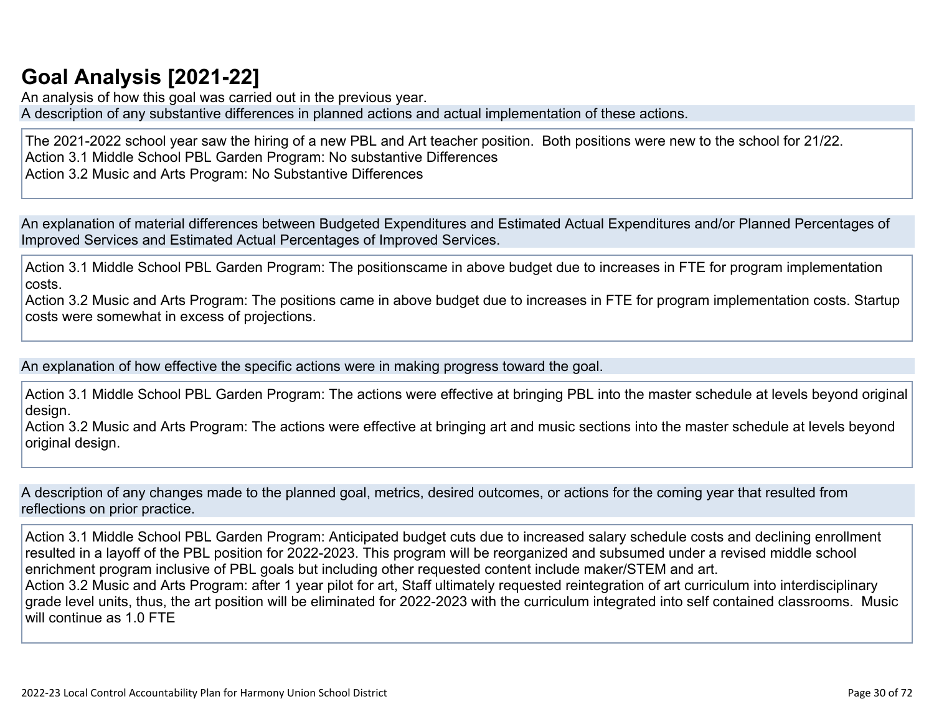# **[Goal Analysis \[2021-22\]](http://www.doc-tracking.com/screenshots/22LCAP/Instructions/22LCAPInstructions.htm#GoalAnalysis)**

An analysis of how this goal was carried out in the previous year. A description of any substantive differences in planned actions and actual implementation of these actions.

The 2021-2022 school year saw the hiring of a new PBL and Art teacher position. Both positions were new to the school for 21/22. Action 3.1 Middle School PBL Garden Program: No substantive Differences Action 3.2 Music and Arts Program: No Substantive Differences

An explanation of material differences between Budgeted Expenditures and Estimated Actual Expenditures and/or Planned Percentages of Improved Services and Estimated Actual Percentages of Improved Services.

Action 3.1 Middle School PBL Garden Program: The positionscame in above budget due to increases in FTE for program implementation costs.

Action 3.2 Music and Arts Program: The positions came in above budget due to increases in FTE for program implementation costs. Startup costs were somewhat in excess of projections.

An explanation of how effective the specific actions were in making progress toward the goal.

Action 3.1 Middle School PBL Garden Program: The actions were effective at bringing PBL into the master schedule at levels beyond original design.

Action 3.2 Music and Arts Program: The actions were effective at bringing art and music sections into the master schedule at levels beyond original design.

A description of any changes made to the planned goal, metrics, desired outcomes, or actions for the coming year that resulted from reflections on prior practice.

Action 3.1 Middle School PBL Garden Program: Anticipated budget cuts due to increased salary schedule costs and declining enrollment resulted in a layoff of the PBL position for 2022-2023. This program will be reorganized and subsumed under a revised middle school enrichment program inclusive of PBL goals but including other requested content include maker/STEM and art. Action 3.2 Music and Arts Program: after 1 year pilot for art, Staff ultimately requested reintegration of art curriculum into interdisciplinary grade level units, thus, the art position will be eliminated for 2022-2023 with the curriculum integrated into self contained classrooms. Music will continue as 1.0 FTF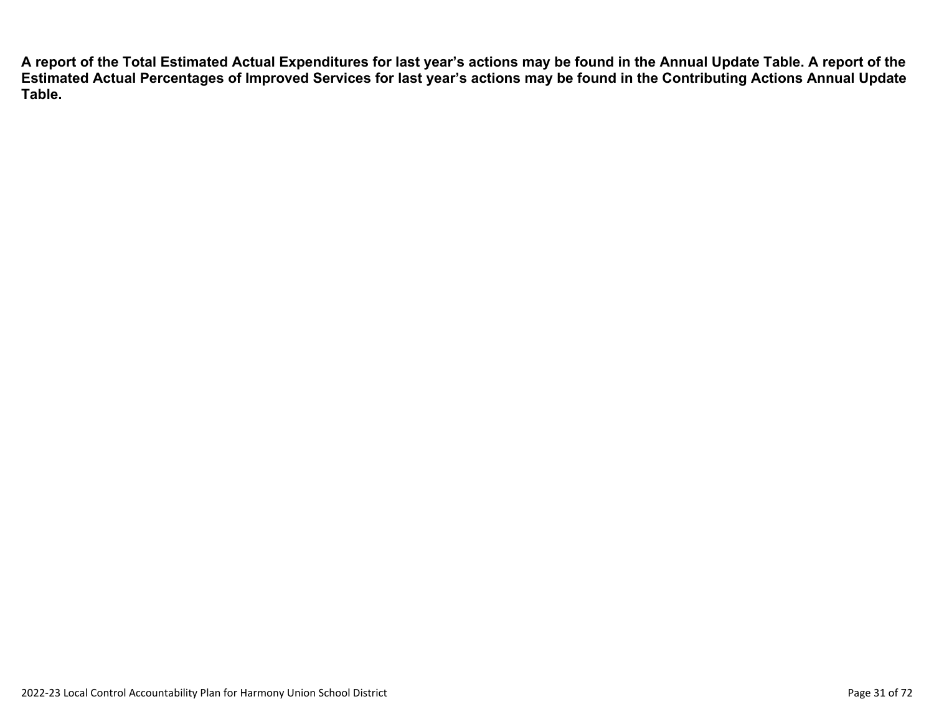**A report of the Total Estimated Actual Expenditures for last year's actions may be found in the Annual Update Table. A report of the Estimated Actual Percentages of Improved Services for last year's actions may be found in the Contributing Actions Annual Update Table.**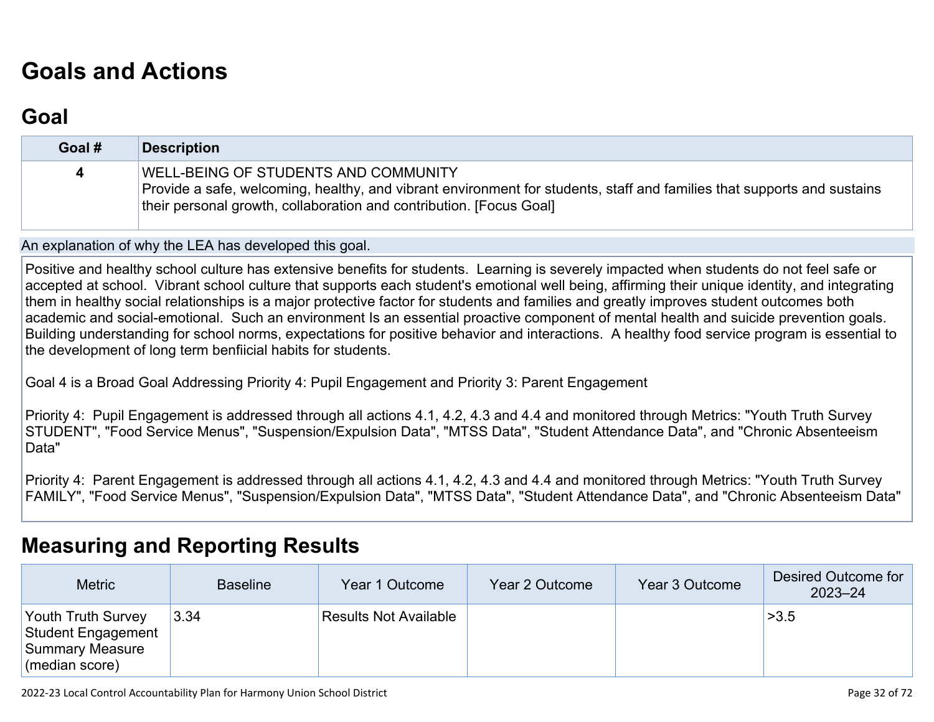# **[Goals and Actions](http://www.doc-tracking.com/screenshots/22LCAP/Instructions/22LCAPInstructions.htm#GoalsandActions)**

### **[Goal](http://www.doc-tracking.com/screenshots/22LCAP/Instructions/22LCAPInstructions.htm#goalDescription)**

| Goal # | Description                                                                                                                                                                                                                                   |
|--------|-----------------------------------------------------------------------------------------------------------------------------------------------------------------------------------------------------------------------------------------------|
| 4      | <b>WELL-BEING OF STUDENTS AND COMMUNITY</b><br>Provide a safe, welcoming, healthy, and vibrant environment for students, staff and families that supports and sustains<br>their personal growth, collaboration and contribution. [Focus Goal] |

An explanation of why the LEA has developed this goal.

Positive and healthy school culture has extensive benefits for students. Learning is severely impacted when students do not feel safe or accepted at school. Vibrant school culture that supports each student's emotional well being, affirming their unique identity, and integrating them in healthy social relationships is a major protective factor for students and families and greatly improves student outcomes both academic and social-emotional. Such an environment Is an essential proactive component of mental health and suicide prevention goals. Building understanding for school norms, expectations for positive behavior and interactions. A healthy food service program is essential to the development of long term benfiicial habits for students.

Goal 4 is a Broad Goal Addressing Priority 4: Pupil Engagement and Priority 3: Parent Engagement

Priority 4: Pupil Engagement is addressed through all actions 4.1, 4.2, 4.3 and 4.4 and monitored through Metrics: "Youth Truth Survey STUDENT", "Food Service Menus", "Suspension/Expulsion Data", "MTSS Data", "Student Attendance Data", and "Chronic Absenteeism Data"

Priority 4: Parent Engagement is addressed through all actions 4.1, 4.2, 4.3 and 4.4 and monitored through Metrics: "Youth Truth Survey FAMILY", "Food Service Menus", "Suspension/Expulsion Data", "MTSS Data", "Student Attendance Data", and "Chronic Absenteeism Data"

### **[Measuring and Reporting Results](http://www.doc-tracking.com/screenshots/22LCAP/Instructions/22LCAPInstructions.htm#MeasuringandReportingResults)**

| <b>Metric</b>                                                                               | <b>Baseline</b> | Year 1 Outcome               | Year 2 Outcome | Year 3 Outcome | Desired Outcome for<br>$2023 - 24$ |
|---------------------------------------------------------------------------------------------|-----------------|------------------------------|----------------|----------------|------------------------------------|
| <b>Youth Truth Survey</b><br><b>Student Engagement</b><br>Summary Measure<br>(median score) | 3.34            | <b>Results Not Available</b> |                |                | >3.5                               |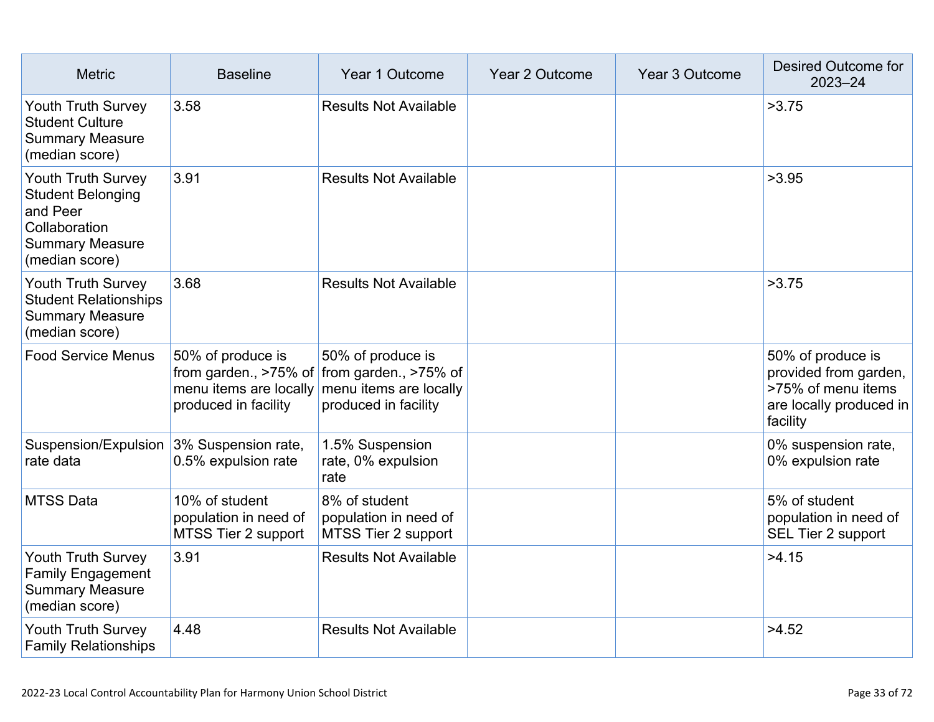| <b>Metric</b>                                                                                                                  | <b>Baseline</b>                                                | Year 1 Outcome                                                                                                                                  | Year 2 Outcome | Year 3 Outcome | Desired Outcome for<br>$2023 - 24$                                                                      |
|--------------------------------------------------------------------------------------------------------------------------------|----------------------------------------------------------------|-------------------------------------------------------------------------------------------------------------------------------------------------|----------------|----------------|---------------------------------------------------------------------------------------------------------|
| Youth Truth Survey<br><b>Student Culture</b><br><b>Summary Measure</b><br>(median score)                                       | 3.58                                                           | <b>Results Not Available</b>                                                                                                                    |                |                | >3.75                                                                                                   |
| <b>Youth Truth Survey</b><br><b>Student Belonging</b><br>and Peer<br>Collaboration<br><b>Summary Measure</b><br>(median score) | 3.91                                                           | <b>Results Not Available</b>                                                                                                                    |                |                | >3.95                                                                                                   |
| Youth Truth Survey<br><b>Student Relationships</b><br><b>Summary Measure</b><br>(median score)                                 | 3.68                                                           | <b>Results Not Available</b>                                                                                                                    |                |                | >3.75                                                                                                   |
| <b>Food Service Menus</b>                                                                                                      | 50% of produce is<br>produced in facility                      | 50% of produce is<br>from garden., $>75\%$ of from garden., $>75\%$ of<br>menu items are locally menu items are locally<br>produced in facility |                |                | 50% of produce is<br>provided from garden,<br>>75% of menu items<br>are locally produced in<br>facility |
| Suspension/Expulsion<br>rate data                                                                                              | 3% Suspension rate,<br>0.5% expulsion rate                     | 1.5% Suspension<br>rate, 0% expulsion<br>rate                                                                                                   |                |                | 0% suspension rate,<br>0% expulsion rate                                                                |
| <b>MTSS Data</b>                                                                                                               | 10% of student<br>population in need of<br>MTSS Tier 2 support | 8% of student<br>population in need of<br>MTSS Tier 2 support                                                                                   |                |                | 5% of student<br>population in need of<br>SEL Tier 2 support                                            |
| <b>Youth Truth Survey</b><br><b>Family Engagement</b><br><b>Summary Measure</b><br>(median score)                              | 3.91                                                           | <b>Results Not Available</b>                                                                                                                    |                |                | >4.15                                                                                                   |
| Youth Truth Survey<br><b>Family Relationships</b>                                                                              | 4.48                                                           | <b>Results Not Available</b>                                                                                                                    |                |                | >4.52                                                                                                   |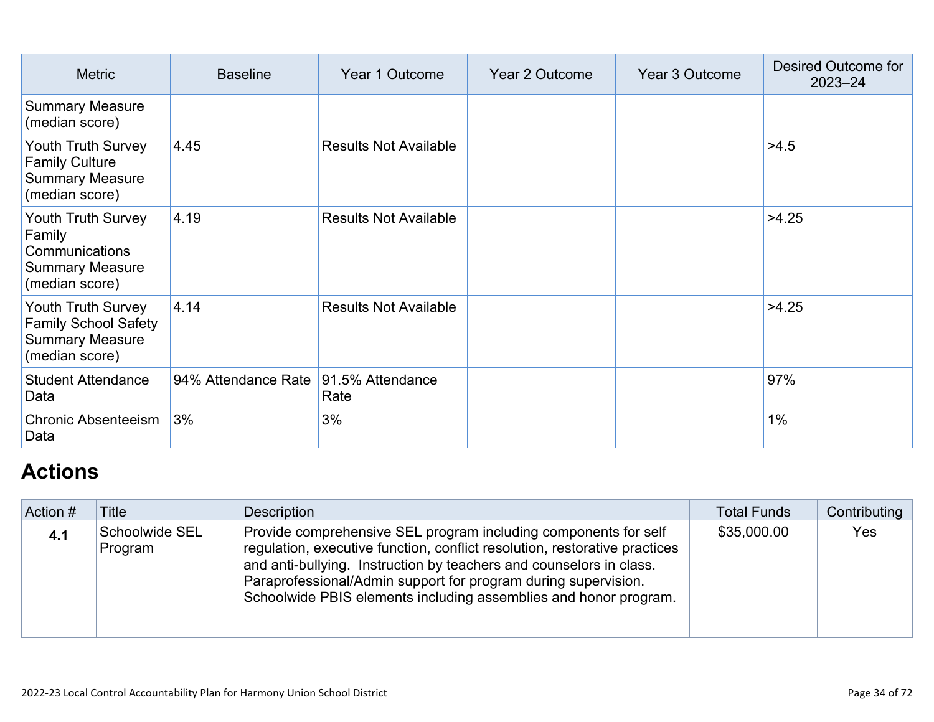| <b>Metric</b>                                                                                        | <b>Baseline</b>                      | Year 1 Outcome               | Year 2 Outcome | Year 3 Outcome | Desired Outcome for<br>$2023 - 24$ |
|------------------------------------------------------------------------------------------------------|--------------------------------------|------------------------------|----------------|----------------|------------------------------------|
| <b>Summary Measure</b><br>(median score)                                                             |                                      |                              |                |                |                                    |
| Youth Truth Survey<br><b>Family Culture</b><br><b>Summary Measure</b><br>(median score)              | 4.45                                 | <b>Results Not Available</b> |                |                | >4.5                               |
| Youth Truth Survey<br>Family<br>Communications<br><b>Summary Measure</b><br>(median score)           | 4.19                                 | <b>Results Not Available</b> |                |                | >4.25                              |
| <b>Youth Truth Survey</b><br><b>Family School Safety</b><br><b>Summary Measure</b><br>(median score) | 4.14                                 | <b>Results Not Available</b> |                |                | >4.25                              |
| <b>Student Attendance</b><br>Data                                                                    | 94% Attendance Rate 91.5% Attendance | Rate                         |                |                | 97%                                |
| <b>Chronic Absenteeism</b><br>Data                                                                   | 3%                                   | 3%                           |                |                | $1\%$                              |

# **[Actions](http://www.doc-tracking.com/screenshots/22LCAP/Instructions/22LCAPInstructions.htm#actions)**

| Action # | <b>Title</b>              | <b>Description</b>                                                                                                                                                                                                                                                                                                                                         | <b>Total Funds</b> | Contributing |
|----------|---------------------------|------------------------------------------------------------------------------------------------------------------------------------------------------------------------------------------------------------------------------------------------------------------------------------------------------------------------------------------------------------|--------------------|--------------|
| 4.1      | Schoolwide SEL<br>Program | Provide comprehensive SEL program including components for self<br>regulation, executive function, conflict resolution, restorative practices<br>and anti-bullying. Instruction by teachers and counselors in class.<br>Paraprofessional/Admin support for program during supervision.<br>Schoolwide PBIS elements including assemblies and honor program. | \$35,000.00        | Yes          |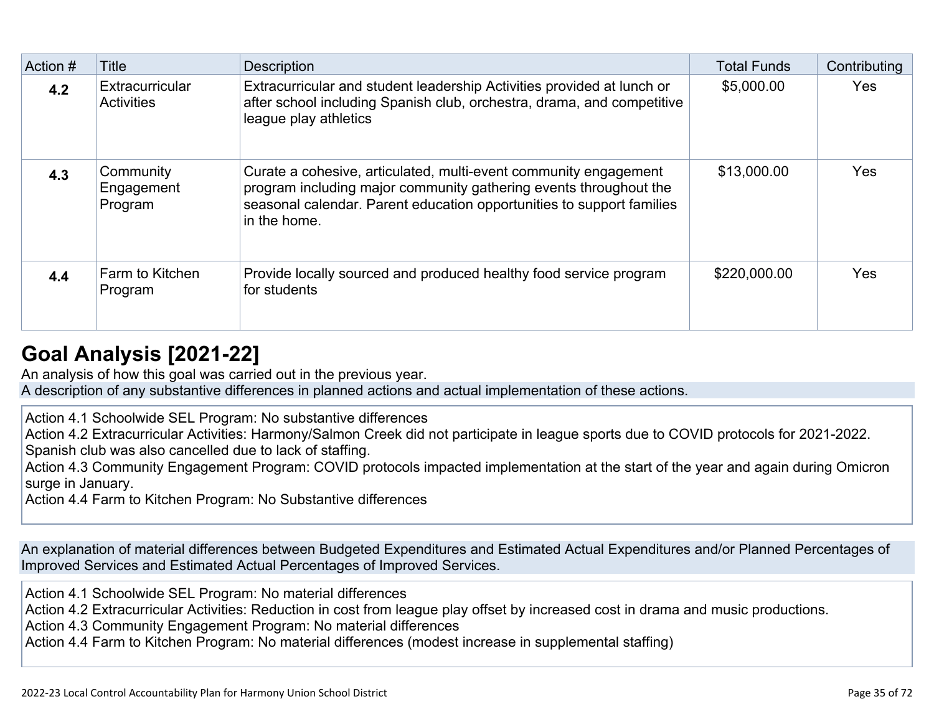| Action # | Title                                | <b>Description</b>                                                                                                                                                                                                             | <b>Total Funds</b> | Contributing |
|----------|--------------------------------------|--------------------------------------------------------------------------------------------------------------------------------------------------------------------------------------------------------------------------------|--------------------|--------------|
| 4.2      | Extracurricular<br><b>Activities</b> | Extracurricular and student leadership Activities provided at lunch or<br>after school including Spanish club, orchestra, drama, and competitive<br>league play athletics                                                      | \$5,000.00         | <b>Yes</b>   |
| 4.3      | Community<br>Engagement<br>Program   | Curate a cohesive, articulated, multi-event community engagement<br>program including major community gathering events throughout the<br>seasonal calendar. Parent education opportunities to support families<br>in the home. | \$13,000.00        | <b>Yes</b>   |
| 4.4      | Farm to Kitchen<br>Program           | Provide locally sourced and produced healthy food service program<br>for students                                                                                                                                              | \$220,000.00       | <b>Yes</b>   |

# **[Goal Analysis \[2021-22\]](http://www.doc-tracking.com/screenshots/22LCAP/Instructions/22LCAPInstructions.htm#GoalAnalysis)**

An analysis of how this goal was carried out in the previous year. A description of any substantive differences in planned actions and actual implementation of these actions.

Action 4.1 Schoolwide SEL Program: No substantive differences

Action 4.2 Extracurricular Activities: Harmony/Salmon Creek did not participate in league sports due to COVID protocols for 2021-2022. Spanish club was also cancelled due to lack of staffing.

Action 4.3 Community Engagement Program: COVID protocols impacted implementation at the start of the year and again during Omicron surge in January.

Action 4.4 Farm to Kitchen Program: No Substantive differences

An explanation of material differences between Budgeted Expenditures and Estimated Actual Expenditures and/or Planned Percentages of Improved Services and Estimated Actual Percentages of Improved Services.

Action 4.1 Schoolwide SEL Program: No material differences

Action 4.2 Extracurricular Activities: Reduction in cost from league play offset by increased cost in drama and music productions.

Action 4.3 Community Engagement Program: No material differences

Action 4.4 Farm to Kitchen Program: No material differences (modest increase in supplemental staffing)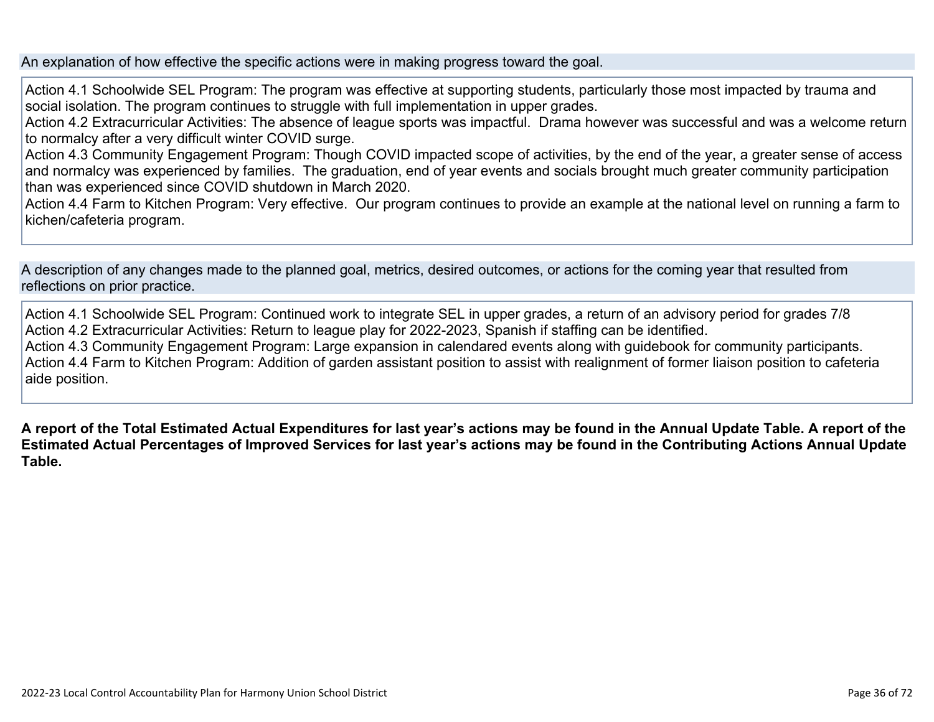An explanation of how effective the specific actions were in making progress toward the goal.

Action 4.1 Schoolwide SEL Program: The program was effective at supporting students, particularly those most impacted by trauma and social isolation. The program continues to struggle with full implementation in upper grades.

Action 4.2 Extracurricular Activities: The absence of league sports was impactful. Drama however was successful and was a welcome return to normalcy after a very difficult winter COVID surge.

Action 4.3 Community Engagement Program: Though COVID impacted scope of activities, by the end of the year, a greater sense of access and normalcy was experienced by families. The graduation, end of year events and socials brought much greater community participation than was experienced since COVID shutdown in March 2020.

Action 4.4 Farm to Kitchen Program: Very effective. Our program continues to provide an example at the national level on running a farm to kichen/cafeteria program.

A description of any changes made to the planned goal, metrics, desired outcomes, or actions for the coming year that resulted from reflections on prior practice.

Action 4.1 Schoolwide SEL Program: Continued work to integrate SEL in upper grades, a return of an advisory period for grades 7/8 Action 4.2 Extracurricular Activities: Return to league play for 2022-2023, Spanish if staffing can be identified. Action 4.3 Community Engagement Program: Large expansion in calendared events along with guidebook for community participants. Action 4.4 Farm to Kitchen Program: Addition of garden assistant position to assist with realignment of former liaison position to cafeteria aide position.

**A report of the Total Estimated Actual Expenditures for last year's actions may be found in the Annual Update Table. A report of the Estimated Actual Percentages of Improved Services for last year's actions may be found in the Contributing Actions Annual Update Table.**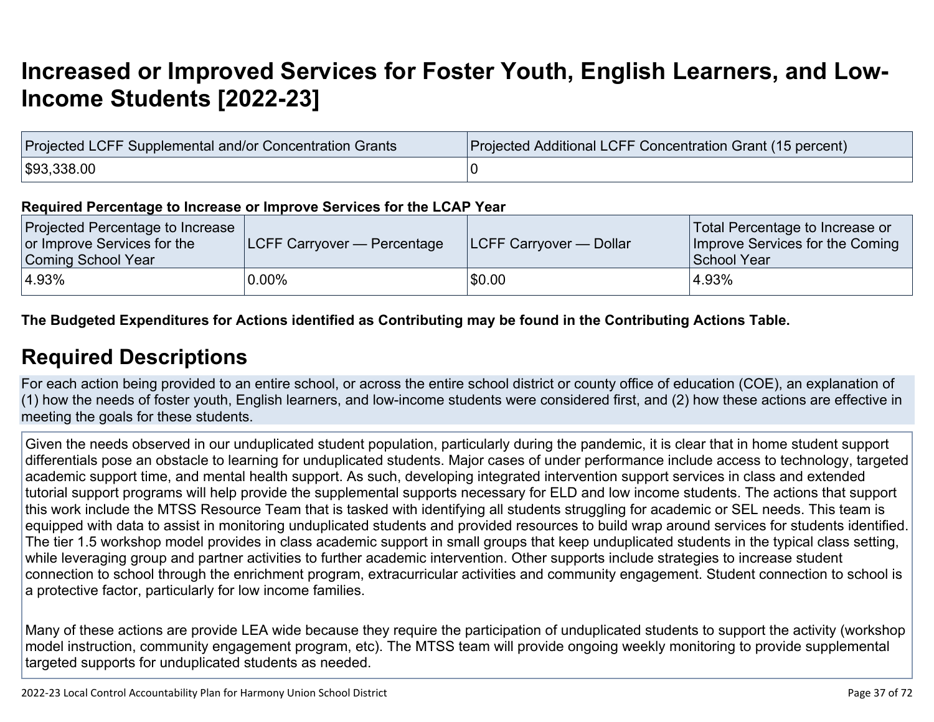# **[Increased or Improved Services for Foster Youth, English Learners, and Low-](http://www.doc-tracking.com/screenshots/22LCAP/Instructions/22LCAPInstructions.htm#IncreasedImprovedServices)[Income Students \[2022-23\]](http://www.doc-tracking.com/screenshots/22LCAP/Instructions/22LCAPInstructions.htm#IncreasedImprovedServices)**

| Projected LCFF Supplemental and/or Concentration Grants | Projected Additional LCFF Concentration Grant (15 percent) |
|---------------------------------------------------------|------------------------------------------------------------|
| \$93,338.00                                             |                                                            |

#### **Required Percentage to Increase or Improve Services for the LCAP Year**

| Projected Percentage to Increase<br>or Improve Services for the<br>Coming School Year | <b>LCFF Carryover — Percentage</b> | <b>ILCFF Carryover — Dollar</b> | Total Percentage to Increase or<br>Improve Services for the Coming<br>School Year |
|---------------------------------------------------------------------------------------|------------------------------------|---------------------------------|-----------------------------------------------------------------------------------|
| $ 4.93\%$                                                                             | $0.00\%$                           | \$0.00                          | 4.93%                                                                             |

### **The Budgeted Expenditures for Actions identified as Contributing may be found in the Contributing Actions Table.**

### **[Required Descriptions](http://www.doc-tracking.com/screenshots/22LCAP/Instructions/22LCAPInstructions.htm#RequiredDescriptions)**

For each action being provided to an entire school, or across the entire school district or county office of education (COE), an explanation of (1) how the needs of foster youth, English learners, and low-income students were considered first, and (2) how these actions are effective in meeting the goals for these students.

Given the needs observed in our unduplicated student population, particularly during the pandemic, it is clear that in home student support differentials pose an obstacle to learning for unduplicated students. Major cases of under performance include access to technology, targeted academic support time, and mental health support. As such, developing integrated intervention support services in class and extended tutorial support programs will help provide the supplemental supports necessary for ELD and low income students. The actions that support this work include the MTSS Resource Team that is tasked with identifying all students struggling for academic or SEL needs. This team is equipped with data to assist in monitoring unduplicated students and provided resources to build wrap around services for students identified. The tier 1.5 workshop model provides in class academic support in small groups that keep unduplicated students in the typical class setting, while leveraging group and partner activities to further academic intervention. Other supports include strategies to increase student connection to school through the enrichment program, extracurricular activities and community engagement. Student connection to school is a protective factor, particularly for low income families.

Many of these actions are provide LEA wide because they require the participation of unduplicated students to support the activity (workshop model instruction, community engagement program, etc). The MTSS team will provide ongoing weekly monitoring to provide supplemental targeted supports for unduplicated students as needed.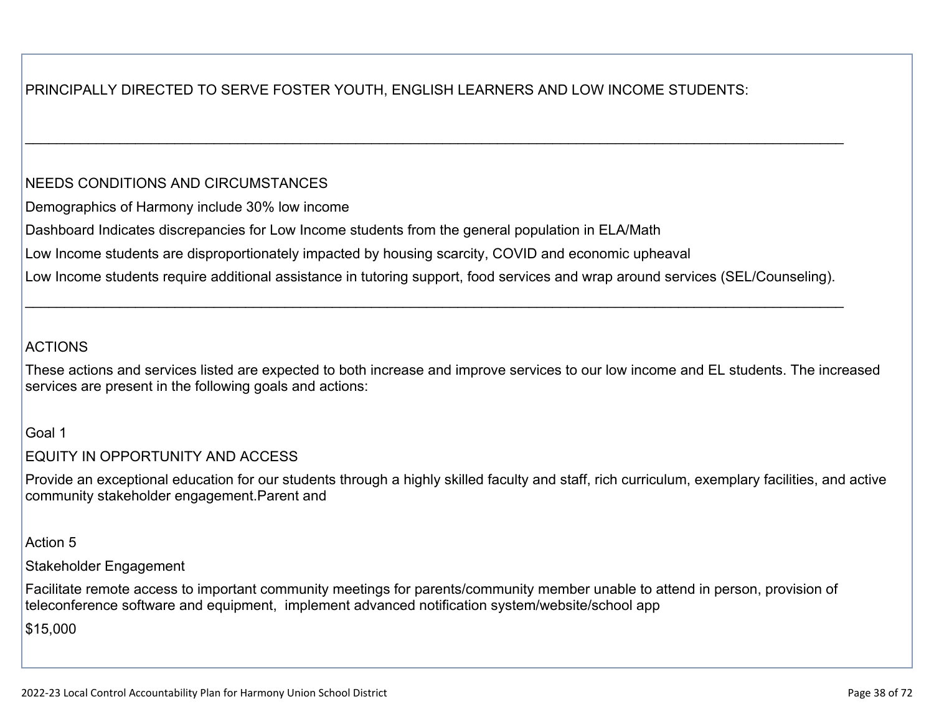### PRINCIPALLY DIRECTED TO SERVE FOSTER YOUTH, ENGLISH LEARNERS AND LOW INCOME STUDENTS:

### NEEDS CONDITIONS AND CIRCUMSTANCES

Demographics of Harmony include 30% low income

Dashboard Indicates discrepancies for Low Income students from the general population in ELA/Math

Low Income students are disproportionately impacted by housing scarcity, COVID and economic upheaval

Low Income students require additional assistance in tutoring support, food services and wrap around services (SEL/Counseling).

 $\_$ 

 $\_$ 

### ACTIONS

These actions and services listed are expected to both increase and improve services to our low income and EL students. The increased services are present in the following goals and actions:

### Goal 1

### EQUITY IN OPPORTUNITY AND ACCESS

Provide an exceptional education for our students through a highly skilled faculty and staff, rich curriculum, exemplary facilities, and active community stakeholder engagement.Parent and

### Action 5

### Stakeholder Engagement

Facilitate remote access to important community meetings for parents/community member unable to attend in person, provision of teleconference software and equipment, implement advanced notification system/website/school app

\$15,000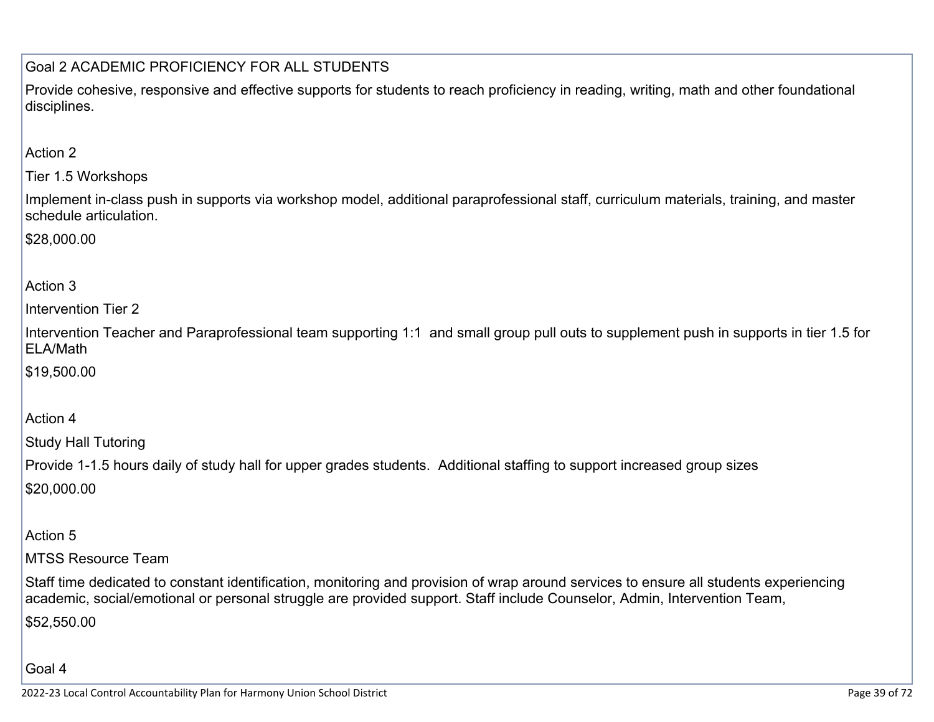### Goal 2 ACADEMIC PROFICIENCY FOR ALL STUDENTS

Provide cohesive, responsive and effective supports for students to reach proficiency in reading, writing, math and other foundational disciplines.

### Action 2

Tier 1.5 Workshops

Implement in-class push in supports via workshop model, additional paraprofessional staff, curriculum materials, training, and master schedule articulation.

\$28,000.00

### Action 3

Intervention Tier 2

Intervention Teacher and Paraprofessional team supporting 1:1 and small group pull outs to supplement push in supports in tier 1.5 for ELA/Math

\$19,500.00

### Action 4

Study Hall Tutoring

Provide 1-1.5 hours daily of study hall for upper grades students. Additional staffing to support increased group sizes \$20,000.00

### Action 5

MTSS Resource Team

Staff time dedicated to constant identification, monitoring and provision of wrap around services to ensure all students experiencing academic, social/emotional or personal struggle are provided support. Staff include Counselor, Admin, Intervention Team, \$52,550.00

Goal 4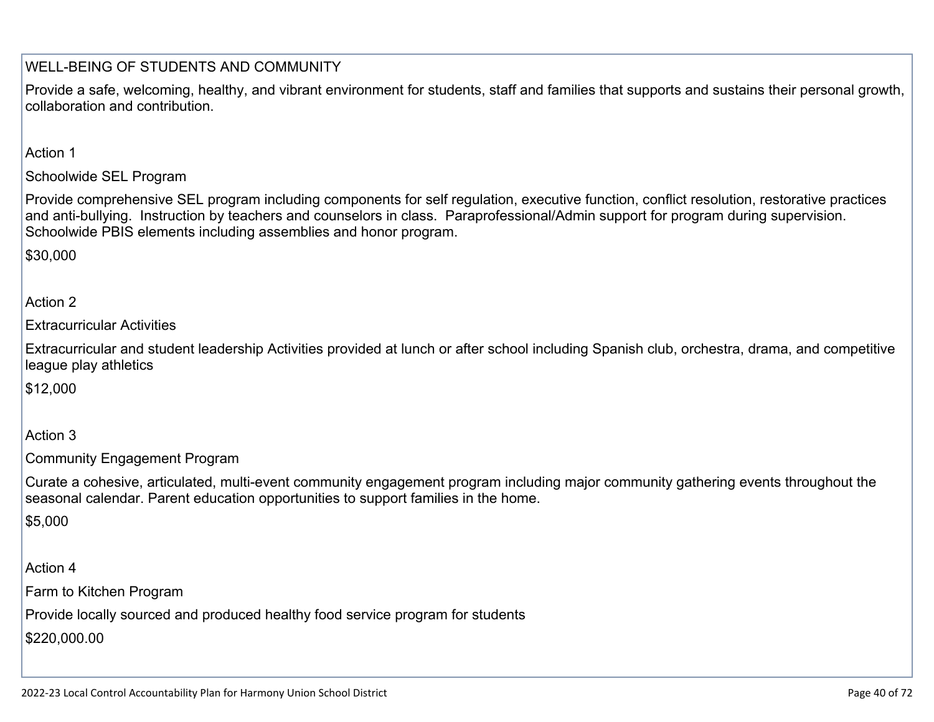### WELL-BEING OF STUDENTS AND COMMUNITY

Provide a safe, welcoming, healthy, and vibrant environment for students, staff and families that supports and sustains their personal growth, collaboration and contribution.

Action 1

### Schoolwide SEL Program

Provide comprehensive SEL program including components for self regulation, executive function, conflict resolution, restorative practices and anti-bullying. Instruction by teachers and counselors in class. Paraprofessional/Admin support for program during supervision. Schoolwide PBIS elements including assemblies and honor program.

\$30,000

### Action 2

Extracurricular Activities

Extracurricular and student leadership Activities provided at lunch or after school including Spanish club, orchestra, drama, and competitive league play athletics

\$12,000

#### Action 3

Community Engagement Program

Curate a cohesive, articulated, multi-event community engagement program including major community gathering events throughout the seasonal calendar. Parent education opportunities to support families in the home.

\$5,000

Action 4

Farm to Kitchen Program

Provide locally sourced and produced healthy food service program for students

\$220,000.00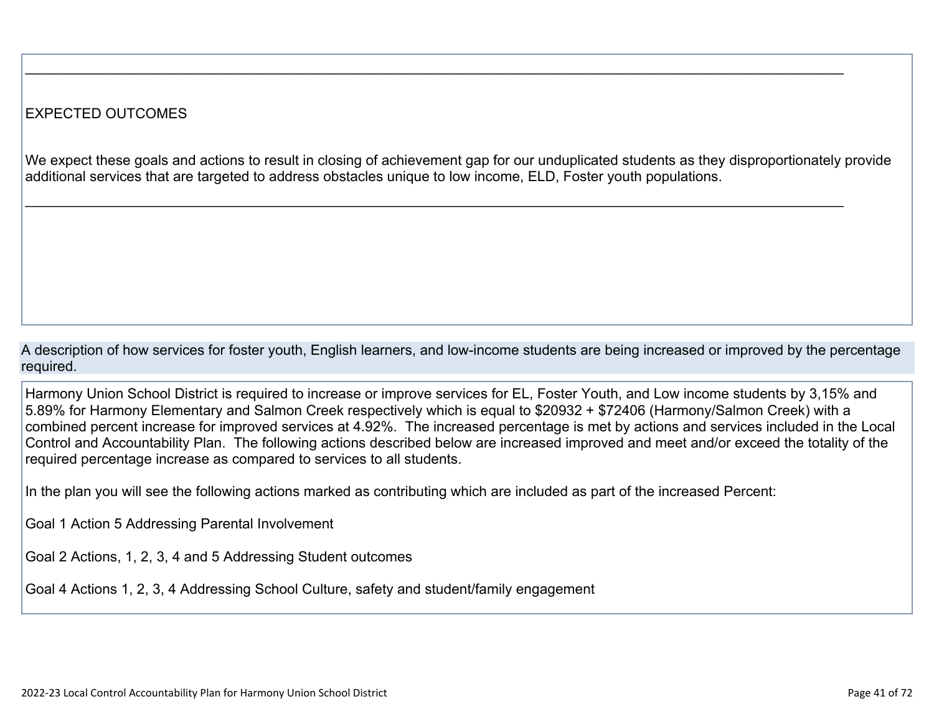### EXPECTED OUTCOMES

We expect these goals and actions to result in closing of achievement gap for our unduplicated students as they disproportionately provide additional services that are targeted to address obstacles unique to low income, ELD, Foster youth populations.

 $\_$ 

 $\_$ 

A description of how services for foster youth, English learners, and low-income students are being increased or improved by the percentage required.

Harmony Union School District is required to increase or improve services for EL, Foster Youth, and Low income students by 3,15% and 5.89% for Harmony Elementary and Salmon Creek respectively which is equal to \$20932 + \$72406 (Harmony/Salmon Creek) with a combined percent increase for improved services at 4.92%. The increased percentage is met by actions and services included in the Local Control and Accountability Plan. The following actions described below are increased improved and meet and/or exceed the totality of the required percentage increase as compared to services to all students.

In the plan you will see the following actions marked as contributing which are included as part of the increased Percent:

Goal 1 Action 5 Addressing Parental Involvement

Goal 2 Actions, 1, 2, 3, 4 and 5 Addressing Student outcomes

Goal 4 Actions 1, 2, 3, 4 Addressing School Culture, safety and student/family engagement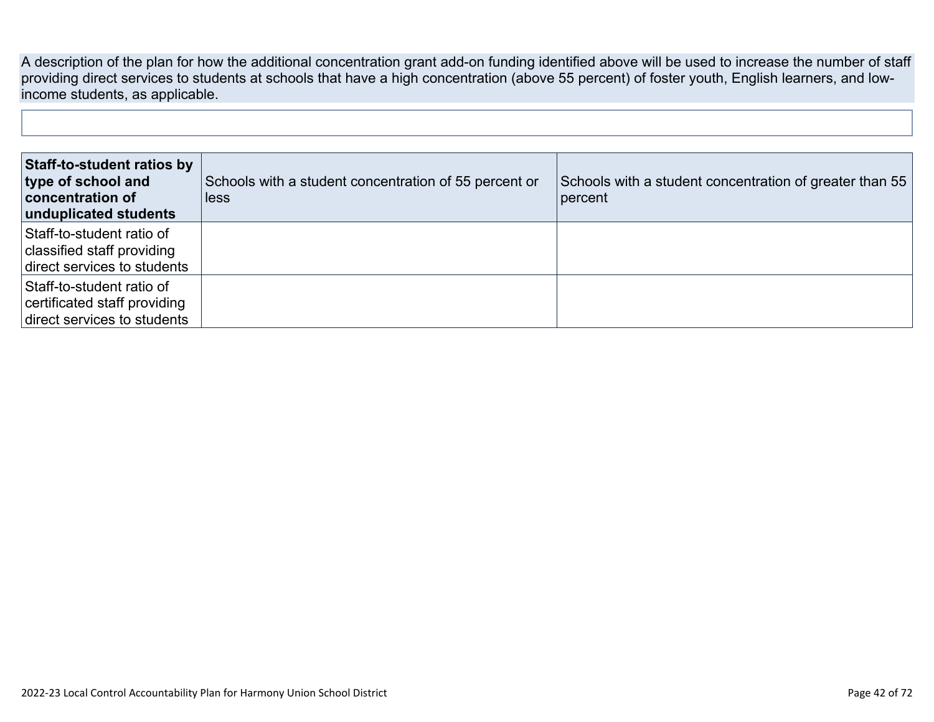A description of the plan for how the additional concentration grant add-on funding identified above will be used to increase the number of staff providing direct services to students at schools that have a high concentration (above 55 percent) of foster youth, English learners, and lowincome students, as applicable.

| Staff-to-student ratios by<br>type of school and<br>concentration of<br>unduplicated students | Schools with a student concentration of 55 percent or<br>less | Schools with a student concentration of greater than 55<br>percent |
|-----------------------------------------------------------------------------------------------|---------------------------------------------------------------|--------------------------------------------------------------------|
| Staff-to-student ratio of<br>classified staff providing<br>direct services to students        |                                                               |                                                                    |
| Staff-to-student ratio of<br>certificated staff providing<br>direct services to students      |                                                               |                                                                    |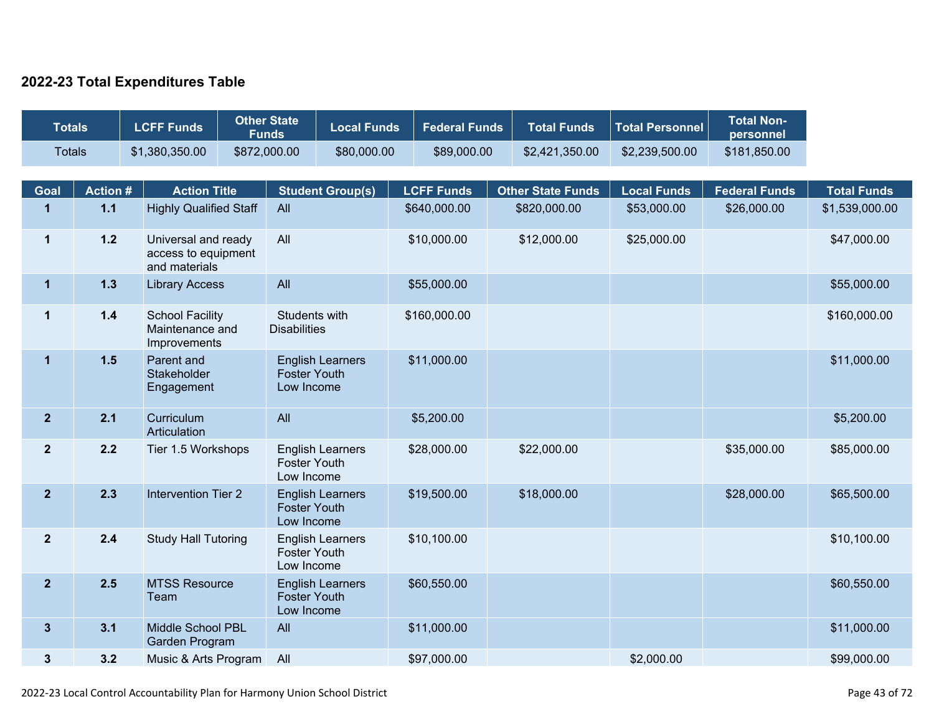### **2022-23 Total Expenditures Table**

| <b>Totals</b>  |                | <b>LCFF Funds</b> |                                                             | <b>Other State</b><br><b>Funds</b>                           | <b>Local Funds</b>      | <b>Federal Funds</b> | <b>Total Funds</b>       | <b>Total Personnel</b> | <b>Total Non-</b><br>personnel |                    |
|----------------|----------------|-------------------|-------------------------------------------------------------|--------------------------------------------------------------|-------------------------|----------------------|--------------------------|------------------------|--------------------------------|--------------------|
| <b>Totals</b>  |                |                   | \$1,380,350.00                                              | \$872,000.00                                                 | \$80,000.00             | \$89,000.00          | \$2,421,350.00           | \$2,239,500.00         | \$181,850.00                   |                    |
| Goal           | <b>Action#</b> |                   | <b>Action Title</b>                                         |                                                              | <b>Student Group(s)</b> | <b>LCFF Funds</b>    | <b>Other State Funds</b> | <b>Local Funds</b>     | <b>Federal Funds</b>           | <b>Total Funds</b> |
| $\mathbf{1}$   | $1.1$          |                   | <b>Highly Qualified Staff</b>                               | All                                                          |                         | \$640,000.00         | \$820,000.00             | \$53,000.00            | \$26,000.00                    | \$1,539,000.00     |
| $\mathbf 1$    | $1.2$          |                   | Universal and ready<br>access to equipment<br>and materials | All                                                          |                         | \$10,000.00          | \$12,000.00              | \$25,000.00            |                                | \$47,000.00        |
| $\mathbf{1}$   | 1.3            |                   | <b>Library Access</b>                                       | All                                                          |                         | \$55,000.00          |                          |                        |                                | \$55,000.00        |
| $\mathbf 1$    | $1.4$          |                   | <b>School Facility</b><br>Maintenance and<br>Improvements   | Students with<br><b>Disabilities</b>                         |                         | \$160,000.00         |                          |                        |                                | \$160,000.00       |
| $\mathbf{1}$   | $1.5$          |                   | Parent and<br>Stakeholder<br>Engagement                     | <b>English Learners</b><br><b>Foster Youth</b><br>Low Income |                         | \$11,000.00          |                          |                        |                                | \$11,000.00        |
| $\overline{2}$ | 2.1            |                   | Curriculum<br>Articulation                                  | All                                                          |                         | \$5,200.00           |                          |                        |                                | \$5,200.00         |
| $\mathbf{2}$   | 2.2            |                   | Tier 1.5 Workshops                                          | <b>Foster Youth</b><br>Low Income                            | <b>English Learners</b> | \$28,000.00          | \$22,000.00              |                        | \$35,000.00                    | \$85,000.00        |
| $\overline{2}$ | 2.3            |                   | <b>Intervention Tier 2</b>                                  | <b>Foster Youth</b><br>Low Income                            | <b>English Learners</b> | \$19,500.00          | \$18,000.00              |                        | \$28,000.00                    | \$65,500.00        |
| $\mathbf{2}$   | 2.4            |                   | <b>Study Hall Tutoring</b>                                  | <b>Foster Youth</b><br>Low Income                            | <b>English Learners</b> | \$10,100.00          |                          |                        |                                | \$10,100.00        |
| $\overline{2}$ | 2.5            |                   | <b>MTSS Resource</b><br>Team                                | <b>Foster Youth</b><br>Low Income                            | <b>English Learners</b> | \$60,550.00          |                          |                        |                                | \$60,550.00        |
| $\mathbf{3}$   | 3.1            |                   | Middle School PBL<br>Garden Program                         | All                                                          |                         | \$11,000.00          |                          |                        |                                | \$11,000.00        |
| $\mathbf{3}$   | 3.2            |                   | Music & Arts Program                                        | All                                                          |                         | \$97,000.00          |                          | \$2,000.00             |                                | \$99,000.00        |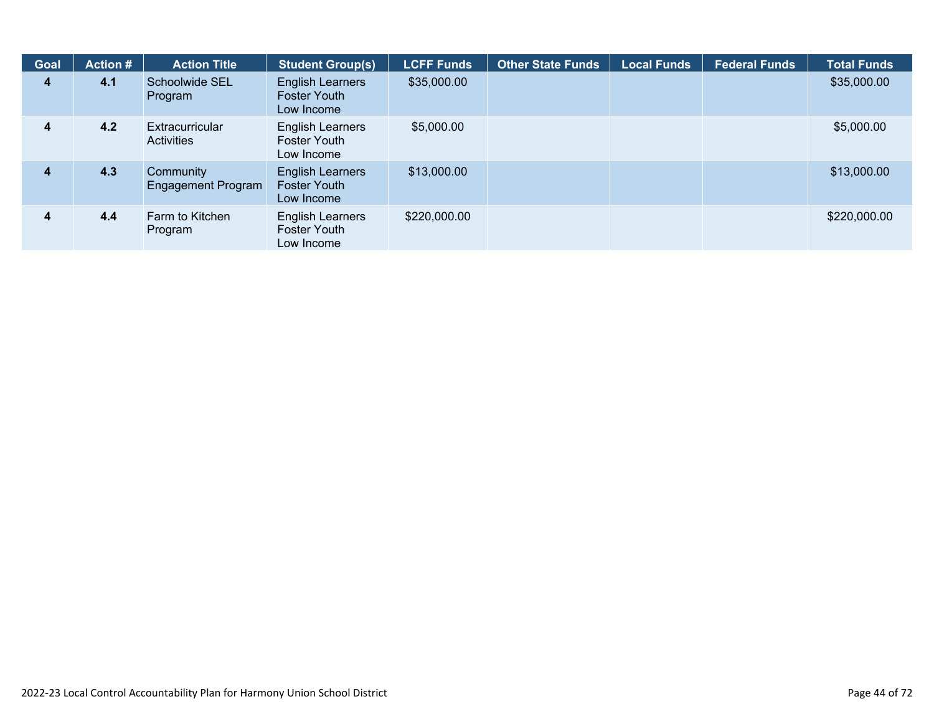| <b>Goal</b> | <b>Action #</b> | <b>Action Title</b>                    | <b>Student Group(s)</b>                                      | <b>LCFF Funds</b> | <b>Other State Funds</b> | <b>Local Funds</b> | <b>Federal Funds</b> | <b>Total Funds</b> |
|-------------|-----------------|----------------------------------------|--------------------------------------------------------------|-------------------|--------------------------|--------------------|----------------------|--------------------|
| 4           | 4.1             | Schoolwide SEL<br>Program              | <b>English Learners</b><br><b>Foster Youth</b><br>Low Income | \$35,000.00       |                          |                    |                      | \$35,000.00        |
| 4           | 4.2             | Extracurricular<br><b>Activities</b>   | English Learners<br><b>Foster Youth</b><br>Low Income        | \$5,000.00        |                          |                    |                      | \$5,000.00         |
| 4           | 4.3             | Community<br><b>Engagement Program</b> | <b>English Learners</b><br><b>Foster Youth</b><br>Low Income | \$13,000.00       |                          |                    |                      | \$13,000.00        |
| 4           | 4.4             | Farm to Kitchen<br>Program             | English Learners<br>Foster Youth<br>Low Income               | \$220,000.00      |                          |                    |                      | \$220,000.00       |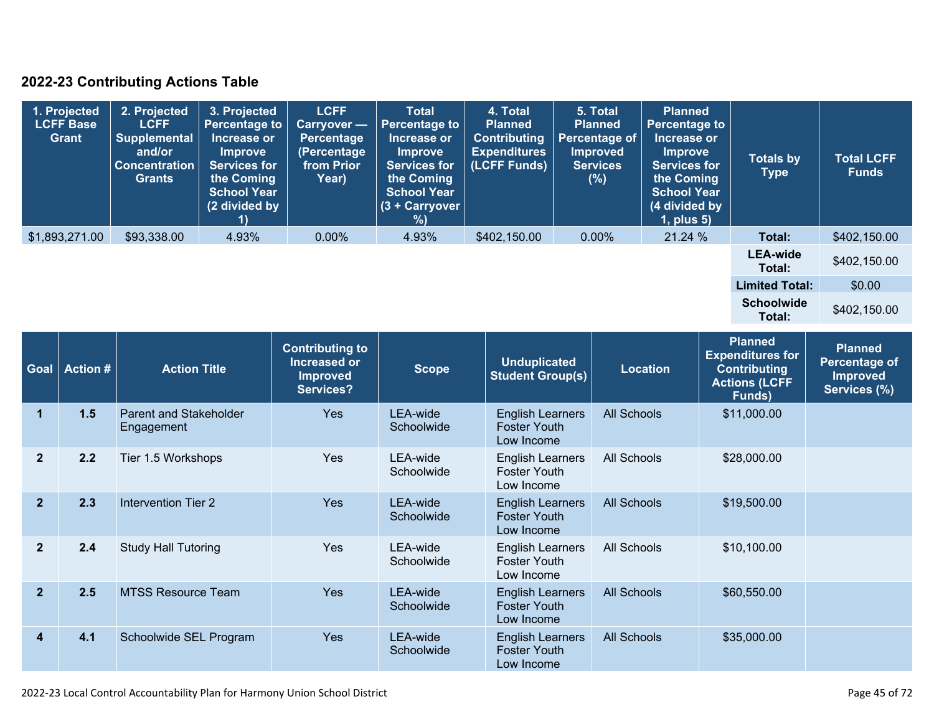### **2022-23 Contributing Actions Table**

| 1. Projected<br><b>LCFF Base</b><br>Grant | 2. Projected<br><b>LCFF</b><br><b>Supplemental</b><br>and/or<br><b>Concentration</b><br><b>Grants</b> | 3. Projected<br><b>Percentage to</b><br>Increase or<br><b>Improve</b><br><b>Services for</b><br>the Coming<br><b>School Year</b><br>(2 divided by | <b>LCFF</b><br><b>Carryover</b> —<br>Percentage<br>(Percentage<br>from Prior<br>Year) | <b>Total</b><br>Percentage to<br>Increase or<br><b>Improve</b><br><b>Services for</b><br>the Coming<br><b>School Year</b><br>$(3 +$ Carryover<br>%) | 4. Total<br><b>Planned</b><br><b>Contributing</b><br><b>Expenditures</b><br>(LCFF Funds) | 5. Total<br><b>Planned</b><br><b>Percentage of</b><br><b>Improved</b><br><b>Services</b><br>(%) | <b>Planned</b><br><b>Percentage to</b><br>Increase or<br><b>Improve</b><br><b>Services for</b><br>the Coming<br><b>School Year</b><br>(4 divided by<br>$1$ , plus $5$ ) | <b>Totals by</b><br><b>Type</b> | <b>Total LCFF</b><br><b>Funds</b> |
|-------------------------------------------|-------------------------------------------------------------------------------------------------------|---------------------------------------------------------------------------------------------------------------------------------------------------|---------------------------------------------------------------------------------------|-----------------------------------------------------------------------------------------------------------------------------------------------------|------------------------------------------------------------------------------------------|-------------------------------------------------------------------------------------------------|-------------------------------------------------------------------------------------------------------------------------------------------------------------------------|---------------------------------|-----------------------------------|
| \$1,893,271.00                            | \$93,338.00                                                                                           | 4.93%                                                                                                                                             | $0.00\%$                                                                              | 4.93%                                                                                                                                               | \$402,150.00                                                                             | $0.00\%$                                                                                        | 21.24 %                                                                                                                                                                 | Total:                          | \$402,150.00                      |
|                                           |                                                                                                       |                                                                                                                                                   |                                                                                       |                                                                                                                                                     |                                                                                          |                                                                                                 |                                                                                                                                                                         | <b>LEA-wide</b><br>Total:       | \$402,150.00                      |
|                                           |                                                                                                       |                                                                                                                                                   |                                                                                       |                                                                                                                                                     |                                                                                          |                                                                                                 |                                                                                                                                                                         | <b>Limited Total:</b>           | \$0.00                            |
|                                           |                                                                                                       |                                                                                                                                                   |                                                                                       |                                                                                                                                                     |                                                                                          |                                                                                                 |                                                                                                                                                                         | <b>Schoolwide</b><br>Total:     | \$402,150.00                      |

| <b>Goal</b>    | <b>Action #</b> | <b>Action Title</b>                  | <b>Contributing to</b><br>Increased or<br><b>Improved</b><br>Services? | <b>Scope</b>           | <b>Unduplicated</b><br><b>Student Group(s)</b>               | <b>Location</b>    | <b>Planned</b><br><b>Expenditures for</b><br><b>Contributing</b><br><b>Actions (LCFF</b><br>Funds) | <b>Planned</b><br>Percentage of<br><b>Improved</b><br>Services (%) |
|----------------|-----------------|--------------------------------------|------------------------------------------------------------------------|------------------------|--------------------------------------------------------------|--------------------|----------------------------------------------------------------------------------------------------|--------------------------------------------------------------------|
| 1              | 1.5             | Parent and Stakeholder<br>Engagement | <b>Yes</b>                                                             | LEA-wide<br>Schoolwide | <b>English Learners</b><br><b>Foster Youth</b><br>Low Income | <b>All Schools</b> | \$11,000.00                                                                                        |                                                                    |
| $\mathbf{2}$   | 2.2             | Tier 1.5 Workshops                   | <b>Yes</b>                                                             | LEA-wide<br>Schoolwide | <b>English Learners</b><br><b>Foster Youth</b><br>Low Income | All Schools        | \$28,000.00                                                                                        |                                                                    |
| $\overline{2}$ | 2.3             | Intervention Tier 2                  | <b>Yes</b>                                                             | LEA-wide<br>Schoolwide | <b>English Learners</b><br><b>Foster Youth</b><br>Low Income | <b>All Schools</b> | \$19,500.00                                                                                        |                                                                    |
| $\overline{2}$ | 2.4             | <b>Study Hall Tutoring</b>           | Yes                                                                    | LEA-wide<br>Schoolwide | <b>English Learners</b><br><b>Foster Youth</b><br>Low Income | All Schools        | \$10,100.00                                                                                        |                                                                    |
| $\overline{2}$ | 2.5             | <b>MTSS Resource Team</b>            | <b>Yes</b>                                                             | LEA-wide<br>Schoolwide | <b>English Learners</b><br><b>Foster Youth</b><br>Low Income | <b>All Schools</b> | \$60,550.00                                                                                        |                                                                    |
| 4              | 4.1             | Schoolwide SEL Program               | Yes                                                                    | LEA-wide<br>Schoolwide | <b>English Learners</b><br><b>Foster Youth</b><br>Low Income | <b>All Schools</b> | \$35,000.00                                                                                        |                                                                    |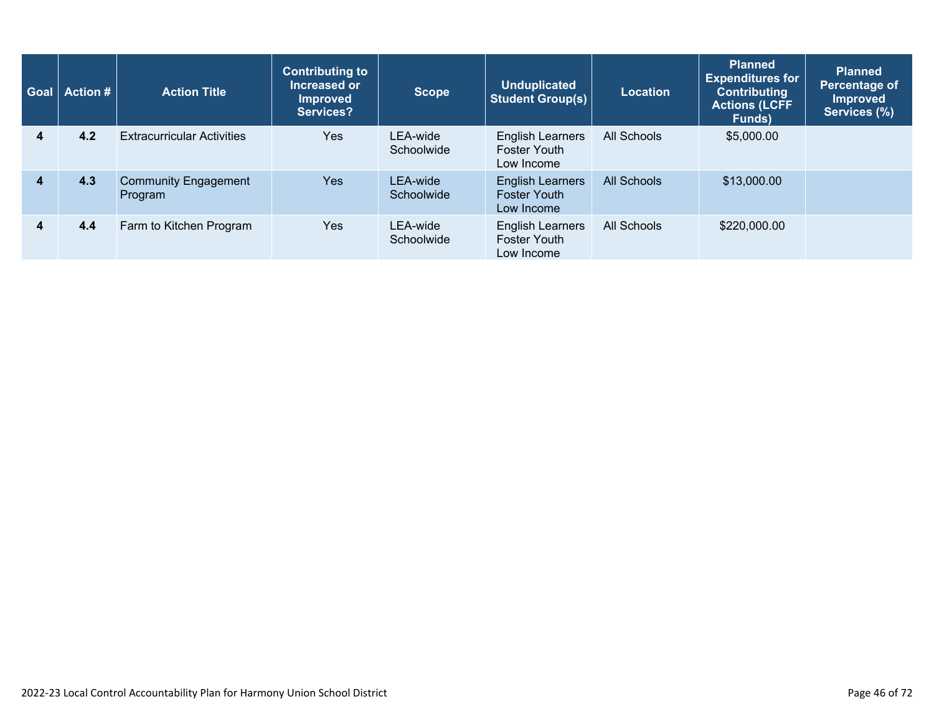| Goal             | Action # | <b>Action Title</b>                    | <b>Contributing to</b><br>Increased or<br><b>Improved</b><br>Services? | <b>Scope</b>           | <b>Unduplicated</b><br><b>Student Group(s)</b>               | <b>Location</b> | Planned<br><b>Expenditures for</b><br><b>Contributing</b><br><b>Actions (LCFF</b><br>Funds) | <b>Planned</b><br>Percentage of<br><b>Improved</b><br>Services (%) |
|------------------|----------|----------------------------------------|------------------------------------------------------------------------|------------------------|--------------------------------------------------------------|-----------------|---------------------------------------------------------------------------------------------|--------------------------------------------------------------------|
| 4                | 4.2      | <b>Extracurricular Activities</b>      | Yes                                                                    | LEA-wide<br>Schoolwide | <b>English Learners</b><br><b>Foster Youth</b><br>Low Income | All Schools     | \$5,000.00                                                                                  |                                                                    |
| $\boldsymbol{4}$ | 4.3      | <b>Community Engagement</b><br>Program | Yes                                                                    | LEA-wide<br>Schoolwide | <b>English Learners</b><br><b>Foster Youth</b><br>Low Income | All Schools     | \$13,000.00                                                                                 |                                                                    |
| 4                | 4.4      | Farm to Kitchen Program                | Yes                                                                    | LEA-wide<br>Schoolwide | <b>English Learners</b><br><b>Foster Youth</b><br>Low Income | All Schools     | \$220,000.00                                                                                |                                                                    |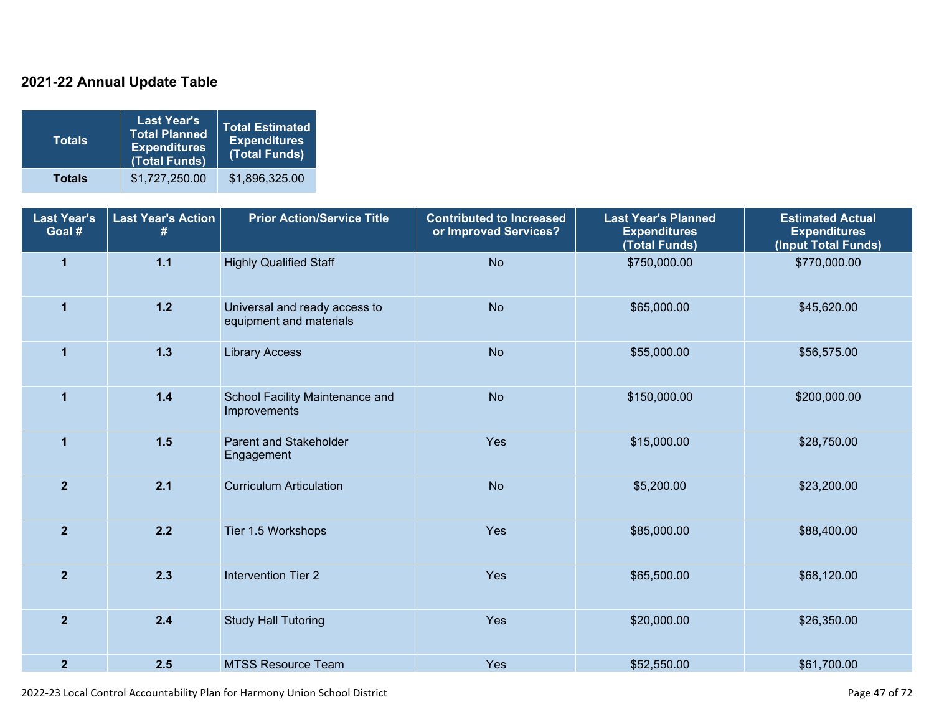### **2021-22 Annual Update Table**

| <b>Totals</b> | <b>Last Year's</b><br><b>Total Planned</b><br><b>Expenditures</b><br>(Total Funds) | <b>Total Estimated</b><br><b>Expenditures</b><br>(Total Funds) |
|---------------|------------------------------------------------------------------------------------|----------------------------------------------------------------|
| <b>Totals</b> | \$1,727,250.00                                                                     | \$1,896,325.00                                                 |

| <b>Last Year's</b><br>Goal # | <b>Last Year's Action</b><br># | <b>Prior Action/Service Title</b>                        | <b>Contributed to Increased</b><br>or Improved Services? | <b>Last Year's Planned</b><br><b>Expenditures</b><br>(Total Funds) | <b>Estimated Actual</b><br><b>Expenditures</b><br>(Input Total Funds) |
|------------------------------|--------------------------------|----------------------------------------------------------|----------------------------------------------------------|--------------------------------------------------------------------|-----------------------------------------------------------------------|
| $\overline{1}$               | $1.1$                          | <b>Highly Qualified Staff</b>                            | <b>No</b>                                                | \$750,000.00                                                       | \$770,000.00                                                          |
| $\mathbf{1}$                 | $1.2$                          | Universal and ready access to<br>equipment and materials | <b>No</b>                                                | \$65,000.00                                                        | \$45,620.00                                                           |
| $\mathbf{1}$                 | $1.3$                          | <b>Library Access</b>                                    | <b>No</b>                                                | \$55,000.00                                                        | \$56,575.00                                                           |
| $\overline{1}$               | $1.4$                          | School Facility Maintenance and<br>Improvements          | <b>No</b>                                                | \$150,000.00                                                       | \$200,000.00                                                          |
| $\overline{1}$               | $1.5$                          | <b>Parent and Stakeholder</b><br>Engagement              | Yes                                                      | \$15,000.00                                                        | \$28,750.00                                                           |
| $\overline{2}$               | 2.1                            | <b>Curriculum Articulation</b>                           | <b>No</b>                                                | \$5,200.00                                                         | \$23,200.00                                                           |
| $\overline{2}$               | 2.2                            | Tier 1.5 Workshops                                       | Yes                                                      | \$85,000.00                                                        | \$88,400.00                                                           |
| $\overline{2}$               | 2.3                            | <b>Intervention Tier 2</b>                               | Yes                                                      | \$65,500.00                                                        | \$68,120.00                                                           |
| $\overline{2}$               | 2.4                            | <b>Study Hall Tutoring</b>                               | Yes                                                      | \$20,000.00                                                        | \$26,350.00                                                           |
| $\overline{2}$               | 2.5                            | <b>MTSS Resource Team</b>                                | Yes                                                      | \$52,550.00                                                        | \$61,700.00                                                           |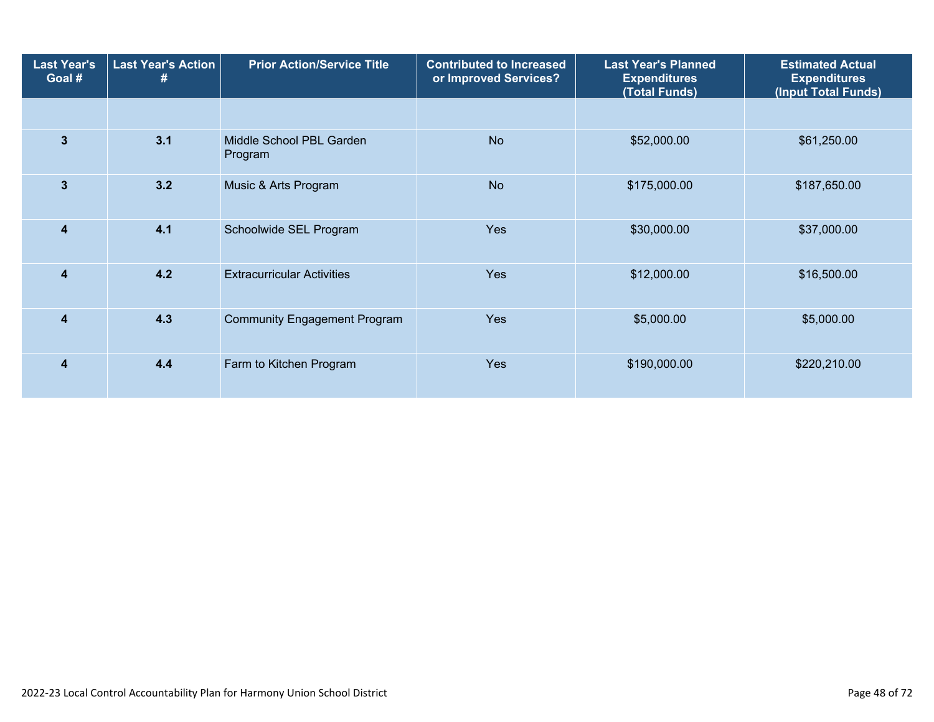| <b>Last Year's</b><br>Goal # | <b>Last Year's Action</b><br># | <b>Prior Action/Service Title</b>   | <b>Contributed to Increased</b><br>or Improved Services? | <b>Last Year's Planned</b><br><b>Expenditures</b><br>(Total Funds) | <b>Estimated Actual</b><br><b>Expenditures</b><br>(Input Total Funds) |
|------------------------------|--------------------------------|-------------------------------------|----------------------------------------------------------|--------------------------------------------------------------------|-----------------------------------------------------------------------|
|                              |                                |                                     |                                                          |                                                                    |                                                                       |
| $\mathbf{3}$                 | 3.1                            | Middle School PBL Garden<br>Program | <b>No</b>                                                | \$52,000.00                                                        | \$61,250.00                                                           |
| $\mathbf{3}$                 | 3.2                            | Music & Arts Program                | <b>No</b>                                                | \$175,000.00                                                       | \$187,650.00                                                          |
| $\overline{4}$               | 4.1                            | Schoolwide SEL Program              | <b>Yes</b>                                               | \$30,000.00                                                        | \$37,000.00                                                           |
| 4                            | 4.2                            | <b>Extracurricular Activities</b>   | Yes                                                      | \$12,000.00                                                        | \$16,500.00                                                           |
| $\overline{\mathbf{4}}$      | 4.3                            | <b>Community Engagement Program</b> | Yes                                                      | \$5,000.00                                                         | \$5,000.00                                                            |
| $\overline{\mathbf{4}}$      | 4.4                            | Farm to Kitchen Program             | <b>Yes</b>                                               | \$190,000.00                                                       | \$220,210.00                                                          |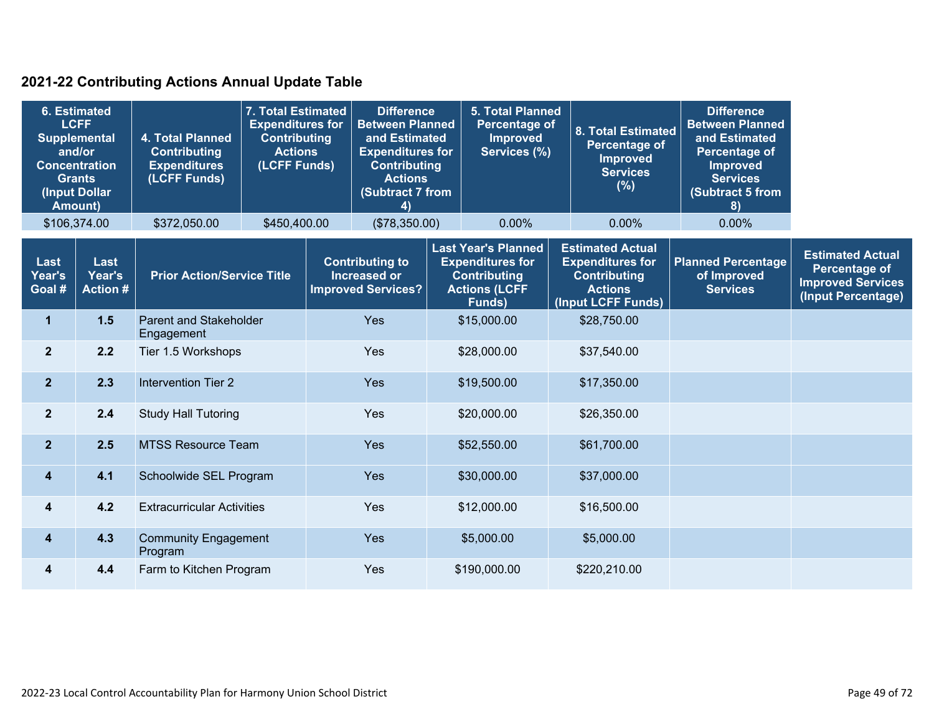### **2021-22 Contributing Actions Annual Update Table**

| <b>6. Estimated</b><br><b>LCFF</b><br>4. Total Planned<br><b>Supplemental</b><br>and/or<br><b>Contributing</b><br><b>Concentration</b><br><b>Expenditures</b><br>(LCFF Funds)<br><b>Grants</b><br>(Input Dollar<br><b>Amount)</b> |                                   | 7. Total Estimated<br><b>Expenditures for</b><br><b>Contributing</b><br><b>Actions</b><br>(LCFF Funds) | <b>Difference</b><br><b>Between Planned</b><br>and Estimated<br><b>Expenditures for</b><br><b>Contributing</b><br><b>Actions</b><br>(Subtract 7 from<br>$\left( 4\right)$ |     |                                                                            | <b>5. Total Planned</b><br><b>Percentage of</b><br><b>Improved</b><br>Services (%) |                                                                                                                | 8. Total Estimated<br><b>Percentage of</b><br><b>Improved</b><br><b>Services</b><br>$(\%)$ | <b>Difference</b><br><b>Between Planned</b><br>and Estimated<br><b>Percentage of</b><br><b>Improved</b><br><b>Services</b><br>(Subtract 5 from<br>8) |                                                             |                                                                                                   |  |
|-----------------------------------------------------------------------------------------------------------------------------------------------------------------------------------------------------------------------------------|-----------------------------------|--------------------------------------------------------------------------------------------------------|---------------------------------------------------------------------------------------------------------------------------------------------------------------------------|-----|----------------------------------------------------------------------------|------------------------------------------------------------------------------------|----------------------------------------------------------------------------------------------------------------|--------------------------------------------------------------------------------------------|------------------------------------------------------------------------------------------------------------------------------------------------------|-------------------------------------------------------------|---------------------------------------------------------------------------------------------------|--|
|                                                                                                                                                                                                                                   | \$106,374.00                      | \$372,050.00                                                                                           | \$450,400.00                                                                                                                                                              |     | (\$78,350.00)                                                              |                                                                                    | 0.00%                                                                                                          |                                                                                            | 0.00%                                                                                                                                                | 0.00%                                                       |                                                                                                   |  |
| Last<br>Year's<br>Goal #                                                                                                                                                                                                          | Last<br>Year's<br><b>Action #</b> | <b>Prior Action/Service Title</b>                                                                      |                                                                                                                                                                           |     | <b>Contributing to</b><br><b>Increased or</b><br><b>Improved Services?</b> |                                                                                    | <b>Last Year's Planned</b><br><b>Expenditures for</b><br><b>Contributing</b><br><b>Actions (LCFF</b><br>Funds) |                                                                                            | <b>Estimated Actual</b><br><b>Expenditures for</b><br><b>Contributing</b><br><b>Actions</b><br>(Input LCFF Funds)                                    | <b>Planned Percentage</b><br>of Improved<br><b>Services</b> | <b>Estimated Actual</b><br><b>Percentage of</b><br><b>Improved Services</b><br>(Input Percentage) |  |
| $\mathbf{1}$                                                                                                                                                                                                                      | 1.5                               | <b>Parent and Stakeholder</b><br>Engagement                                                            |                                                                                                                                                                           | Yes |                                                                            |                                                                                    | \$15,000.00                                                                                                    |                                                                                            | \$28,750.00                                                                                                                                          |                                                             |                                                                                                   |  |
| $\mathbf{2}$                                                                                                                                                                                                                      | 2.2                               | Tier 1.5 Workshops                                                                                     |                                                                                                                                                                           | Yes |                                                                            |                                                                                    | \$28,000.00                                                                                                    | \$37,540.00                                                                                |                                                                                                                                                      |                                                             |                                                                                                   |  |
| $\overline{2}$                                                                                                                                                                                                                    | 2.3                               | <b>Intervention Tier 2</b>                                                                             |                                                                                                                                                                           |     | Yes                                                                        |                                                                                    | \$19,500.00                                                                                                    |                                                                                            | \$17,350.00                                                                                                                                          |                                                             |                                                                                                   |  |
| $\mathbf{2}$                                                                                                                                                                                                                      | 2.4                               | <b>Study Hall Tutoring</b>                                                                             |                                                                                                                                                                           |     | Yes                                                                        |                                                                                    | \$20,000.00                                                                                                    |                                                                                            | \$26,350.00                                                                                                                                          |                                                             |                                                                                                   |  |
| $\overline{2}$                                                                                                                                                                                                                    | 2.5                               | <b>MTSS Resource Team</b>                                                                              |                                                                                                                                                                           |     | Yes                                                                        |                                                                                    | \$52,550.00                                                                                                    |                                                                                            | \$61,700.00                                                                                                                                          |                                                             |                                                                                                   |  |
| 4                                                                                                                                                                                                                                 | 4.1                               | Schoolwide SEL Program                                                                                 |                                                                                                                                                                           |     | Yes                                                                        |                                                                                    | \$30,000.00                                                                                                    |                                                                                            | \$37,000.00                                                                                                                                          |                                                             |                                                                                                   |  |
| 4                                                                                                                                                                                                                                 | 4.2                               | <b>Extracurricular Activities</b>                                                                      |                                                                                                                                                                           |     | Yes                                                                        |                                                                                    | \$12,000.00                                                                                                    |                                                                                            | \$16,500.00                                                                                                                                          |                                                             |                                                                                                   |  |
| 4                                                                                                                                                                                                                                 | 4.3                               | <b>Community Engagement</b><br>Program                                                                 |                                                                                                                                                                           |     | Yes                                                                        |                                                                                    | \$5,000.00                                                                                                     |                                                                                            | \$5,000.00                                                                                                                                           |                                                             |                                                                                                   |  |
| 4                                                                                                                                                                                                                                 | 4.4                               | Farm to Kitchen Program                                                                                |                                                                                                                                                                           |     | Yes                                                                        |                                                                                    | \$190,000.00                                                                                                   |                                                                                            | \$220,210.00                                                                                                                                         |                                                             |                                                                                                   |  |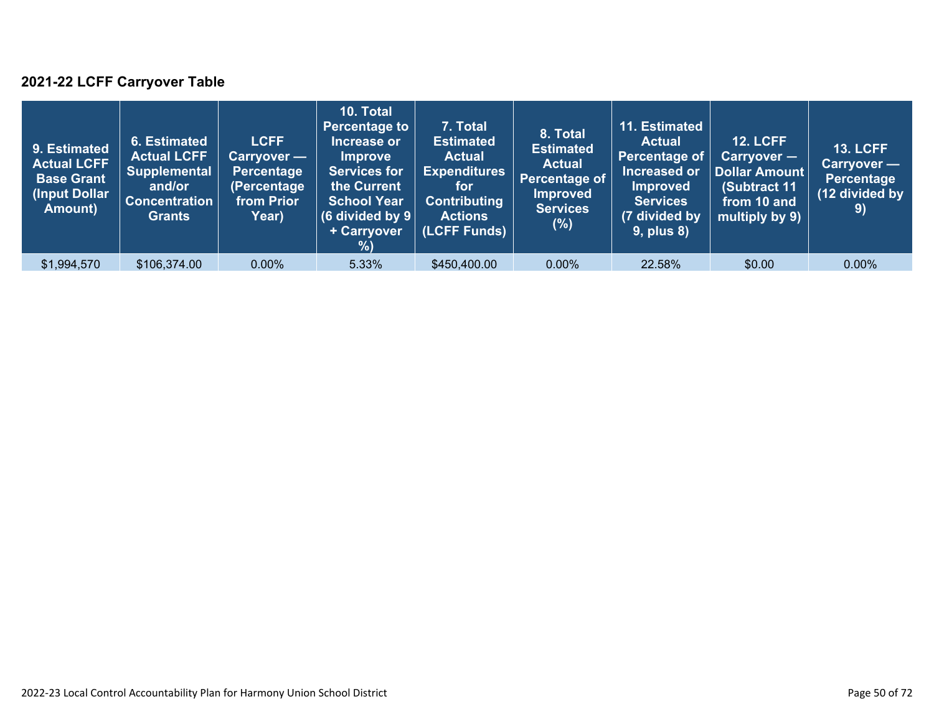### **2021-22 LCFF Carryover Table**

| 9. Estimated<br><b>Actual LCFF</b><br><b>Base Grant</b><br>(Input Dollar)<br>Amount) | 6. Estimated<br><b>Actual LCFF</b><br><b>Supplemental</b><br>and/or<br><b>Concentration</b><br><b>Grants</b> | <b>LCFF</b><br>Carryover —<br>Percentage<br>(Percentage<br>from Prior<br>Year) | 10. Total<br><b>Percentage to</b><br>Increase or<br><b>Improve</b><br><b>Services for</b><br>the Current<br><b>School Year</b><br>(6 divided by $9$ )<br>+ Carryover<br>$\frac{9}{6}$ | 7. Total<br><b>Estimated</b><br><b>Actual</b><br><b>Expenditures</b><br>for<br><b>Contributing</b><br><b>Actions</b><br>(LCFF Funds) | 8. Total<br><b>Estimated</b><br><b>Actual</b><br><b>Percentage of</b><br><b>Improved</b><br><b>Services</b><br>$(\%)$ | 11. Estimated<br><b>Actual</b><br>Percentage of<br>Increased or<br><b>Improved</b><br><b>Services</b><br>(7 divided by<br><b>9, plus 8)</b> | <b>12. LCFF</b><br>Carryover -<br><b>Dollar Amount</b><br>(Subtract 11<br>from 10 and<br>multiply by 9) | <b>13. LCFF</b><br>Carryover —<br>Percentage<br>(12 divided by<br>9) |
|--------------------------------------------------------------------------------------|--------------------------------------------------------------------------------------------------------------|--------------------------------------------------------------------------------|---------------------------------------------------------------------------------------------------------------------------------------------------------------------------------------|--------------------------------------------------------------------------------------------------------------------------------------|-----------------------------------------------------------------------------------------------------------------------|---------------------------------------------------------------------------------------------------------------------------------------------|---------------------------------------------------------------------------------------------------------|----------------------------------------------------------------------|
| \$1,994,570                                                                          | \$106,374.00                                                                                                 | $0.00\%$                                                                       | 5.33%                                                                                                                                                                                 | \$450,400.00                                                                                                                         | $0.00\%$                                                                                                              | 22.58%                                                                                                                                      | \$0.00                                                                                                  | $0.00\%$                                                             |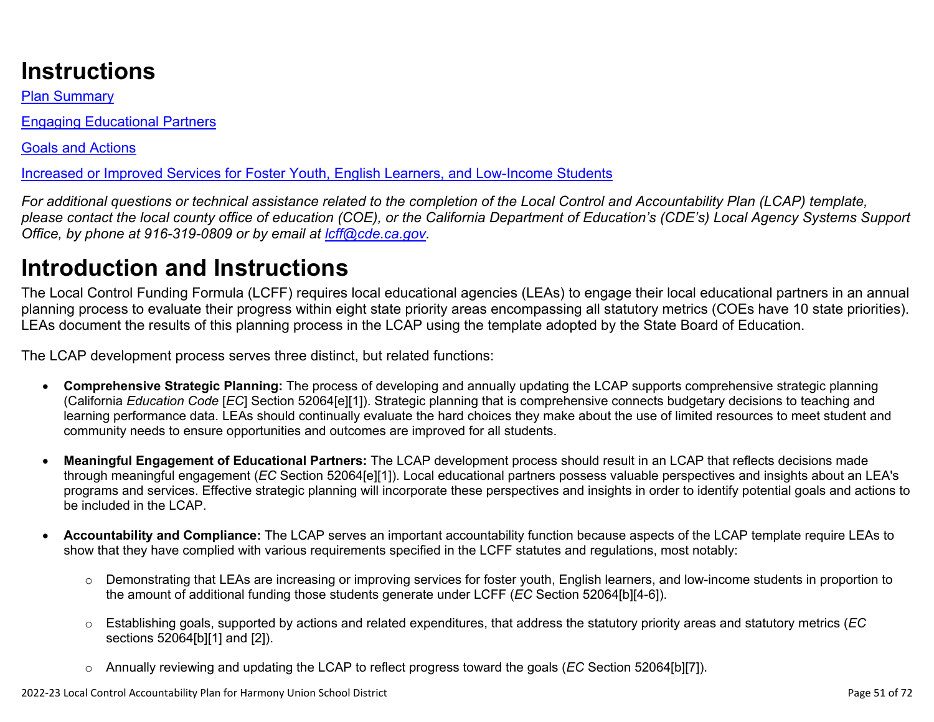# **Instructions**

Plan Summary

Engaging Educational Partners

Goals and Actions

Increased or Improved Services for Foster Youth, English Learners, and Low-Income Students

*For additional questions or technical assistance related to the completion of the Local Control and Accountability Plan (LCAP) template, please contact the local county office of education (COE), or the California Department of Education's (CDE's) Local Agency Systems Support Office, by phone at 916-319-0809 or by email at [lcff@cde.ca.gov](mailto:lcff@cde.ca.gov).*

# **Introduction and Instructions**

The Local Control Funding Formula (LCFF) requires local educational agencies (LEAs) to engage their local educational partners in an annual planning process to evaluate their progress within eight state priority areas encompassing all statutory metrics (COEs have 10 state priorities). LEAs document the results of this planning process in the LCAP using the template adopted by the State Board of Education.

The LCAP development process serves three distinct, but related functions:

- **Comprehensive Strategic Planning:** The process of developing and annually updating the LCAP supports comprehensive strategic planning (California *Education Code* [*EC*] Section 52064[e][1]). Strategic planning that is comprehensive connects budgetary decisions to teaching and learning performance data. LEAs should continually evaluate the hard choices they make about the use of limited resources to meet student and community needs to ensure opportunities and outcomes are improved for all students.
- **Meaningful Engagement of Educational Partners:** The LCAP development process should result in an LCAP that reflects decisions made through meaningful engagement (*EC* Section 52064[e][1]). Local educational partners possess valuable perspectives and insights about an LEA's programs and services. Effective strategic planning will incorporate these perspectives and insights in order to identify potential goals and actions to be included in the LCAP.
- **Accountability and Compliance:** The LCAP serves an important accountability function because aspects of the LCAP template require LEAs to show that they have complied with various requirements specified in the LCFF statutes and regulations, most notably:
	- o Demonstrating that LEAs are increasing or improving services for foster youth, English learners, and low-income students in proportion to the amount of additional funding those students generate under LCFF (*EC* Section 52064[b][4-6]).
	- o Establishing goals, supported by actions and related expenditures, that address the statutory priority areas and statutory metrics (*EC* sections 52064[b][1] and [2]).
	- o Annually reviewing and updating the LCAP to reflect progress toward the goals (*EC* Section 52064[b][7]).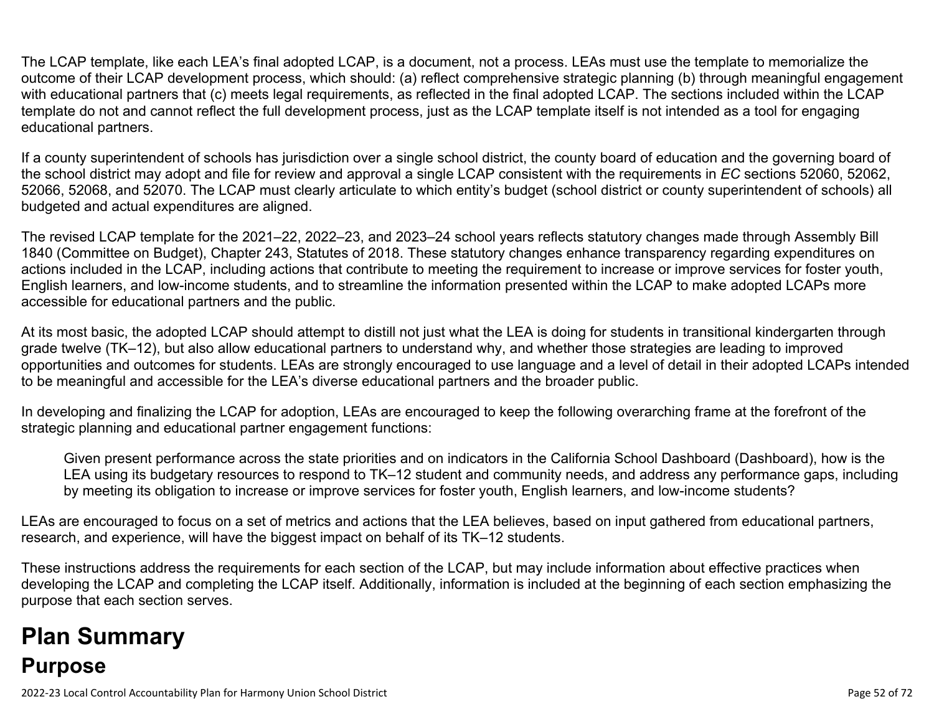The LCAP template, like each LEA's final adopted LCAP, is a document, not a process. LEAs must use the template to memorialize the outcome of their LCAP development process, which should: (a) reflect comprehensive strategic planning (b) through meaningful engagement with educational partners that (c) meets legal requirements, as reflected in the final adopted LCAP. The sections included within the LCAP template do not and cannot reflect the full development process, just as the LCAP template itself is not intended as a tool for engaging educational partners.

If a county superintendent of schools has jurisdiction over a single school district, the county board of education and the governing board of the school district may adopt and file for review and approval a single LCAP consistent with the requirements in *EC* sections 52060, 52062, 52066, 52068, and 52070. The LCAP must clearly articulate to which entity's budget (school district or county superintendent of schools) all budgeted and actual expenditures are aligned.

The revised LCAP template for the 2021–22, 2022–23, and 2023–24 school years reflects statutory changes made through Assembly Bill 1840 (Committee on Budget), Chapter 243, Statutes of 2018. These statutory changes enhance transparency regarding expenditures on actions included in the LCAP, including actions that contribute to meeting the requirement to increase or improve services for foster youth, English learners, and low-income students, and to streamline the information presented within the LCAP to make adopted LCAPs more accessible for educational partners and the public.

At its most basic, the adopted LCAP should attempt to distill not just what the LEA is doing for students in transitional kindergarten through grade twelve (TK–12), but also allow educational partners to understand why, and whether those strategies are leading to improved opportunities and outcomes for students. LEAs are strongly encouraged to use language and a level of detail in their adopted LCAPs intended to be meaningful and accessible for the LEA's diverse educational partners and the broader public.

In developing and finalizing the LCAP for adoption, LEAs are encouraged to keep the following overarching frame at the forefront of the strategic planning and educational partner engagement functions:

Given present performance across the state priorities and on indicators in the California School Dashboard (Dashboard), how is the LEA using its budgetary resources to respond to TK–12 student and community needs, and address any performance gaps, including by meeting its obligation to increase or improve services for foster youth, English learners, and low-income students?

LEAs are encouraged to focus on a set of metrics and actions that the LEA believes, based on input gathered from educational partners, research, and experience, will have the biggest impact on behalf of its TK–12 students.

These instructions address the requirements for each section of the LCAP, but may include information about effective practices when developing the LCAP and completing the LCAP itself. Additionally, information is included at the beginning of each section emphasizing the purpose that each section serves.

# **Plan Summary Purpose**

2022-23 Local Control Accountability Plan for Harmony Union School District **Page 52** of 72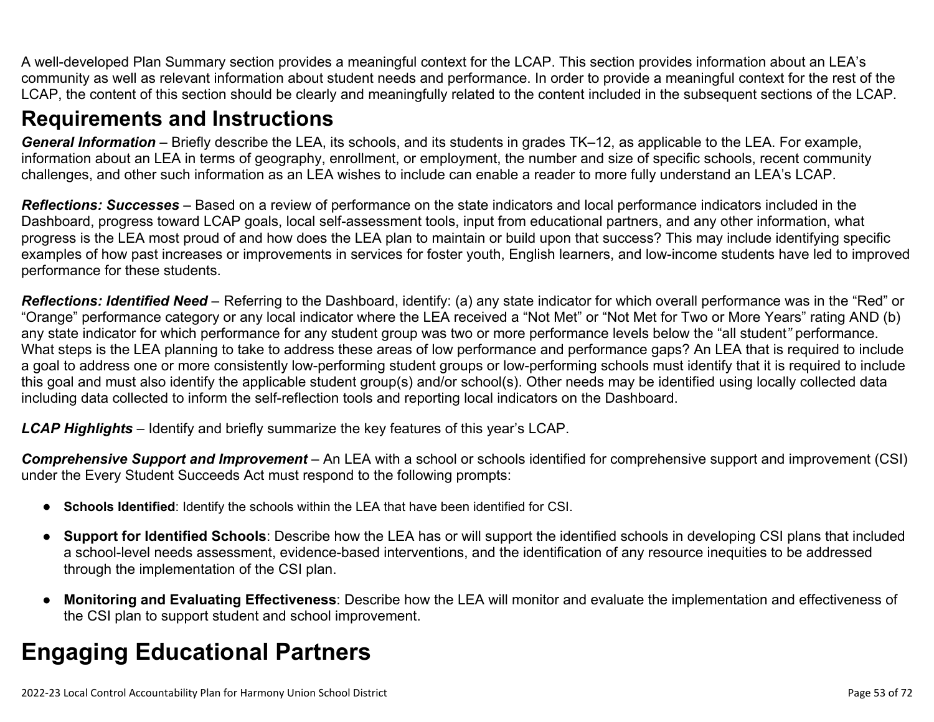A well-developed Plan Summary section provides a meaningful context for the LCAP. This section provides information about an LEA's community as well as relevant information about student needs and performance. In order to provide a meaningful context for the rest of the LCAP, the content of this section should be clearly and meaningfully related to the content included in the subsequent sections of the LCAP.

### **Requirements and Instructions**

*General Information* – Briefly describe the LEA, its schools, and its students in grades TK–12, as applicable to the LEA. For example, information about an LEA in terms of geography, enrollment, or employment, the number and size of specific schools, recent community challenges, and other such information as an LEA wishes to include can enable a reader to more fully understand an LEA's LCAP.

*Reflections: Successes* – Based on a review of performance on the state indicators and local performance indicators included in the Dashboard, progress toward LCAP goals, local self-assessment tools, input from educational partners, and any other information, what progress is the LEA most proud of and how does the LEA plan to maintain or build upon that success? This may include identifying specific examples of how past increases or improvements in services for foster youth, English learners, and low-income students have led to improved performance for these students.

*Reflections: Identified Need* – Referring to the Dashboard, identify: (a) any state indicator for which overall performance was in the "Red" or "Orange" performance category or any local indicator where the LEA received a "Not Met" or "Not Met for Two or More Years" rating AND (b) any state indicator for which performance for any student group was two or more performance levels below the "all student*"* performance. What steps is the LEA planning to take to address these areas of low performance and performance gaps? An LEA that is required to include a goal to address one or more consistently low-performing student groups or low-performing schools must identify that it is required to include this goal and must also identify the applicable student group(s) and/or school(s). Other needs may be identified using locally collected data including data collected to inform the self-reflection tools and reporting local indicators on the Dashboard.

*LCAP Highlights* – Identify and briefly summarize the key features of this year's LCAP.

*Comprehensive Support and Improvement* – An LEA with a school or schools identified for comprehensive support and improvement (CSI) under the Every Student Succeeds Act must respond to the following prompts:

- **Schools Identified**: Identify the schools within the LEA that have been identified for CSI.
- **Support for Identified Schools**: Describe how the LEA has or will support the identified schools in developing CSI plans that included a school-level needs assessment, evidence-based interventions, and the identification of any resource inequities to be addressed through the implementation of the CSI plan.
- **Monitoring and Evaluating Effectiveness**: Describe how the LEA will monitor and evaluate the implementation and effectiveness of the CSI plan to support student and school improvement.

# **Engaging Educational Partners**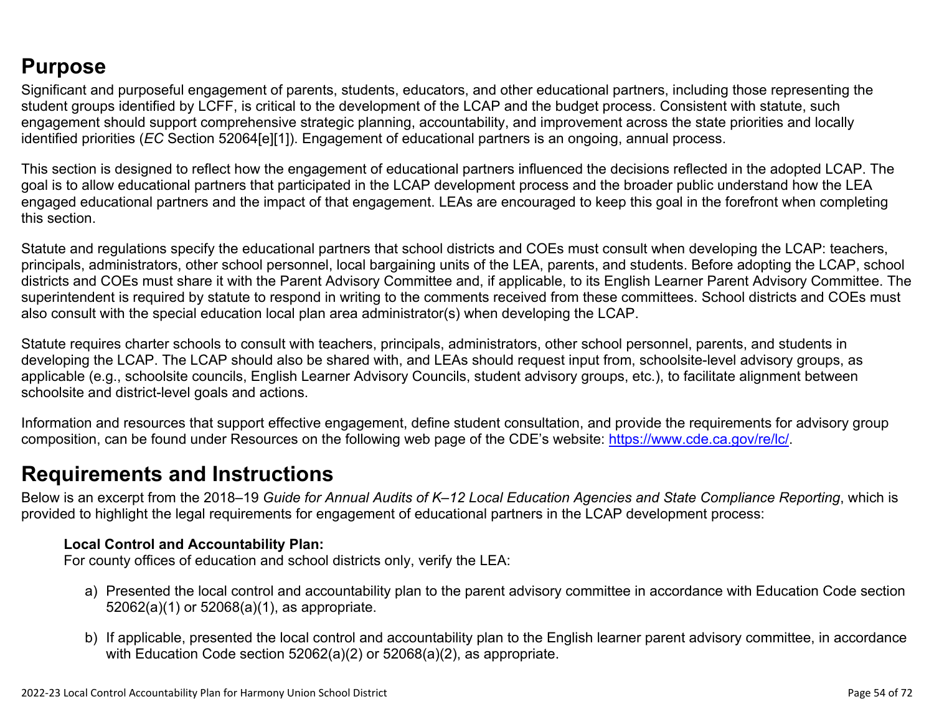## **Purpose**

Significant and purposeful engagement of parents, students, educators, and other educational partners, including those representing the student groups identified by LCFF, is critical to the development of the LCAP and the budget process. Consistent with statute, such engagement should support comprehensive strategic planning, accountability, and improvement across the state priorities and locally identified priorities (*EC* Section 52064[e][1]). Engagement of educational partners is an ongoing, annual process.

This section is designed to reflect how the engagement of educational partners influenced the decisions reflected in the adopted LCAP. The goal is to allow educational partners that participated in the LCAP development process and the broader public understand how the LEA engaged educational partners and the impact of that engagement. LEAs are encouraged to keep this goal in the forefront when completing this section.

Statute and regulations specify the educational partners that school districts and COEs must consult when developing the LCAP: teachers, principals, administrators, other school personnel, local bargaining units of the LEA, parents, and students. Before adopting the LCAP, school districts and COEs must share it with the Parent Advisory Committee and, if applicable, to its English Learner Parent Advisory Committee. The superintendent is required by statute to respond in writing to the comments received from these committees. School districts and COEs must also consult with the special education local plan area administrator(s) when developing the LCAP.

Statute requires charter schools to consult with teachers, principals, administrators, other school personnel, parents, and students in developing the LCAP. The LCAP should also be shared with, and LEAs should request input from, schoolsite-level advisory groups, as applicable (e.g., schoolsite councils, English Learner Advisory Councils, student advisory groups, etc.), to facilitate alignment between schoolsite and district-level goals and actions.

Information and resources that support effective engagement, define student consultation, and provide the requirements for advisory group composition, can be found under Resources on the following web page of the CDE's website: <https://www.cde.ca.gov/re/lc/>.

### **Requirements and Instructions**

Below is an excerpt from the 2018–19 *Guide for Annual Audits of K–12 Local Education Agencies and State Compliance Reporting*, which is provided to highlight the legal requirements for engagement of educational partners in the LCAP development process:

### **Local Control and Accountability Plan:**

For county offices of education and school districts only, verify the LEA:

- a) Presented the local control and accountability plan to the parent advisory committee in accordance with Education Code section 52062(a)(1) or 52068(a)(1), as appropriate.
- b) If applicable, presented the local control and accountability plan to the English learner parent advisory committee, in accordance with Education Code section 52062(a)(2) or 52068(a)(2), as appropriate.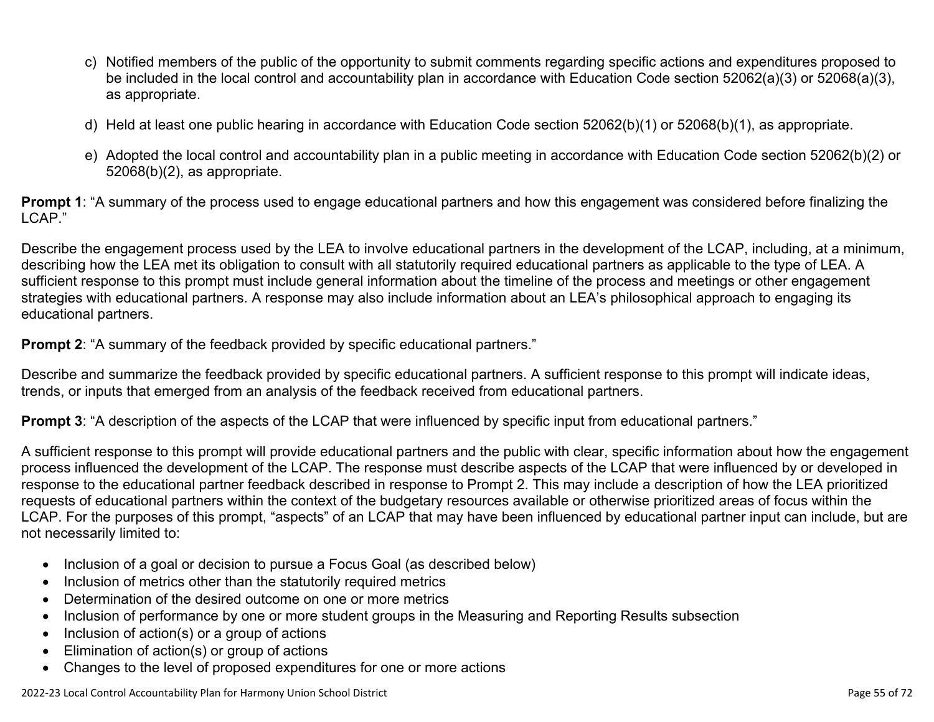- c) Notified members of the public of the opportunity to submit comments regarding specific actions and expenditures proposed to be included in the local control and accountability plan in accordance with Education Code section 52062(a)(3) or 52068(a)(3), as appropriate.
- d) Held at least one public hearing in accordance with Education Code section 52062(b)(1) or 52068(b)(1), as appropriate.
- e) Adopted the local control and accountability plan in a public meeting in accordance with Education Code section 52062(b)(2) or 52068(b)(2), as appropriate.

**Prompt 1**: "A summary of the process used to engage educational partners and how this engagement was considered before finalizing the LCAP."

Describe the engagement process used by the LEA to involve educational partners in the development of the LCAP, including, at a minimum, describing how the LEA met its obligation to consult with all statutorily required educational partners as applicable to the type of LEA. A sufficient response to this prompt must include general information about the timeline of the process and meetings or other engagement strategies with educational partners. A response may also include information about an LEA's philosophical approach to engaging its educational partners.

**Prompt 2:** "A summary of the feedback provided by specific educational partners."

Describe and summarize the feedback provided by specific educational partners. A sufficient response to this prompt will indicate ideas, trends, or inputs that emerged from an analysis of the feedback received from educational partners.

**Prompt 3**: "A description of the aspects of the LCAP that were influenced by specific input from educational partners."

A sufficient response to this prompt will provide educational partners and the public with clear, specific information about how the engagement process influenced the development of the LCAP. The response must describe aspects of the LCAP that were influenced by or developed in response to the educational partner feedback described in response to Prompt 2. This may include a description of how the LEA prioritized requests of educational partners within the context of the budgetary resources available or otherwise prioritized areas of focus within the LCAP. For the purposes of this prompt, "aspects" of an LCAP that may have been influenced by educational partner input can include, but are not necessarily limited to:

- Inclusion of a goal or decision to pursue a Focus Goal (as described below)
- Inclusion of metrics other than the statutorily required metrics
- Determination of the desired outcome on one or more metrics
- Inclusion of performance by one or more student groups in the Measuring and Reporting Results subsection
- Inclusion of action(s) or a group of actions
- Elimination of action(s) or group of actions
- Changes to the level of proposed expenditures for one or more actions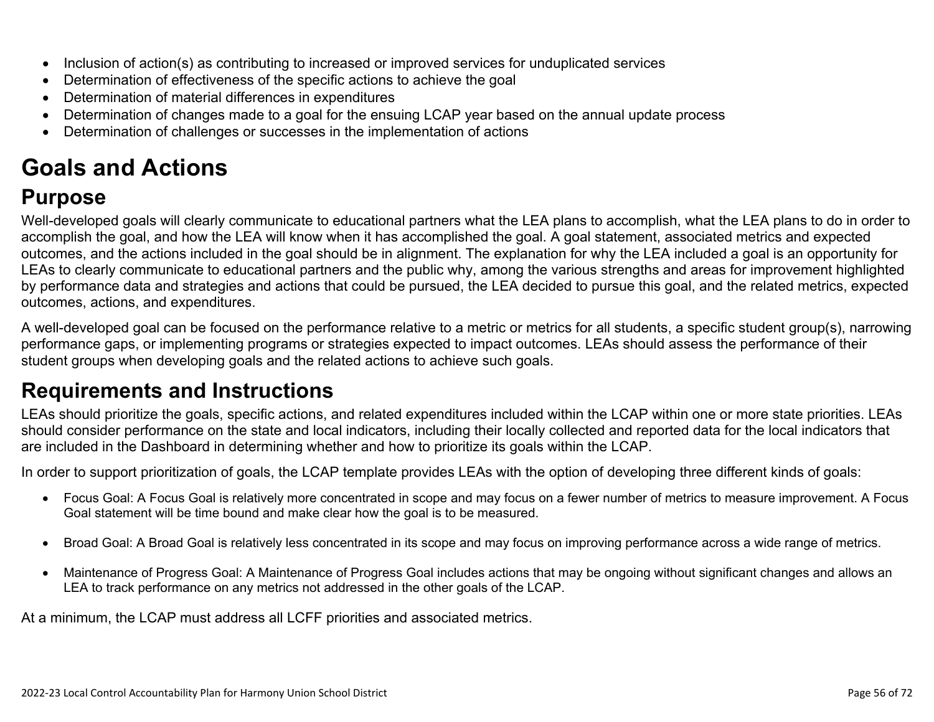- Inclusion of action(s) as contributing to increased or improved services for unduplicated services
- Determination of effectiveness of the specific actions to achieve the goal
- Determination of material differences in expenditures
- Determination of changes made to a goal for the ensuing LCAP year based on the annual update process
- Determination of challenges or successes in the implementation of actions

# **Goals and Actions**

## **Purpose**

Well-developed goals will clearly communicate to educational partners what the LEA plans to accomplish, what the LEA plans to do in order to accomplish the goal, and how the LEA will know when it has accomplished the goal. A goal statement, associated metrics and expected outcomes, and the actions included in the goal should be in alignment. The explanation for why the LEA included a goal is an opportunity for LEAs to clearly communicate to educational partners and the public why, among the various strengths and areas for improvement highlighted by performance data and strategies and actions that could be pursued, the LEA decided to pursue this goal, and the related metrics, expected outcomes, actions, and expenditures.

A well-developed goal can be focused on the performance relative to a metric or metrics for all students, a specific student group(s), narrowing performance gaps, or implementing programs or strategies expected to impact outcomes. LEAs should assess the performance of their student groups when developing goals and the related actions to achieve such goals.

## **Requirements and Instructions**

LEAs should prioritize the goals, specific actions, and related expenditures included within the LCAP within one or more state priorities. LEAs should consider performance on the state and local indicators, including their locally collected and reported data for the local indicators that are included in the Dashboard in determining whether and how to prioritize its goals within the LCAP.

In order to support prioritization of goals, the LCAP template provides LEAs with the option of developing three different kinds of goals:

- Focus Goal: A Focus Goal is relatively more concentrated in scope and may focus on a fewer number of metrics to measure improvement. A Focus Goal statement will be time bound and make clear how the goal is to be measured.
- Broad Goal: A Broad Goal is relatively less concentrated in its scope and may focus on improving performance across a wide range of metrics.
- Maintenance of Progress Goal: A Maintenance of Progress Goal includes actions that may be ongoing without significant changes and allows an LEA to track performance on any metrics not addressed in the other goals of the LCAP.

At a minimum, the LCAP must address all LCFF priorities and associated metrics.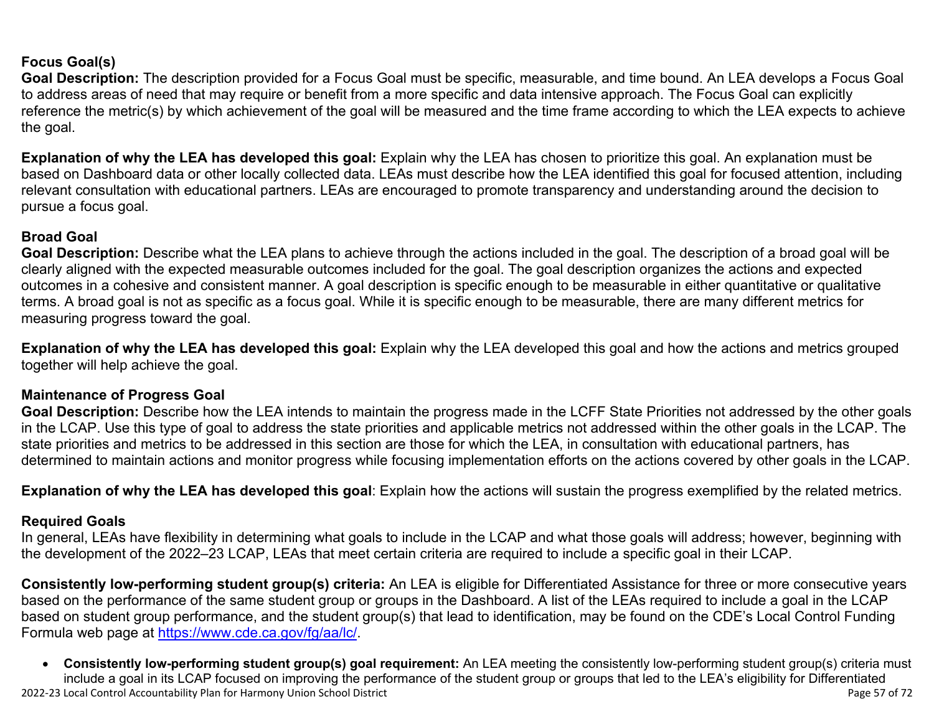### **Focus Goal(s)**

**Goal Description:** The description provided for a Focus Goal must be specific, measurable, and time bound. An LEA develops a Focus Goal to address areas of need that may require or benefit from a more specific and data intensive approach. The Focus Goal can explicitly reference the metric(s) by which achievement of the goal will be measured and the time frame according to which the LEA expects to achieve the goal.

**Explanation of why the LEA has developed this goal:** Explain why the LEA has chosen to prioritize this goal. An explanation must be based on Dashboard data or other locally collected data. LEAs must describe how the LEA identified this goal for focused attention, including relevant consultation with educational partners. LEAs are encouraged to promote transparency and understanding around the decision to pursue a focus goal.

### **Broad Goal**

Goal Description: Describe what the LEA plans to achieve through the actions included in the goal. The description of a broad goal will be clearly aligned with the expected measurable outcomes included for the goal. The goal description organizes the actions and expected outcomes in a cohesive and consistent manner. A goal description is specific enough to be measurable in either quantitative or qualitative terms. A broad goal is not as specific as a focus goal. While it is specific enough to be measurable, there are many different metrics for measuring progress toward the goal.

**Explanation of why the LEA has developed this goal:** Explain why the LEA developed this goal and how the actions and metrics grouped together will help achieve the goal.

### **Maintenance of Progress Goal**

**Goal Description:** Describe how the LEA intends to maintain the progress made in the LCFF State Priorities not addressed by the other goals in the LCAP. Use this type of goal to address the state priorities and applicable metrics not addressed within the other goals in the LCAP. The state priorities and metrics to be addressed in this section are those for which the LEA, in consultation with educational partners, has determined to maintain actions and monitor progress while focusing implementation efforts on the actions covered by other goals in the LCAP.

**Explanation of why the LEA has developed this goal**: Explain how the actions will sustain the progress exemplified by the related metrics.

#### **Required Goals**

In general, LEAs have flexibility in determining what goals to include in the LCAP and what those goals will address; however, beginning with the development of the 2022–23 LCAP, LEAs that meet certain criteria are required to include a specific goal in their LCAP.

**Consistently low-performing student group(s) criteria:** An LEA is eligible for Differentiated Assistance for three or more consecutive years based on the performance of the same student group or groups in the Dashboard. A list of the LEAs required to include a goal in the LCAP based on student group performance, and the student group(s) that lead to identification, may be found on the CDE's Local Control Funding Formula web page at [https://www.cde.ca.gov/fg/aa/lc/.](https://www.cde.ca.gov/fg/aa/lc/)

2022-23 Local Control Accountability Plan for Harmony Union School District **Page 57** of 72 • **Consistently low-performing student group(s) goal requirement:** An LEA meeting the consistently low-performing student group(s) criteria must include a goal in its LCAP focused on improving the performance of the student group or groups that led to the LEA's eligibility for Differentiated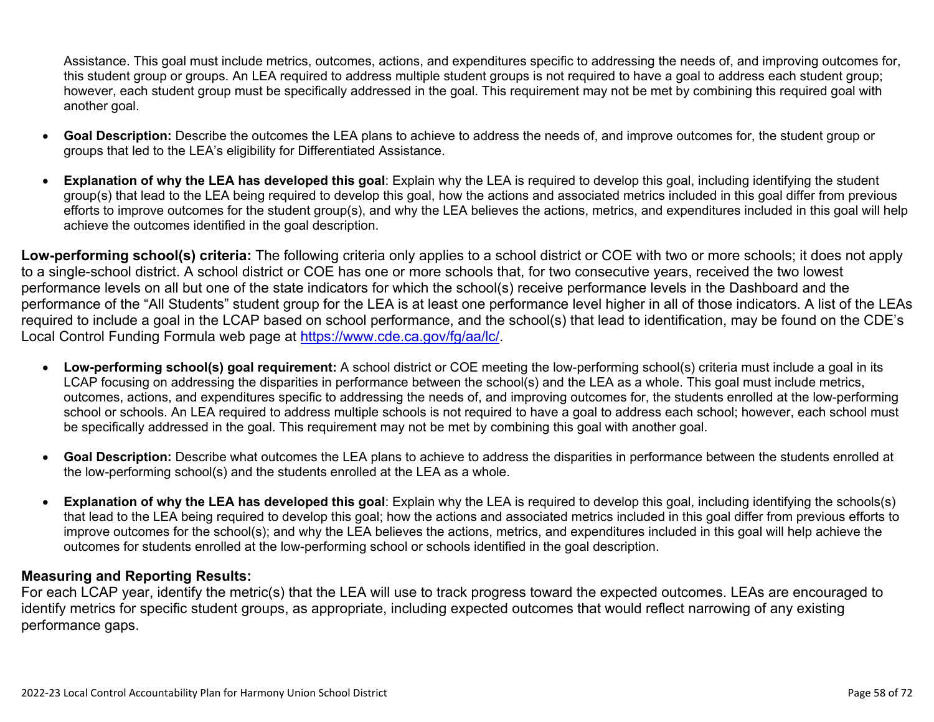Assistance. This goal must include metrics, outcomes, actions, and expenditures specific to addressing the needs of, and improving outcomes for, this student group or groups. An LEA required to address multiple student groups is not required to have a goal to address each student group; however, each student group must be specifically addressed in the goal. This requirement may not be met by combining this required goal with another goal.

- **Goal Description:** Describe the outcomes the LEA plans to achieve to address the needs of, and improve outcomes for, the student group or groups that led to the LEA's eligibility for Differentiated Assistance.
- **Explanation of why the LEA has developed this goal**: Explain why the LEA is required to develop this goal, including identifying the student group(s) that lead to the LEA being required to develop this goal, how the actions and associated metrics included in this goal differ from previous efforts to improve outcomes for the student group(s), and why the LEA believes the actions, metrics, and expenditures included in this goal will help achieve the outcomes identified in the goal description.

**Low-performing school(s) criteria:** The following criteria only applies to a school district or COE with two or more schools; it does not apply to a single-school district. A school district or COE has one or more schools that, for two consecutive years, received the two lowest performance levels on all but one of the state indicators for which the school(s) receive performance levels in the Dashboard and the performance of the "All Students" student group for the LEA is at least one performance level higher in all of those indicators. A list of the LEAs required to include a goal in the LCAP based on school performance, and the school(s) that lead to identification, may be found on the CDE's Local Control Funding Formula web page at [https://www.cde.ca.gov/fg/aa/lc/.](https://www.cde.ca.gov/fg/aa/lc/)

- **Low-performing school(s) goal requirement:** A school district or COE meeting the low-performing school(s) criteria must include a goal in its LCAP focusing on addressing the disparities in performance between the school(s) and the LEA as a whole. This goal must include metrics, outcomes, actions, and expenditures specific to addressing the needs of, and improving outcomes for, the students enrolled at the low-performing school or schools. An LEA required to address multiple schools is not required to have a goal to address each school; however, each school must be specifically addressed in the goal. This requirement may not be met by combining this goal with another goal.
- **Goal Description:** Describe what outcomes the LEA plans to achieve to address the disparities in performance between the students enrolled at the low-performing school(s) and the students enrolled at the LEA as a whole.
- **Explanation of why the LEA has developed this goal**: Explain why the LEA is required to develop this goal, including identifying the schools(s) that lead to the LEA being required to develop this goal; how the actions and associated metrics included in this goal differ from previous efforts to improve outcomes for the school(s); and why the LEA believes the actions, metrics, and expenditures included in this goal will help achieve the outcomes for students enrolled at the low-performing school or schools identified in the goal description.

### **Measuring and Reporting Results:**

For each LCAP year, identify the metric(s) that the LEA will use to track progress toward the expected outcomes. LEAs are encouraged to identify metrics for specific student groups, as appropriate, including expected outcomes that would reflect narrowing of any existing performance gaps.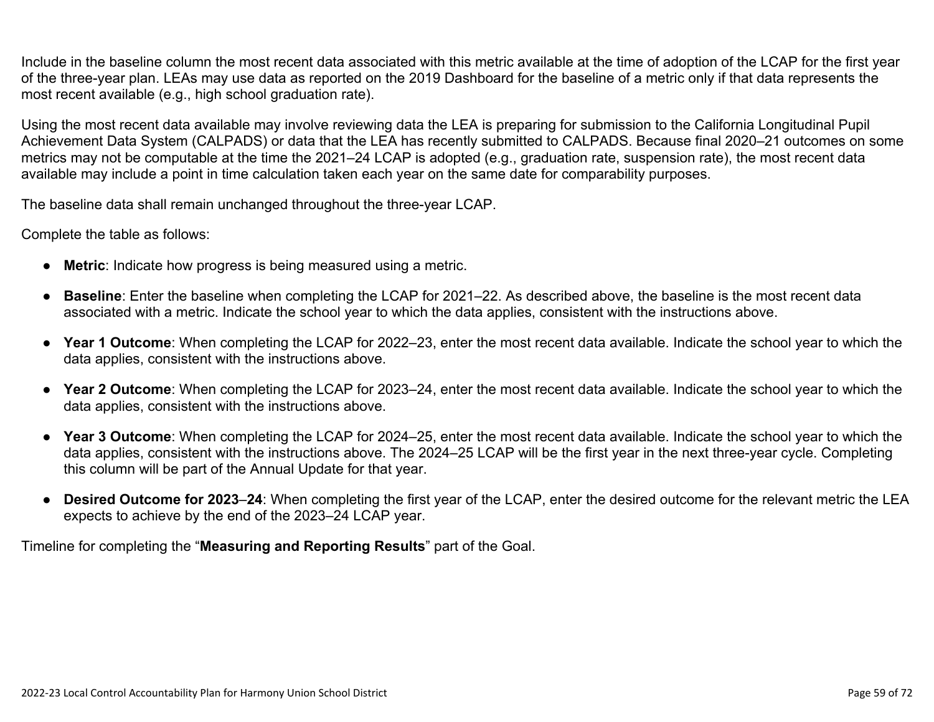Include in the baseline column the most recent data associated with this metric available at the time of adoption of the LCAP for the first year of the three-year plan. LEAs may use data as reported on the 2019 Dashboard for the baseline of a metric only if that data represents the most recent available (e.g., high school graduation rate).

Using the most recent data available may involve reviewing data the LEA is preparing for submission to the California Longitudinal Pupil Achievement Data System (CALPADS) or data that the LEA has recently submitted to CALPADS. Because final 2020–21 outcomes on some metrics may not be computable at the time the 2021–24 LCAP is adopted (e.g., graduation rate, suspension rate), the most recent data available may include a point in time calculation taken each year on the same date for comparability purposes.

The baseline data shall remain unchanged throughout the three-year LCAP.

Complete the table as follows:

- **Metric**: Indicate how progress is being measured using a metric.
- **Baseline**: Enter the baseline when completing the LCAP for 2021–22. As described above, the baseline is the most recent data associated with a metric. Indicate the school year to which the data applies, consistent with the instructions above.
- **Year 1 Outcome**: When completing the LCAP for 2022–23, enter the most recent data available. Indicate the school year to which the data applies, consistent with the instructions above.
- **Year 2 Outcome**: When completing the LCAP for 2023–24, enter the most recent data available. Indicate the school year to which the data applies, consistent with the instructions above.
- **Year 3 Outcome**: When completing the LCAP for 2024–25, enter the most recent data available. Indicate the school year to which the data applies, consistent with the instructions above. The 2024–25 LCAP will be the first year in the next three-year cycle. Completing this column will be part of the Annual Update for that year.
- **Desired Outcome for 2023**–**24**: When completing the first year of the LCAP, enter the desired outcome for the relevant metric the LEA expects to achieve by the end of the 2023–24 LCAP year.

Timeline for completing the "**Measuring and Reporting Results**" part of the Goal.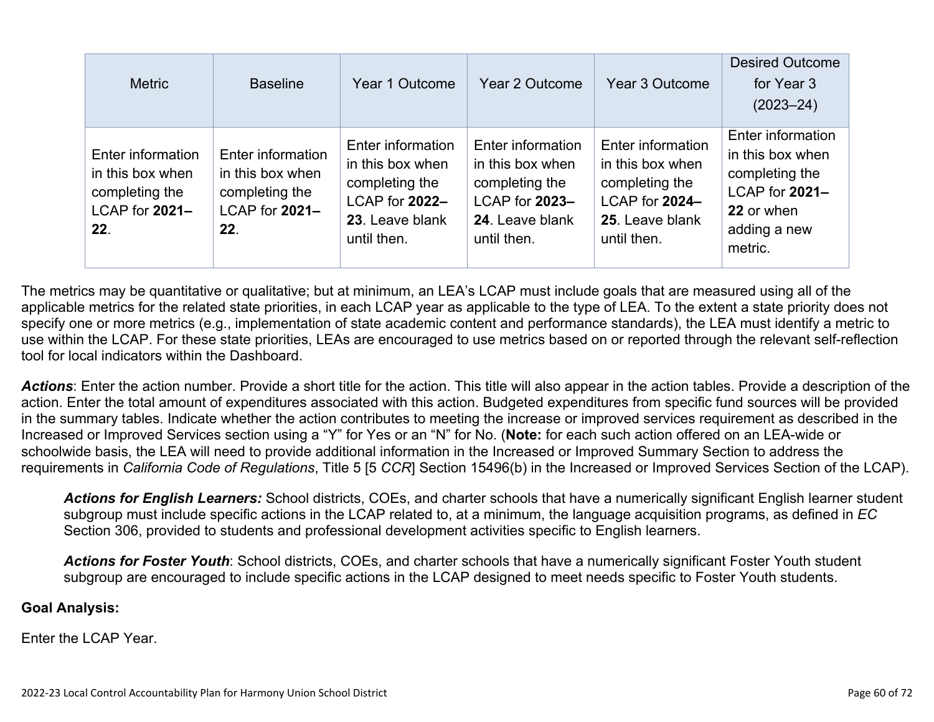| <b>Metric</b>                                                                    | <b>Baseline</b>                                                                  | Year 1 Outcome                                                                                              | Year 2 Outcome                                                                                              | Year 3 Outcome                                                                                              | <b>Desired Outcome</b><br>for Year 3<br>$(2023 - 24)$                                                              |
|----------------------------------------------------------------------------------|----------------------------------------------------------------------------------|-------------------------------------------------------------------------------------------------------------|-------------------------------------------------------------------------------------------------------------|-------------------------------------------------------------------------------------------------------------|--------------------------------------------------------------------------------------------------------------------|
| Enter information<br>in this box when<br>completing the<br>LCAP for 2021-<br>22. | Enter information<br>in this box when<br>completing the<br>LCAP for 2021-<br>22. | Enter information<br>in this box when<br>completing the<br>LCAP for 2022-<br>23. Leave blank<br>until then. | Enter information<br>in this box when<br>completing the<br>LCAP for 2023-<br>24. Leave blank<br>until then. | Enter information<br>in this box when<br>completing the<br>LCAP for 2024-<br>25. Leave blank<br>until then. | Enter information<br>in this box when<br>completing the<br>LCAP for 2021-<br>22 or when<br>adding a new<br>metric. |

The metrics may be quantitative or qualitative; but at minimum, an LEA's LCAP must include goals that are measured using all of the applicable metrics for the related state priorities, in each LCAP year as applicable to the type of LEA. To the extent a state priority does not specify one or more metrics (e.g., implementation of state academic content and performance standards), the LEA must identify a metric to use within the LCAP. For these state priorities, LEAs are encouraged to use metrics based on or reported through the relevant self-reflection tool for local indicators within the Dashboard.

*Actions*: Enter the action number. Provide a short title for the action. This title will also appear in the action tables. Provide a description of the action. Enter the total amount of expenditures associated with this action. Budgeted expenditures from specific fund sources will be provided in the summary tables. Indicate whether the action contributes to meeting the increase or improved services requirement as described in the Increased or Improved Services section using a "Y" for Yes or an "N" for No. (**Note:** for each such action offered on an LEA-wide or schoolwide basis, the LEA will need to provide additional information in the Increased or Improved Summary Section to address the requirements in *California Code of Regulations*, Title 5 [5 *CCR*] Section 15496(b) in the Increased or Improved Services Section of the LCAP).

*Actions for English Learners:* School districts, COEs, and charter schools that have a numerically significant English learner student subgroup must include specific actions in the LCAP related to, at a minimum, the language acquisition programs, as defined in *EC* Section 306, provided to students and professional development activities specific to English learners.

*Actions for Foster Youth*: School districts, COEs, and charter schools that have a numerically significant Foster Youth student subgroup are encouraged to include specific actions in the LCAP designed to meet needs specific to Foster Youth students.

#### **Goal Analysis:**

Enter the LCAP Year.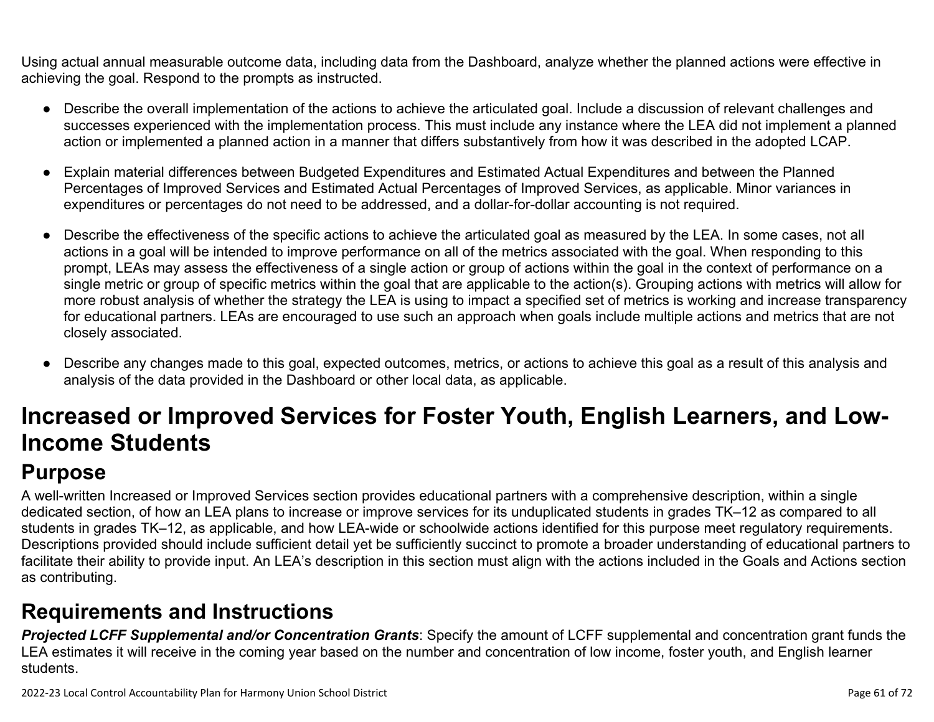Using actual annual measurable outcome data, including data from the Dashboard, analyze whether the planned actions were effective in achieving the goal. Respond to the prompts as instructed.

- Describe the overall implementation of the actions to achieve the articulated goal. Include a discussion of relevant challenges and successes experienced with the implementation process. This must include any instance where the LEA did not implement a planned action or implemented a planned action in a manner that differs substantively from how it was described in the adopted LCAP.
- Explain material differences between Budgeted Expenditures and Estimated Actual Expenditures and between the Planned Percentages of Improved Services and Estimated Actual Percentages of Improved Services, as applicable. Minor variances in expenditures or percentages do not need to be addressed, and a dollar-for-dollar accounting is not required.
- Describe the effectiveness of the specific actions to achieve the articulated goal as measured by the LEA. In some cases, not all actions in a goal will be intended to improve performance on all of the metrics associated with the goal. When responding to this prompt, LEAs may assess the effectiveness of a single action or group of actions within the goal in the context of performance on a single metric or group of specific metrics within the goal that are applicable to the action(s). Grouping actions with metrics will allow for more robust analysis of whether the strategy the LEA is using to impact a specified set of metrics is working and increase transparency for educational partners. LEAs are encouraged to use such an approach when goals include multiple actions and metrics that are not closely associated.
- Describe any changes made to this goal, expected outcomes, metrics, or actions to achieve this goal as a result of this analysis and analysis of the data provided in the Dashboard or other local data, as applicable.

# **Increased or Improved Services for Foster Youth, English Learners, and Low-Income Students**

# **Purpose**

A well-written Increased or Improved Services section provides educational partners with a comprehensive description, within a single dedicated section, of how an LEA plans to increase or improve services for its unduplicated students in grades TK–12 as compared to all students in grades TK–12, as applicable, and how LEA-wide or schoolwide actions identified for this purpose meet regulatory requirements. Descriptions provided should include sufficient detail yet be sufficiently succinct to promote a broader understanding of educational partners to facilitate their ability to provide input. An LEA's description in this section must align with the actions included in the Goals and Actions section as contributing.

## **Requirements and Instructions**

*Projected LCFF Supplemental and/or Concentration Grants*: Specify the amount of LCFF supplemental and concentration grant funds the LEA estimates it will receive in the coming year based on the number and concentration of low income, foster youth, and English learner students.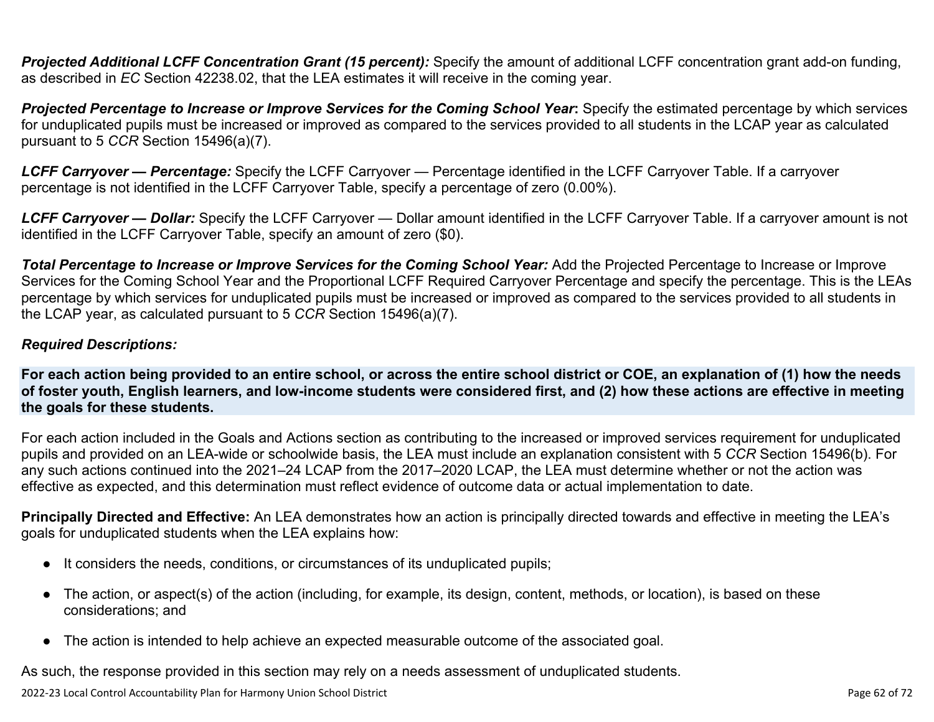**Projected Additional LCFF Concentration Grant (15 percent):** Specify the amount of additional LCFF concentration grant add-on funding, as described in *EC* Section 42238.02, that the LEA estimates it will receive in the coming year.

*Projected Percentage to Increase or Improve Services for the Coming School Year***:** Specify the estimated percentage by which services for unduplicated pupils must be increased or improved as compared to the services provided to all students in the LCAP year as calculated pursuant to 5 *CCR* Section 15496(a)(7).

*LCFF Carryover — Percentage:* Specify the LCFF Carryover — Percentage identified in the LCFF Carryover Table. If a carryover percentage is not identified in the LCFF Carryover Table, specify a percentage of zero (0.00%).

*LCFF Carryover — Dollar:* Specify the LCFF Carryover — Dollar amount identified in the LCFF Carryover Table. If a carryover amount is not identified in the LCFF Carryover Table, specify an amount of zero (\$0).

**Total Percentage to Increase or Improve Services for the Coming School Year:** Add the Projected Percentage to Increase or Improve Services for the Coming School Year and the Proportional LCFF Required Carryover Percentage and specify the percentage. This is the LEAs percentage by which services for unduplicated pupils must be increased or improved as compared to the services provided to all students in the LCAP year, as calculated pursuant to 5 *CCR* Section 15496(a)(7).

### *Required Descriptions:*

**For each action being provided to an entire school, or across the entire school district or COE, an explanation of (1) how the needs of foster youth, English learners, and low-income students were considered first, and (2) how these actions are effective in meeting the goals for these students.**

For each action included in the Goals and Actions section as contributing to the increased or improved services requirement for unduplicated pupils and provided on an LEA-wide or schoolwide basis, the LEA must include an explanation consistent with 5 *CCR* Section 15496(b). For any such actions continued into the 2021–24 LCAP from the 2017–2020 LCAP, the LEA must determine whether or not the action was effective as expected, and this determination must reflect evidence of outcome data or actual implementation to date.

**Principally Directed and Effective:** An LEA demonstrates how an action is principally directed towards and effective in meeting the LEA's goals for unduplicated students when the LEA explains how:

- It considers the needs, conditions, or circumstances of its unduplicated pupils;
- The action, or aspect(s) of the action (including, for example, its design, content, methods, or location), is based on these considerations; and
- The action is intended to help achieve an expected measurable outcome of the associated goal.

As such, the response provided in this section may rely on a needs assessment of unduplicated students.

2022-23 Local Control Accountability Plan for Harmony Union School District **Page 62** of 72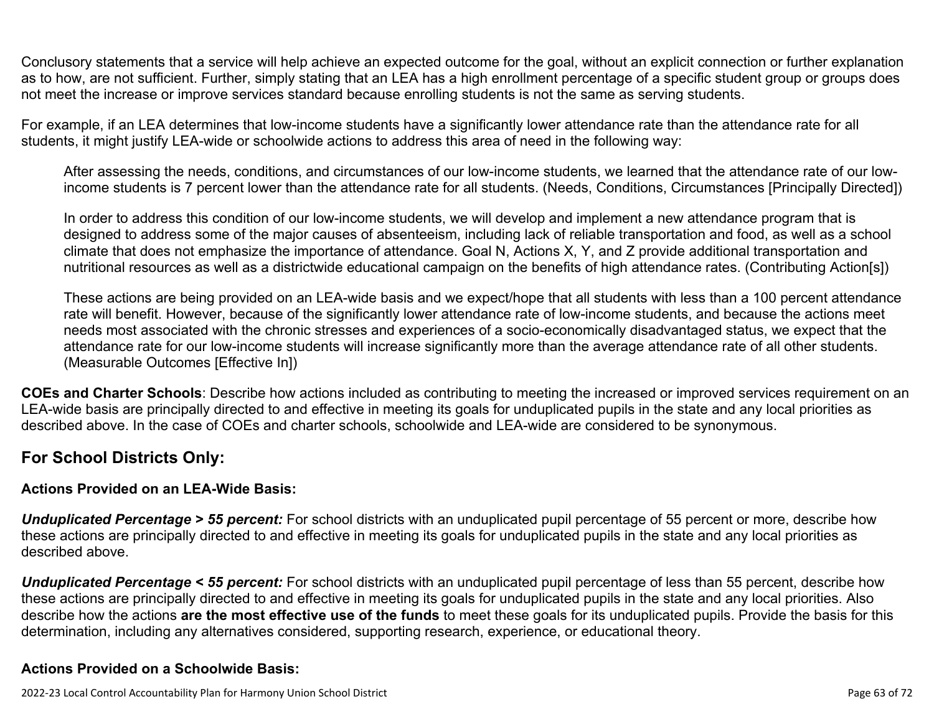Conclusory statements that a service will help achieve an expected outcome for the goal, without an explicit connection or further explanation as to how, are not sufficient. Further, simply stating that an LEA has a high enrollment percentage of a specific student group or groups does not meet the increase or improve services standard because enrolling students is not the same as serving students.

For example, if an LEA determines that low-income students have a significantly lower attendance rate than the attendance rate for all students, it might justify LEA-wide or schoolwide actions to address this area of need in the following way:

After assessing the needs, conditions, and circumstances of our low-income students, we learned that the attendance rate of our lowincome students is 7 percent lower than the attendance rate for all students. (Needs, Conditions, Circumstances [Principally Directed])

In order to address this condition of our low-income students, we will develop and implement a new attendance program that is designed to address some of the major causes of absenteeism, including lack of reliable transportation and food, as well as a school climate that does not emphasize the importance of attendance. Goal N, Actions X, Y, and Z provide additional transportation and nutritional resources as well as a districtwide educational campaign on the benefits of high attendance rates. (Contributing Action[s])

These actions are being provided on an LEA-wide basis and we expect/hope that all students with less than a 100 percent attendance rate will benefit. However, because of the significantly lower attendance rate of low-income students, and because the actions meet needs most associated with the chronic stresses and experiences of a socio-economically disadvantaged status, we expect that the attendance rate for our low-income students will increase significantly more than the average attendance rate of all other students. (Measurable Outcomes [Effective In])

**COEs and Charter Schools**: Describe how actions included as contributing to meeting the increased or improved services requirement on an LEA-wide basis are principally directed to and effective in meeting its goals for unduplicated pupils in the state and any local priorities as described above. In the case of COEs and charter schools, schoolwide and LEA-wide are considered to be synonymous.

### **For School Districts Only:**

### **Actions Provided on an LEA-Wide Basis:**

*Unduplicated Percentage > 55 percent:* For school districts with an unduplicated pupil percentage of 55 percent or more, describe how these actions are principally directed to and effective in meeting its goals for unduplicated pupils in the state and any local priorities as described above.

*Unduplicated Percentage < 55 percent:* For school districts with an unduplicated pupil percentage of less than 55 percent, describe how these actions are principally directed to and effective in meeting its goals for unduplicated pupils in the state and any local priorities. Also describe how the actions **are the most effective use of the funds** to meet these goals for its unduplicated pupils. Provide the basis for this determination, including any alternatives considered, supporting research, experience, or educational theory.

### **Actions Provided on a Schoolwide Basis:**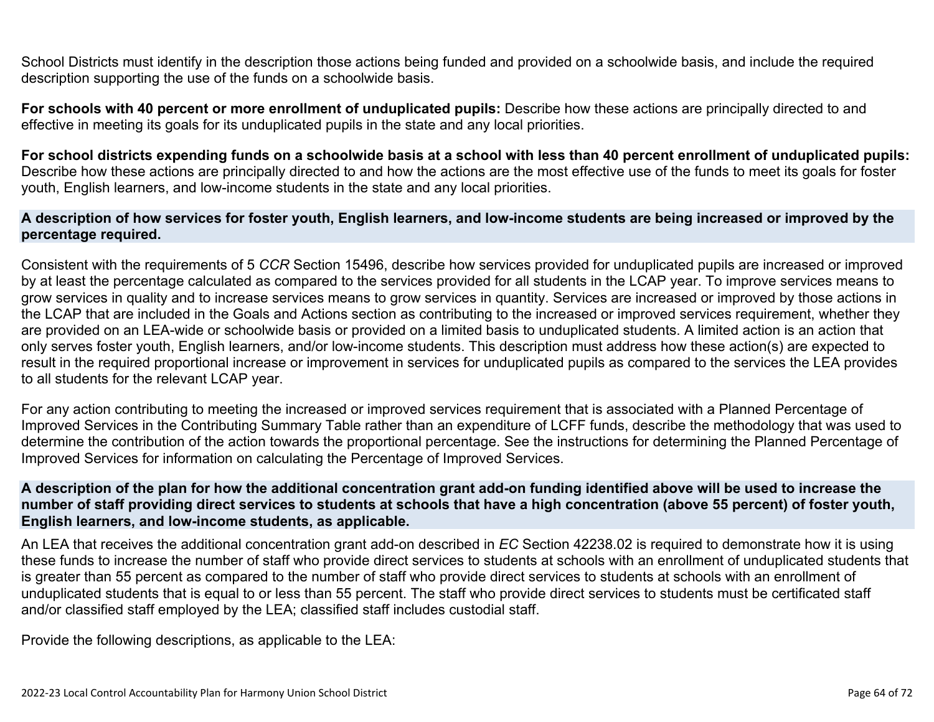School Districts must identify in the description those actions being funded and provided on a schoolwide basis, and include the required description supporting the use of the funds on a schoolwide basis.

**For schools with 40 percent or more enrollment of unduplicated pupils:** Describe how these actions are principally directed to and effective in meeting its goals for its unduplicated pupils in the state and any local priorities.

**For school districts expending funds on a schoolwide basis at a school with less than 40 percent enrollment of unduplicated pupils:** Describe how these actions are principally directed to and how the actions are the most effective use of the funds to meet its goals for foster youth, English learners, and low-income students in the state and any local priorities.

#### **A description of how services for foster youth, English learners, and low-income students are being increased or improved by the percentage required.**

Consistent with the requirements of 5 *CCR* Section 15496, describe how services provided for unduplicated pupils are increased or improved by at least the percentage calculated as compared to the services provided for all students in the LCAP year. To improve services means to grow services in quality and to increase services means to grow services in quantity. Services are increased or improved by those actions in the LCAP that are included in the Goals and Actions section as contributing to the increased or improved services requirement, whether they are provided on an LEA-wide or schoolwide basis or provided on a limited basis to unduplicated students. A limited action is an action that only serves foster youth, English learners, and/or low-income students. This description must address how these action(s) are expected to result in the required proportional increase or improvement in services for unduplicated pupils as compared to the services the LEA provides to all students for the relevant LCAP year.

For any action contributing to meeting the increased or improved services requirement that is associated with a Planned Percentage of Improved Services in the Contributing Summary Table rather than an expenditure of LCFF funds, describe the methodology that was used to determine the contribution of the action towards the proportional percentage. See the instructions for determining the Planned Percentage of Improved Services for information on calculating the Percentage of Improved Services.

#### **A description of the plan for how the additional concentration grant add-on funding identified above will be used to increase the number of staff providing direct services to students at schools that have a high concentration (above 55 percent) of foster youth, English learners, and low-income students, as applicable.**

An LEA that receives the additional concentration grant add-on described in *EC* Section 42238.02 is required to demonstrate how it is using these funds to increase the number of staff who provide direct services to students at schools with an enrollment of unduplicated students that is greater than 55 percent as compared to the number of staff who provide direct services to students at schools with an enrollment of unduplicated students that is equal to or less than 55 percent. The staff who provide direct services to students must be certificated staff and/or classified staff employed by the LEA; classified staff includes custodial staff.

Provide the following descriptions, as applicable to the LEA: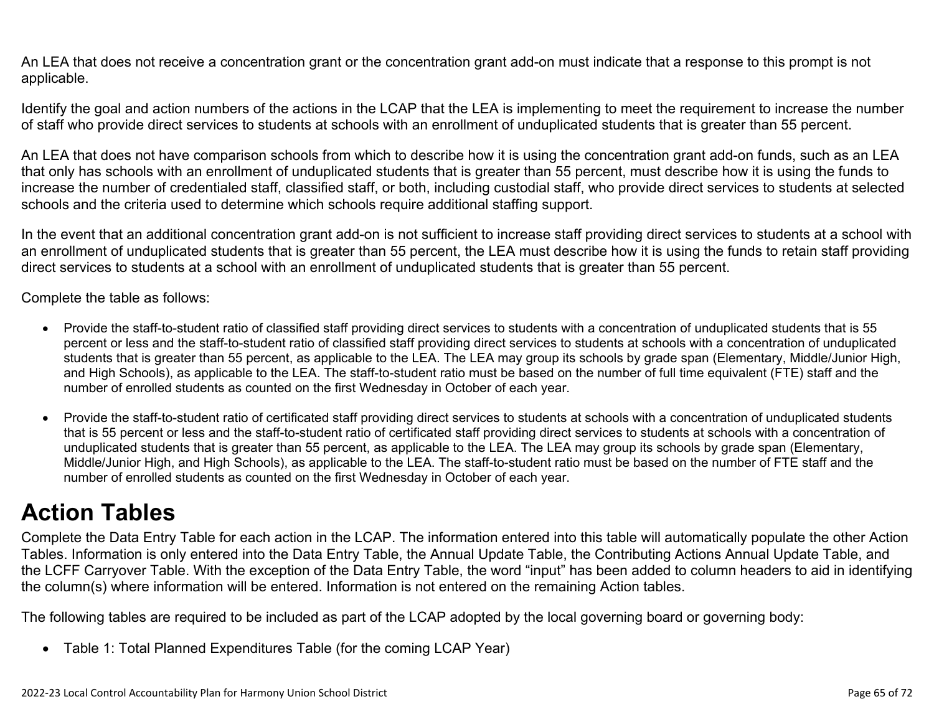An LEA that does not receive a concentration grant or the concentration grant add-on must indicate that a response to this prompt is not applicable.

Identify the goal and action numbers of the actions in the LCAP that the LEA is implementing to meet the requirement to increase the number of staff who provide direct services to students at schools with an enrollment of unduplicated students that is greater than 55 percent.

An LEA that does not have comparison schools from which to describe how it is using the concentration grant add-on funds, such as an LEA that only has schools with an enrollment of unduplicated students that is greater than 55 percent, must describe how it is using the funds to increase the number of credentialed staff, classified staff, or both, including custodial staff, who provide direct services to students at selected schools and the criteria used to determine which schools require additional staffing support.

In the event that an additional concentration grant add-on is not sufficient to increase staff providing direct services to students at a school with an enrollment of unduplicated students that is greater than 55 percent, the LEA must describe how it is using the funds to retain staff providing direct services to students at a school with an enrollment of unduplicated students that is greater than 55 percent.

Complete the table as follows:

- Provide the staff-to-student ratio of classified staff providing direct services to students with a concentration of unduplicated students that is 55 percent or less and the staff-to-student ratio of classified staff providing direct services to students at schools with a concentration of unduplicated students that is greater than 55 percent, as applicable to the LEA. The LEA may group its schools by grade span (Elementary, Middle/Junior High, and High Schools), as applicable to the LEA. The staff-to-student ratio must be based on the number of full time equivalent (FTE) staff and the number of enrolled students as counted on the first Wednesday in October of each year.
- Provide the staff-to-student ratio of certificated staff providing direct services to students at schools with a concentration of unduplicated students that is 55 percent or less and the staff-to-student ratio of certificated staff providing direct services to students at schools with a concentration of unduplicated students that is greater than 55 percent, as applicable to the LEA. The LEA may group its schools by grade span (Elementary, Middle/Junior High, and High Schools), as applicable to the LEA. The staff-to-student ratio must be based on the number of FTE staff and the number of enrolled students as counted on the first Wednesday in October of each year.

# **Action Tables**

Complete the Data Entry Table for each action in the LCAP. The information entered into this table will automatically populate the other Action Tables. Information is only entered into the Data Entry Table, the Annual Update Table, the Contributing Actions Annual Update Table, and the LCFF Carryover Table. With the exception of the Data Entry Table, the word "input" has been added to column headers to aid in identifying the column(s) where information will be entered. Information is not entered on the remaining Action tables.

The following tables are required to be included as part of the LCAP adopted by the local governing board or governing body:

• Table 1: Total Planned Expenditures Table (for the coming LCAP Year)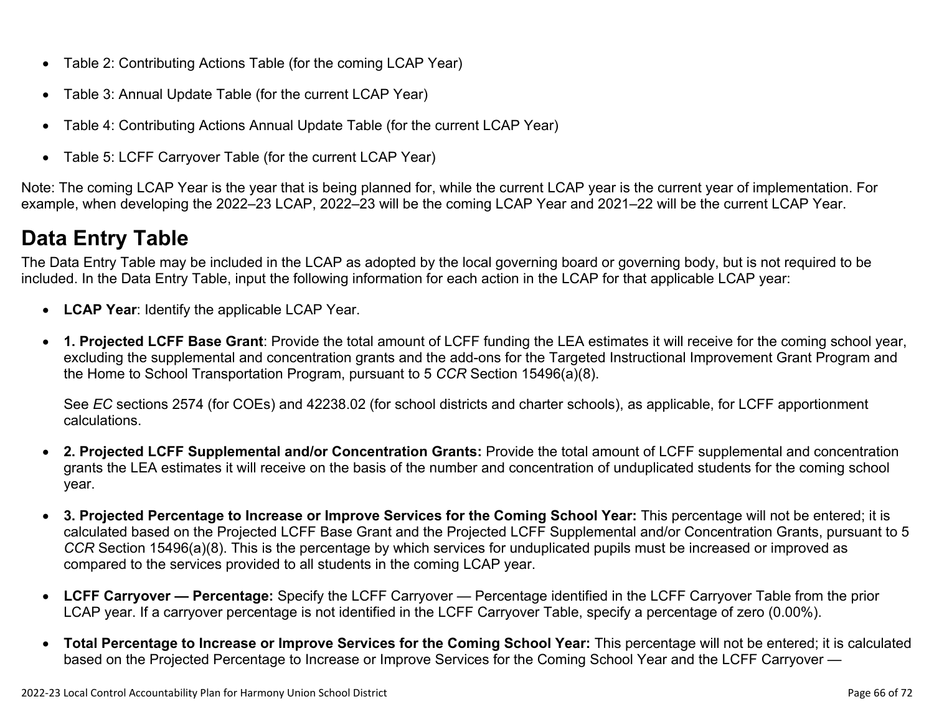- Table 2: Contributing Actions Table (for the coming LCAP Year)
- Table 3: Annual Update Table (for the current LCAP Year)
- Table 4: Contributing Actions Annual Update Table (for the current LCAP Year)
- Table 5: LCFF Carryover Table (for the current LCAP Year)

Note: The coming LCAP Year is the year that is being planned for, while the current LCAP year is the current year of implementation. For example, when developing the 2022–23 LCAP, 2022–23 will be the coming LCAP Year and 2021–22 will be the current LCAP Year.

# **Data Entry Table**

The Data Entry Table may be included in the LCAP as adopted by the local governing board or governing body, but is not required to be included. In the Data Entry Table, input the following information for each action in the LCAP for that applicable LCAP year:

- **LCAP Year**: Identify the applicable LCAP Year.
- **1. Projected LCFF Base Grant**: Provide the total amount of LCFF funding the LEA estimates it will receive for the coming school year, excluding the supplemental and concentration grants and the add-ons for the Targeted Instructional Improvement Grant Program and the Home to School Transportation Program, pursuant to 5 *CCR* Section 15496(a)(8).

See *EC* sections 2574 (for COEs) and 42238.02 (for school districts and charter schools), as applicable, for LCFF apportionment calculations.

- **2. Projected LCFF Supplemental and/or Concentration Grants:** Provide the total amount of LCFF supplemental and concentration grants the LEA estimates it will receive on the basis of the number and concentration of unduplicated students for the coming school year.
- **3. Projected Percentage to Increase or Improve Services for the Coming School Year:** This percentage will not be entered; it is calculated based on the Projected LCFF Base Grant and the Projected LCFF Supplemental and/or Concentration Grants, pursuant to 5 *CCR* Section 15496(a)(8). This is the percentage by which services for unduplicated pupils must be increased or improved as compared to the services provided to all students in the coming LCAP year.
- **LCFF Carryover Percentage:** Specify the LCFF Carryover Percentage identified in the LCFF Carryover Table from the prior LCAP year. If a carryover percentage is not identified in the LCFF Carryover Table, specify a percentage of zero (0.00%).
- **Total Percentage to Increase or Improve Services for the Coming School Year:** This percentage will not be entered; it is calculated based on the Projected Percentage to Increase or Improve Services for the Coming School Year and the LCFF Carryover —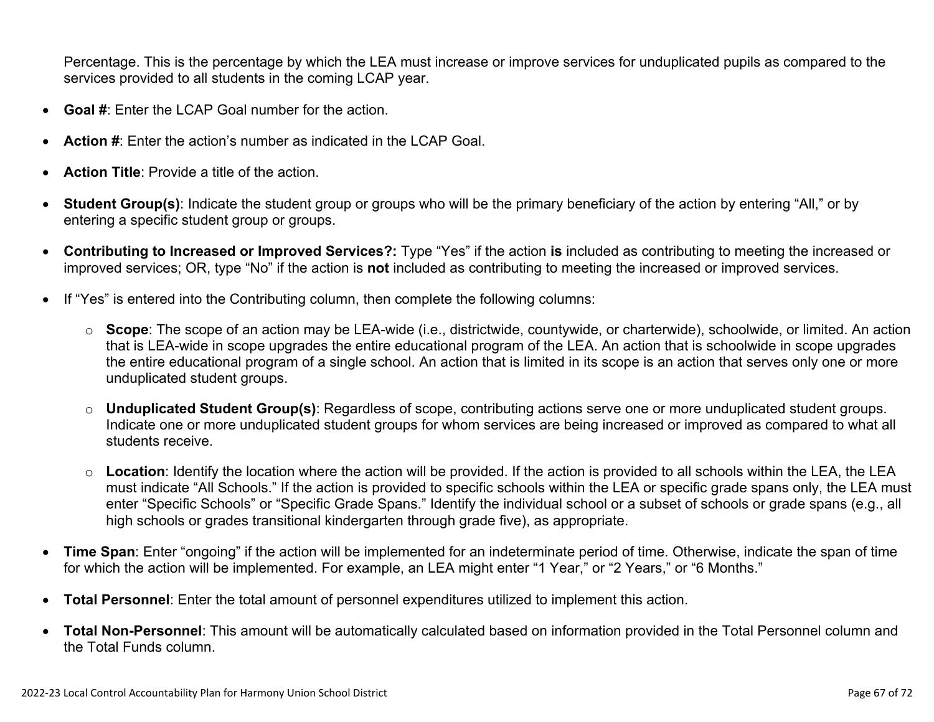Percentage. This is the percentage by which the LEA must increase or improve services for unduplicated pupils as compared to the services provided to all students in the coming LCAP year.

- **Goal #**: Enter the LCAP Goal number for the action.
- **Action #**: Enter the action's number as indicated in the LCAP Goal.
- **Action Title**: Provide a title of the action.
- **Student Group(s)**: Indicate the student group or groups who will be the primary beneficiary of the action by entering "All," or by entering a specific student group or groups.
- **Contributing to Increased or Improved Services?:** Type "Yes" if the action **is** included as contributing to meeting the increased or improved services; OR, type "No" if the action is **not** included as contributing to meeting the increased or improved services.
- If "Yes" is entered into the Contributing column, then complete the following columns:
	- o **Scope**: The scope of an action may be LEA-wide (i.e., districtwide, countywide, or charterwide), schoolwide, or limited. An action that is LEA-wide in scope upgrades the entire educational program of the LEA. An action that is schoolwide in scope upgrades the entire educational program of a single school. An action that is limited in its scope is an action that serves only one or more unduplicated student groups.
	- o **Unduplicated Student Group(s)**: Regardless of scope, contributing actions serve one or more unduplicated student groups. Indicate one or more unduplicated student groups for whom services are being increased or improved as compared to what all students receive.
	- o **Location**: Identify the location where the action will be provided. If the action is provided to all schools within the LEA, the LEA must indicate "All Schools." If the action is provided to specific schools within the LEA or specific grade spans only, the LEA must enter "Specific Schools" or "Specific Grade Spans." Identify the individual school or a subset of schools or grade spans (e.g., all high schools or grades transitional kindergarten through grade five), as appropriate.
- **Time Span**: Enter "ongoing" if the action will be implemented for an indeterminate period of time. Otherwise, indicate the span of time for which the action will be implemented. For example, an LEA might enter "1 Year," or "2 Years," or "6 Months."
- **Total Personnel**: Enter the total amount of personnel expenditures utilized to implement this action.
- **Total Non-Personnel**: This amount will be automatically calculated based on information provided in the Total Personnel column and the Total Funds column.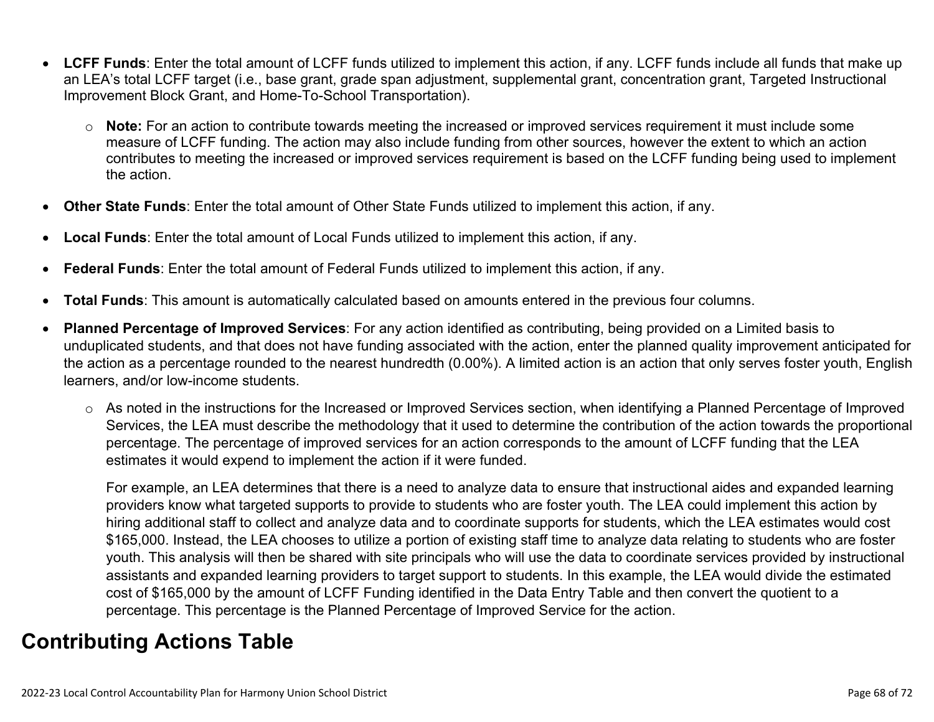- **LCFF Funds**: Enter the total amount of LCFF funds utilized to implement this action, if any. LCFF funds include all funds that make up an LEA's total LCFF target (i.e., base grant, grade span adjustment, supplemental grant, concentration grant, Targeted Instructional Improvement Block Grant, and Home-To-School Transportation).
	- o **Note:** For an action to contribute towards meeting the increased or improved services requirement it must include some measure of LCFF funding. The action may also include funding from other sources, however the extent to which an action contributes to meeting the increased or improved services requirement is based on the LCFF funding being used to implement the action.
- **Other State Funds**: Enter the total amount of Other State Funds utilized to implement this action, if any.
- **Local Funds**: Enter the total amount of Local Funds utilized to implement this action, if any.
- **Federal Funds**: Enter the total amount of Federal Funds utilized to implement this action, if any.
- **Total Funds**: This amount is automatically calculated based on amounts entered in the previous four columns.
- **Planned Percentage of Improved Services**: For any action identified as contributing, being provided on a Limited basis to unduplicated students, and that does not have funding associated with the action, enter the planned quality improvement anticipated for the action as a percentage rounded to the nearest hundredth (0.00%). A limited action is an action that only serves foster youth, English learners, and/or low-income students.
	- o As noted in the instructions for the Increased or Improved Services section, when identifying a Planned Percentage of Improved Services, the LEA must describe the methodology that it used to determine the contribution of the action towards the proportional percentage. The percentage of improved services for an action corresponds to the amount of LCFF funding that the LEA estimates it would expend to implement the action if it were funded.

For example, an LEA determines that there is a need to analyze data to ensure that instructional aides and expanded learning providers know what targeted supports to provide to students who are foster youth. The LEA could implement this action by hiring additional staff to collect and analyze data and to coordinate supports for students, which the LEA estimates would cost \$165,000. Instead, the LEA chooses to utilize a portion of existing staff time to analyze data relating to students who are foster youth. This analysis will then be shared with site principals who will use the data to coordinate services provided by instructional assistants and expanded learning providers to target support to students. In this example, the LEA would divide the estimated cost of \$165,000 by the amount of LCFF Funding identified in the Data Entry Table and then convert the quotient to a percentage. This percentage is the Planned Percentage of Improved Service for the action.

## **Contributing Actions Table**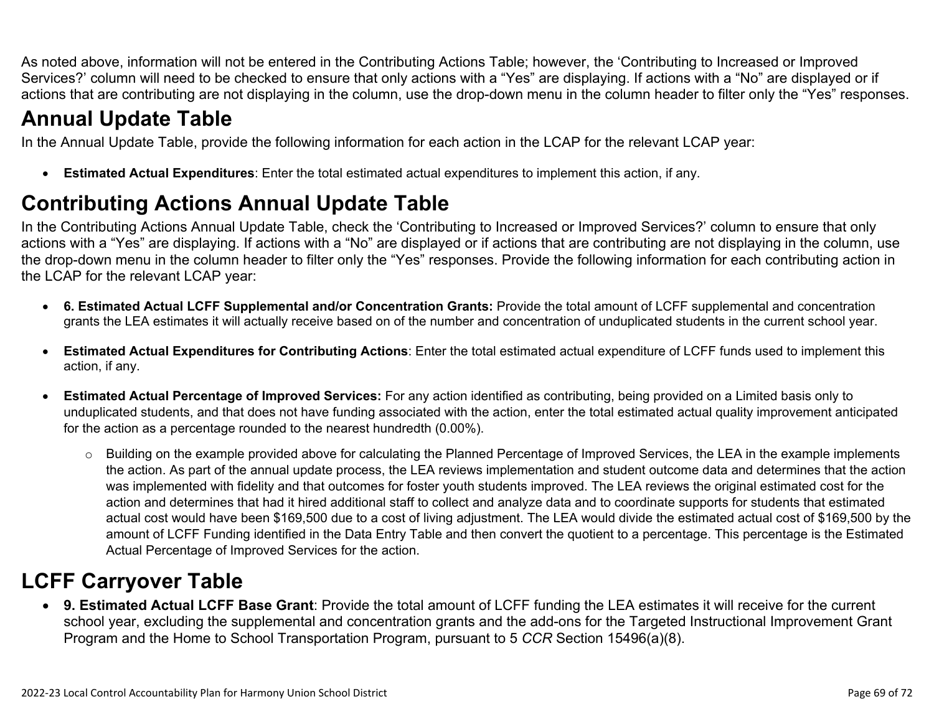As noted above, information will not be entered in the Contributing Actions Table; however, the 'Contributing to Increased or Improved Services?' column will need to be checked to ensure that only actions with a "Yes" are displaying. If actions with a "No" are displayed or if actions that are contributing are not displaying in the column, use the drop-down menu in the column header to filter only the "Yes" responses.

# **Annual Update Table**

In the Annual Update Table, provide the following information for each action in the LCAP for the relevant LCAP year:

• **Estimated Actual Expenditures**: Enter the total estimated actual expenditures to implement this action, if any.

# **Contributing Actions Annual Update Table**

In the Contributing Actions Annual Update Table, check the 'Contributing to Increased or Improved Services?' column to ensure that only actions with a "Yes" are displaying. If actions with a "No" are displayed or if actions that are contributing are not displaying in the column, use the drop-down menu in the column header to filter only the "Yes" responses. Provide the following information for each contributing action in the LCAP for the relevant LCAP year:

- **6. Estimated Actual LCFF Supplemental and/or Concentration Grants:** Provide the total amount of LCFF supplemental and concentration grants the LEA estimates it will actually receive based on of the number and concentration of unduplicated students in the current school year.
- **Estimated Actual Expenditures for Contributing Actions**: Enter the total estimated actual expenditure of LCFF funds used to implement this action, if any.
- **Estimated Actual Percentage of Improved Services:** For any action identified as contributing, being provided on a Limited basis only to unduplicated students, and that does not have funding associated with the action, enter the total estimated actual quality improvement anticipated for the action as a percentage rounded to the nearest hundredth (0.00%).
	- o Building on the example provided above for calculating the Planned Percentage of Improved Services, the LEA in the example implements the action. As part of the annual update process, the LEA reviews implementation and student outcome data and determines that the action was implemented with fidelity and that outcomes for foster youth students improved. The LEA reviews the original estimated cost for the action and determines that had it hired additional staff to collect and analyze data and to coordinate supports for students that estimated actual cost would have been \$169,500 due to a cost of living adjustment. The LEA would divide the estimated actual cost of \$169,500 by the amount of LCFF Funding identified in the Data Entry Table and then convert the quotient to a percentage. This percentage is the Estimated Actual Percentage of Improved Services for the action.

# **LCFF Carryover Table**

• **9. Estimated Actual LCFF Base Grant**: Provide the total amount of LCFF funding the LEA estimates it will receive for the current school year, excluding the supplemental and concentration grants and the add-ons for the Targeted Instructional Improvement Grant Program and the Home to School Transportation Program, pursuant to 5 *CCR* Section 15496(a)(8).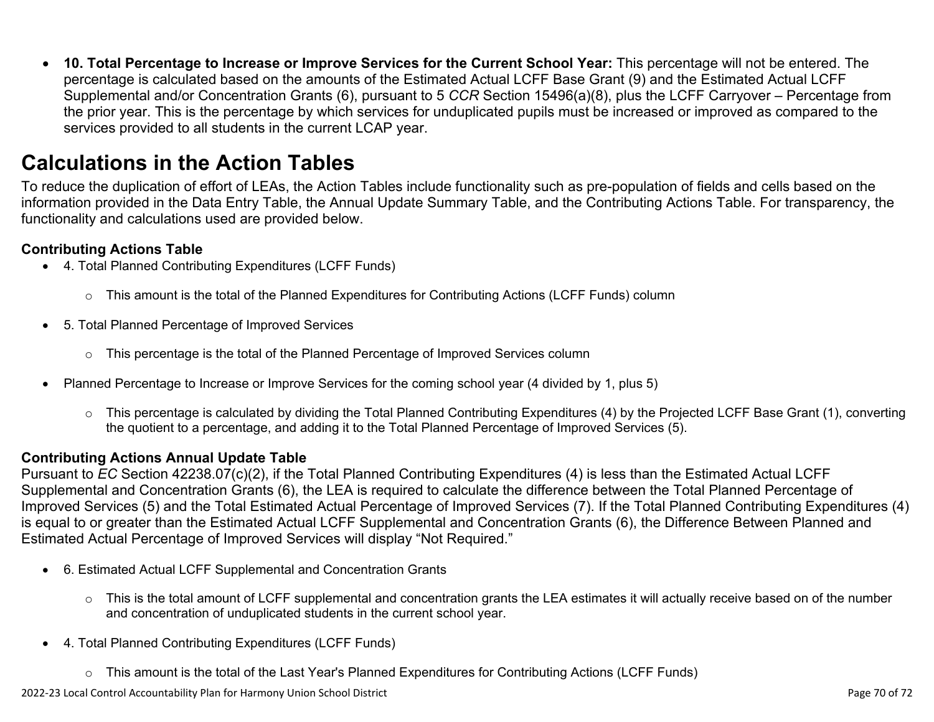• **10. Total Percentage to Increase or Improve Services for the Current School Year:** This percentage will not be entered. The percentage is calculated based on the amounts of the Estimated Actual LCFF Base Grant (9) and the Estimated Actual LCFF Supplemental and/or Concentration Grants (6), pursuant to 5 *CCR* Section 15496(a)(8), plus the LCFF Carryover – Percentage from the prior year. This is the percentage by which services for unduplicated pupils must be increased or improved as compared to the services provided to all students in the current LCAP year.

### **Calculations in the Action Tables**

To reduce the duplication of effort of LEAs, the Action Tables include functionality such as pre-population of fields and cells based on the information provided in the Data Entry Table, the Annual Update Summary Table, and the Contributing Actions Table. For transparency, the functionality and calculations used are provided below.

### **Contributing Actions Table**

- 4. Total Planned Contributing Expenditures (LCFF Funds)
	- $\circ$  This amount is the total of the Planned Expenditures for Contributing Actions (LCFF Funds) column
- 5. Total Planned Percentage of Improved Services
	- $\circ$  This percentage is the total of the Planned Percentage of Improved Services column
- Planned Percentage to Increase or Improve Services for the coming school year (4 divided by 1, plus 5)
	- o This percentage is calculated by dividing the Total Planned Contributing Expenditures (4) by the Projected LCFF Base Grant (1), converting the quotient to a percentage, and adding it to the Total Planned Percentage of Improved Services (5).

### **Contributing Actions Annual Update Table**

Pursuant to *EC* Section 42238.07(c)(2), if the Total Planned Contributing Expenditures (4) is less than the Estimated Actual LCFF Supplemental and Concentration Grants (6), the LEA is required to calculate the difference between the Total Planned Percentage of Improved Services (5) and the Total Estimated Actual Percentage of Improved Services (7). If the Total Planned Contributing Expenditures (4) is equal to or greater than the Estimated Actual LCFF Supplemental and Concentration Grants (6), the Difference Between Planned and Estimated Actual Percentage of Improved Services will display "Not Required."

- 6. Estimated Actual LCFF Supplemental and Concentration Grants
	- o This is the total amount of LCFF supplemental and concentration grants the LEA estimates it will actually receive based on of the number and concentration of unduplicated students in the current school year.
- 4. Total Planned Contributing Expenditures (LCFF Funds)
	- $\circ$  This amount is the total of the Last Year's Planned Expenditures for Contributing Actions (LCFF Funds)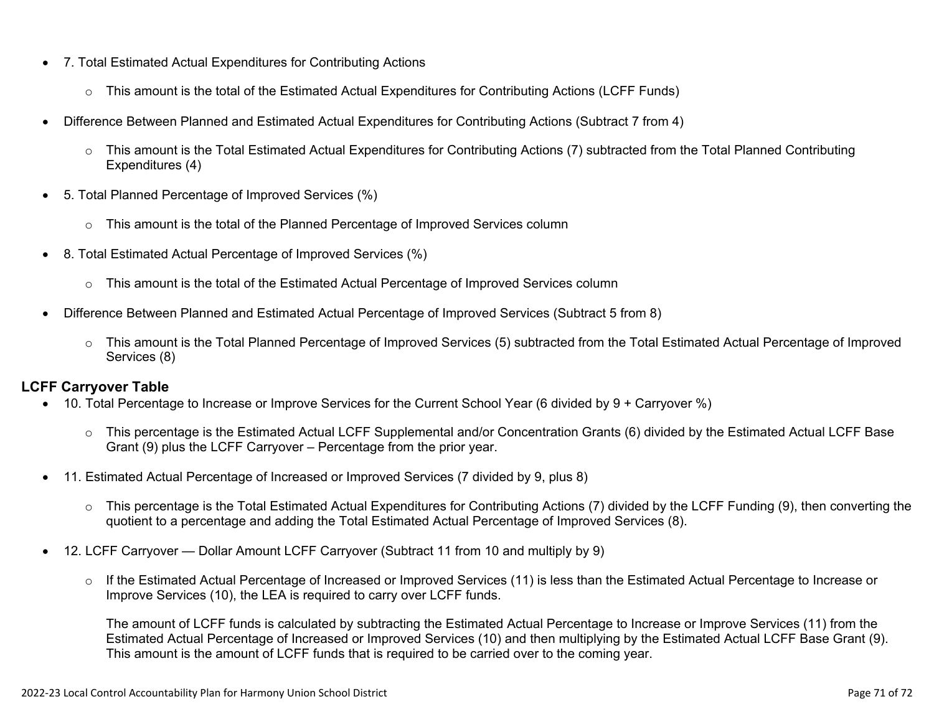- 7. Total Estimated Actual Expenditures for Contributing Actions
	- o This amount is the total of the Estimated Actual Expenditures for Contributing Actions (LCFF Funds)
- Difference Between Planned and Estimated Actual Expenditures for Contributing Actions (Subtract 7 from 4)
	- $\circ$  This amount is the Total Estimated Actual Expenditures for Contributing Actions (7) subtracted from the Total Planned Contributing Expenditures (4)
- 5. Total Planned Percentage of Improved Services (%)
	- $\circ$  This amount is the total of the Planned Percentage of Improved Services column
- 8. Total Estimated Actual Percentage of Improved Services (%)
	- o This amount is the total of the Estimated Actual Percentage of Improved Services column
- Difference Between Planned and Estimated Actual Percentage of Improved Services (Subtract 5 from 8)
	- o This amount is the Total Planned Percentage of Improved Services (5) subtracted from the Total Estimated Actual Percentage of Improved Services (8)

### **LCFF Carryover Table**

- 10. Total Percentage to Increase or Improve Services for the Current School Year (6 divided by 9 + Carryover %)
	- $\circ$  This percentage is the Estimated Actual LCFF Supplemental and/or Concentration Grants (6) divided by the Estimated Actual LCFF Base Grant (9) plus the LCFF Carryover – Percentage from the prior year.
- 11. Estimated Actual Percentage of Increased or Improved Services (7 divided by 9, plus 8)
	- o This percentage is the Total Estimated Actual Expenditures for Contributing Actions (7) divided by the LCFF Funding (9), then converting the quotient to a percentage and adding the Total Estimated Actual Percentage of Improved Services (8).
- 12. LCFF Carryover Dollar Amount LCFF Carryover (Subtract 11 from 10 and multiply by 9)
	- $\circ$  If the Estimated Actual Percentage of Increased or Improved Services (11) is less than the Estimated Actual Percentage to Increase or Improve Services (10), the LEA is required to carry over LCFF funds.

The amount of LCFF funds is calculated by subtracting the Estimated Actual Percentage to Increase or Improve Services (11) from the Estimated Actual Percentage of Increased or Improved Services (10) and then multiplying by the Estimated Actual LCFF Base Grant (9). This amount is the amount of LCFF funds that is required to be carried over to the coming year.